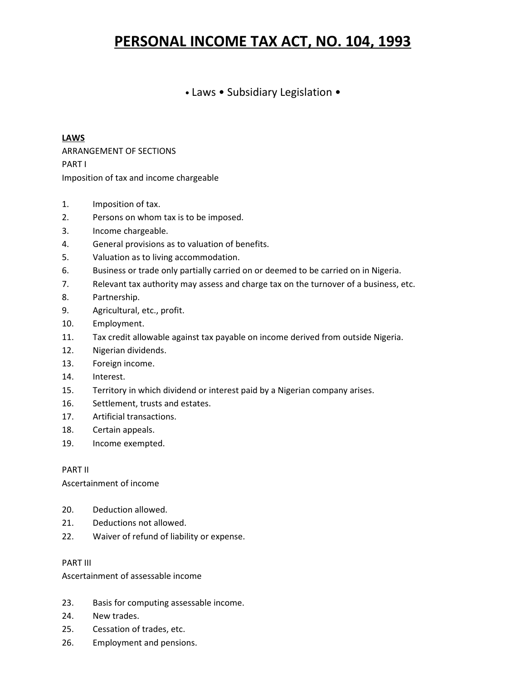# **PERSONAL INCOME TAX ACT, NO. 104, 1993**

# • Laws • Subsidiary Legislation •

#### **LAWS**

ARRANGEMENT OF SECTIONS PART I Imposition of tax and income chargeable

- 1. Imposition of tax.
- 2. Persons on whom tax is to be imposed.
- 3. Income chargeable.
- 4. General provisions as to valuation of benefits.
- 5. Valuation as to living accommodation.
- 6. Business or trade only partially carried on or deemed to be carried on in Nigeria.
- 7. Relevant tax authority may assess and charge tax on the turnover of a business, etc.
- 8. Partnership.
- 9. Agricultural, etc., profit.
- 10. Employment.
- 11. Tax credit allowable against tax payable on income derived from outside Nigeria.
- 12. Nigerian dividends.
- 13. Foreign income.
- 14. Interest.
- 15. Territory in which dividend or interest paid by a Nigerian company arises.
- 16. Settlement, trusts and estates.
- 17. Artificial transactions.
- 18. Certain appeals.
- 19. Income exempted.

#### PART II

Ascertainment of income

- 20. Deduction allowed.
- 21. Deductions not allowed.
- 22. Waiver of refund of liability or expense.

#### PART III

Ascertainment of assessable income

- 23. Basis for computing assessable income.
- 24. New trades.
- 25. Cessation of trades, etc.
- 26. Employment and pensions.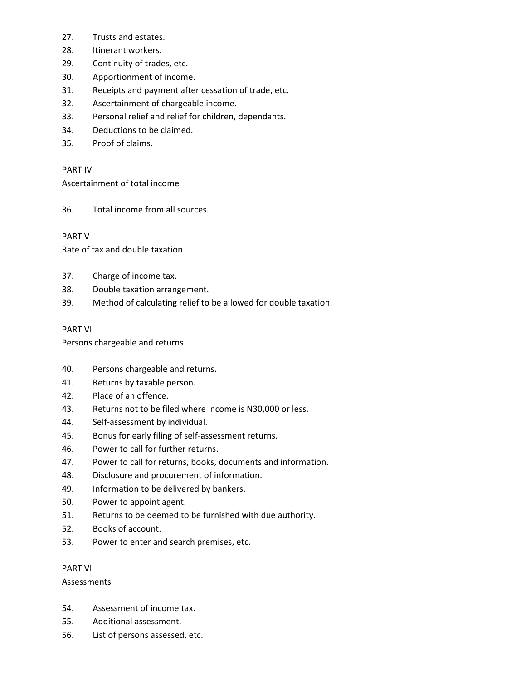- 27. Trusts and estates.
- 28. Itinerant workers.
- 29. Continuity of trades, etc.
- 30. Apportionment of income.
- 31. Receipts and payment after cessation of trade, etc.
- 32. Ascertainment of chargeable income.
- 33. Personal relief and relief for children, dependants.
- 34. Deductions to be claimed.
- 35. Proof of claims.

# PART IV

Ascertainment of total income

36. Total income from all sources.

# PART V

Rate of tax and double taxation

- 37. Charge of income tax.
- 38. Double taxation arrangement.
- 39. Method of calculating relief to be allowed for double taxation.

# PART VI

Persons chargeable and returns

- 40. Persons chargeable and returns.
- 41. Returns by taxable person.
- 42. Place of an offence.
- 43. Returns not to be filed where income is N30,000 or less.
- 44. Self-assessment by individual.
- 45. Bonus for early filing of self-assessment returns.
- 46. Power to call for further returns.
- 47. Power to call for returns, books, documents and information.
- 48. Disclosure and procurement of information.
- 49. Information to be delivered by bankers.
- 50. Power to appoint agent.
- 51. Returns to be deemed to be furnished with due authority.
- 52. Books of account.
- 53. Power to enter and search premises, etc.

#### PART VII

Assessments

- 54. Assessment of income tax.
- 55. Additional assessment.
- 56. List of persons assessed, etc.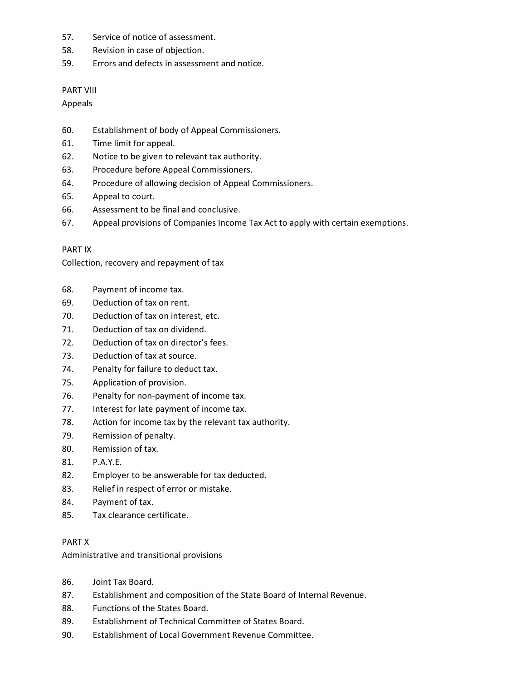- 57. Service of notice of assessment.
- 58. Revision in case of objection.
- 59. Errors and defects in assessment and notice.

# PART VIII

Appeals

- 60. Establishment of body of Appeal Commissioners.
- 61. Time limit for appeal.
- 62. Notice to be given to relevant tax authority.
- 63. Procedure before Appeal Commissioners.
- 64. Procedure of allowing decision of Appeal Commissioners.
- 65. Appeal to court.
- 66. Assessment to be final and conclusive.
- 67. Appeal provisions of Companies Income Tax Act to apply with certain exemptions.

# PART IX

Collection, recovery and repayment of tax

- 68. Payment of income tax.
- 69. Deduction of tax on rent.
- 70. Deduction of tax on interest, etc.
- 71. Deduction of tax on dividend.
- 72. Deduction of tax on director's fees.
- 73. Deduction of tax at source.
- 74. Penalty for failure to deduct tax.
- 75. Application of provision.
- 76. Penalty for non-payment of income tax.
- 77. Interest for late payment of income tax.
- 78. Action for income tax by the relevant tax authority.
- 79. Remission of penalty.
- 80. Remission of tax.
- 81. P.A.Y.E.
- 82. Employer to be answerable for tax deducted.
- 83. Relief in respect of error or mistake.
- 84. Payment of tax.
- 85. Tax clearance certificate.

# PART X

Administrative and transitional provisions

- 86. Joint Tax Board.
- 87. Establishment and composition of the State Board of Internal Revenue.
- 88. Functions of the States Board.
- 89. Establishment of Technical Committee of States Board.
- 90. Establishment of Local Government Revenue Committee.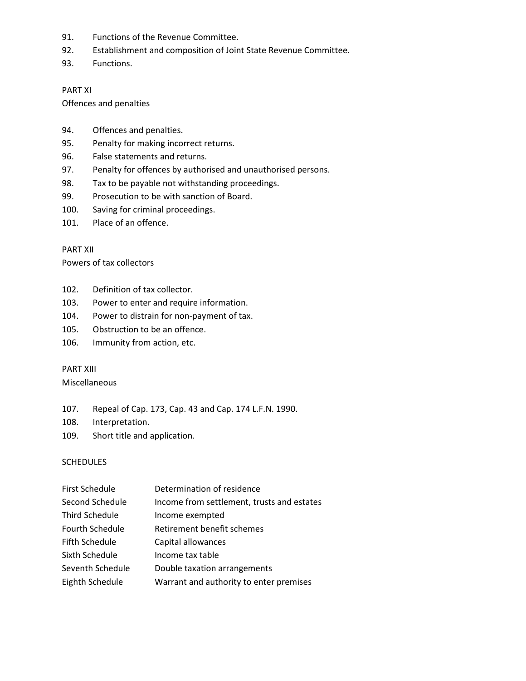- 91. Functions of the Revenue Committee.
- 92. Establishment and composition of Joint State Revenue Committee.
- 93. Functions.

#### PART XI

Offences and penalties

- 94. Offences and penalties.
- 95. Penalty for making incorrect returns.
- 96. False statements and returns.
- 97. Penalty for offences by authorised and unauthorised persons.
- 98. Tax to be payable not withstanding proceedings.
- 99. Prosecution to be with sanction of Board.
- 100. Saving for criminal proceedings.
- 101. Place of an offence.

#### PART XII

Powers of tax collectors

- 102. Definition of tax collector.
- 103. Power to enter and require information.
- 104. Power to distrain for non-payment of tax.
- 105. Obstruction to be an offence.
- 106. Immunity from action, etc.

#### PART XIII

Miscellaneous

- 107. Repeal of Cap. 173, Cap. 43 and Cap. 174 L.F.N. 1990.
- 108. Interpretation.
- 109. Short title and application.

#### **SCHEDULES**

| Determination of residence                 |
|--------------------------------------------|
| Income from settlement, trusts and estates |
| Income exempted                            |
| Retirement benefit schemes                 |
| Capital allowances                         |
| Income tax table                           |
| Double taxation arrangements               |
| Warrant and authority to enter premises    |
|                                            |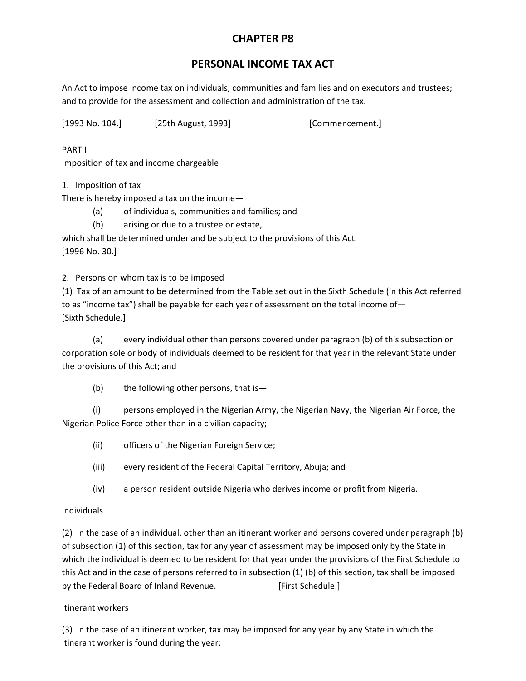# **CHAPTER P8**

# **PERSONAL INCOME TAX ACT**

An Act to impose income tax on individuals, communities and families and on executors and trustees; and to provide for the assessment and collection and administration of the tax.

[1993 No. 104.] [25th August, 1993] [Commencement.]

PART I Imposition of tax and income chargeable

1. Imposition of tax

There is hereby imposed a tax on the income—

- (a) of individuals, communities and families; and
- (b) arising or due to a trustee or estate,

which shall be determined under and be subject to the provisions of this Act. [1996 No. 30.]

2. Persons on whom tax is to be imposed

(1) Tax of an amount to be determined from the Table set out in the Sixth Schedule (in this Act referred to as "income tax") shall be payable for each year of assessment on the total income of— [Sixth Schedule.]

(a) every individual other than persons covered under paragraph (b) of this subsection or corporation sole or body of individuals deemed to be resident for that year in the relevant State under the provisions of this Act; and

(b) the following other persons, that is—

(i) persons employed in the Nigerian Army, the Nigerian Navy, the Nigerian Air Force, the Nigerian Police Force other than in a civilian capacity;

- (ii) officers of the Nigerian Foreign Service;
- (iii) every resident of the Federal Capital Territory, Abuja; and
- (iv) a person resident outside Nigeria who derives income or profit from Nigeria.

# Individuals

(2) In the case of an individual, other than an itinerant worker and persons covered under paragraph (b) of subsection (1) of this section, tax for any year of assessment may be imposed only by the State in which the individual is deemed to be resident for that year under the provisions of the First Schedule to this Act and in the case of persons referred to in subsection (1) (b) of this section, tax shall be imposed by the Federal Board of Inland Revenue. [First Schedule.]

# Itinerant workers

(3) In the case of an itinerant worker, tax may be imposed for any year by any State in which the itinerant worker is found during the year: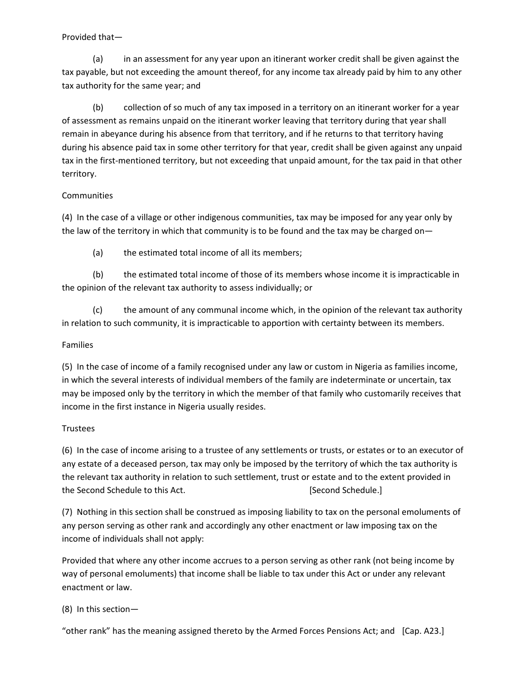#### Provided that—

(a) in an assessment for any year upon an itinerant worker credit shall be given against the tax payable, but not exceeding the amount thereof, for any income tax already paid by him to any other tax authority for the same year; and

(b) collection of so much of any tax imposed in a territory on an itinerant worker for a year of assessment as remains unpaid on the itinerant worker leaving that territory during that year shall remain in abeyance during his absence from that territory, and if he returns to that territory having during his absence paid tax in some other territory for that year, credit shall be given against any unpaid tax in the first-mentioned territory, but not exceeding that unpaid amount, for the tax paid in that other territory.

# **Communities**

(4) In the case of a village or other indigenous communities, tax may be imposed for any year only by the law of the territory in which that community is to be found and the tax may be charged on—

(a) the estimated total income of all its members;

(b) the estimated total income of those of its members whose income it is impracticable in the opinion of the relevant tax authority to assess individually; or

(c) the amount of any communal income which, in the opinion of the relevant tax authority in relation to such community, it is impracticable to apportion with certainty between its members.

# Families

(5) In the case of income of a family recognised under any law or custom in Nigeria as families income, in which the several interests of individual members of the family are indeterminate or uncertain, tax may be imposed only by the territory in which the member of that family who customarily receives that income in the first instance in Nigeria usually resides.

# **Trustees**

(6) In the case of income arising to a trustee of any settlements or trusts, or estates or to an executor of any estate of a deceased person, tax may only be imposed by the territory of which the tax authority is the relevant tax authority in relation to such settlement, trust or estate and to the extent provided in the Second Schedule to this Act. [Second Schedule.]

(7) Nothing in this section shall be construed as imposing liability to tax on the personal emoluments of any person serving as other rank and accordingly any other enactment or law imposing tax on the income of individuals shall not apply:

Provided that where any other income accrues to a person serving as other rank (not being income by way of personal emoluments) that income shall be liable to tax under this Act or under any relevant enactment or law.

# (8) In this section—

"other rank" has the meaning assigned thereto by the Armed Forces Pensions Act; and [Cap. A23.]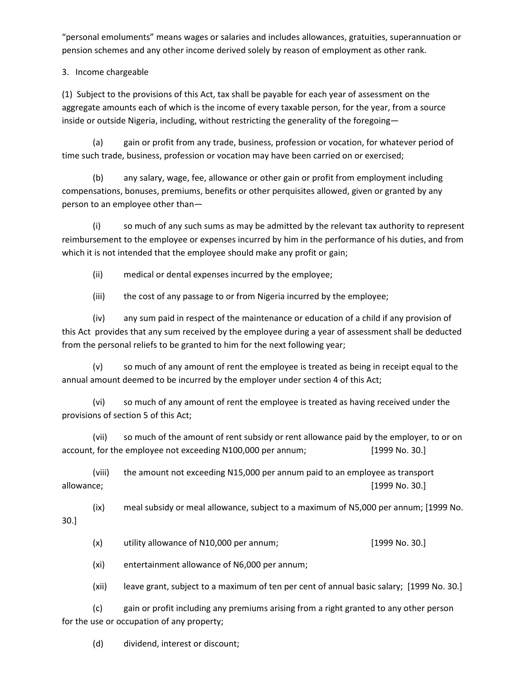"personal emoluments" means wages or salaries and includes allowances, gratuities, superannuation or pension schemes and any other income derived solely by reason of employment as other rank.

3. Income chargeable

(1) Subject to the provisions of this Act, tax shall be payable for each year of assessment on the aggregate amounts each of which is the income of every taxable person, for the year, from a source inside or outside Nigeria, including, without restricting the generality of the foregoing—

(a) gain or profit from any trade, business, profession or vocation, for whatever period of time such trade, business, profession or vocation may have been carried on or exercised;

(b) any salary, wage, fee, allowance or other gain or profit from employment including compensations, bonuses, premiums, benefits or other perquisites allowed, given or granted by any person to an employee other than—

(i) so much of any such sums as may be admitted by the relevant tax authority to represent reimbursement to the employee or expenses incurred by him in the performance of his duties, and from which it is not intended that the employee should make any profit or gain;

(ii) medical or dental expenses incurred by the employee;

(iii) the cost of any passage to or from Nigeria incurred by the employee;

(iv) any sum paid in respect of the maintenance or education of a child if any provision of this Act provides that any sum received by the employee during a year of assessment shall be deducted from the personal reliefs to be granted to him for the next following year;

(v) so much of any amount of rent the employee is treated as being in receipt equal to the annual amount deemed to be incurred by the employer under section 4 of this Act;

(vi) so much of any amount of rent the employee is treated as having received under the provisions of section 5 of this Act;

(vii) so much of the amount of rent subsidy or rent allowance paid by the employer, to or on account, for the employee not exceeding N100,000 per annum; [1999 No. 30.]

(viii) the amount not exceeding N15,000 per annum paid to an employee as transport allowance; [1999 No. 30.]

(ix) meal subsidy or meal allowance, subject to a maximum of N5,000 per annum; [1999 No. 30.]

(x) utility allowance of N10,000 per annum; [1999 No. 30.]

(xi) entertainment allowance of N6,000 per annum;

(xii) leave grant, subject to a maximum of ten per cent of annual basic salary; [1999 No. 30.]

(c) gain or profit including any premiums arising from a right granted to any other person for the use or occupation of any property;

(d) dividend, interest or discount;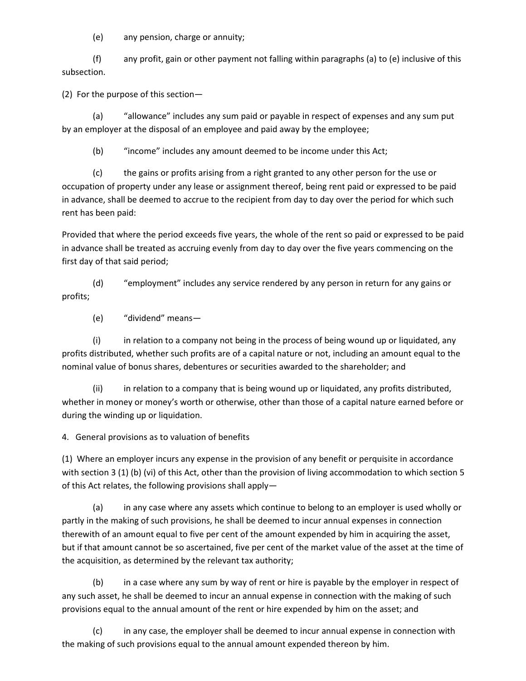(e) any pension, charge or annuity;

(f) any profit, gain or other payment not falling within paragraphs (a) to (e) inclusive of this subsection.

(2) For the purpose of this section—

(a) "allowance" includes any sum paid or payable in respect of expenses and any sum put by an employer at the disposal of an employee and paid away by the employee;

(b) "income" includes any amount deemed to be income under this Act;

(c) the gains or profits arising from a right granted to any other person for the use or occupation of property under any lease or assignment thereof, being rent paid or expressed to be paid in advance, shall be deemed to accrue to the recipient from day to day over the period for which such rent has been paid:

Provided that where the period exceeds five years, the whole of the rent so paid or expressed to be paid in advance shall be treated as accruing evenly from day to day over the five years commencing on the first day of that said period;

(d) "employment" includes any service rendered by any person in return for any gains or profits;

(e) "dividend" means—

(i) in relation to a company not being in the process of being wound up or liquidated, any profits distributed, whether such profits are of a capital nature or not, including an amount equal to the nominal value of bonus shares, debentures or securities awarded to the shareholder; and

(ii) in relation to a company that is being wound up or liquidated, any profits distributed, whether in money or money's worth or otherwise, other than those of a capital nature earned before or during the winding up or liquidation.

4. General provisions as to valuation of benefits

(1) Where an employer incurs any expense in the provision of any benefit or perquisite in accordance with section 3 (1) (b) (vi) of this Act, other than the provision of living accommodation to which section 5 of this Act relates, the following provisions shall apply—

(a) in any case where any assets which continue to belong to an employer is used wholly or partly in the making of such provisions, he shall be deemed to incur annual expenses in connection therewith of an amount equal to five per cent of the amount expended by him in acquiring the asset, but if that amount cannot be so ascertained, five per cent of the market value of the asset at the time of the acquisition, as determined by the relevant tax authority;

(b) in a case where any sum by way of rent or hire is payable by the employer in respect of any such asset, he shall be deemed to incur an annual expense in connection with the making of such provisions equal to the annual amount of the rent or hire expended by him on the asset; and

(c) in any case, the employer shall be deemed to incur annual expense in connection with the making of such provisions equal to the annual amount expended thereon by him.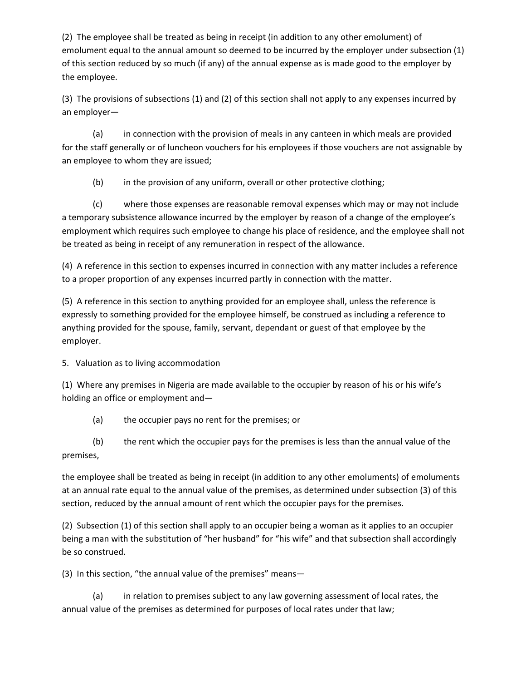(2) The employee shall be treated as being in receipt (in addition to any other emolument) of emolument equal to the annual amount so deemed to be incurred by the employer under subsection (1) of this section reduced by so much (if any) of the annual expense as is made good to the employer by the employee.

(3) The provisions of subsections (1) and (2) of this section shall not apply to any expenses incurred by an employer—

(a) in connection with the provision of meals in any canteen in which meals are provided for the staff generally or of luncheon vouchers for his employees if those vouchers are not assignable by an employee to whom they are issued;

(b) in the provision of any uniform, overall or other protective clothing;

(c) where those expenses are reasonable removal expenses which may or may not include a temporary subsistence allowance incurred by the employer by reason of a change of the employee's employment which requires such employee to change his place of residence, and the employee shall not be treated as being in receipt of any remuneration in respect of the allowance.

(4) A reference in this section to expenses incurred in connection with any matter includes a reference to a proper proportion of any expenses incurred partly in connection with the matter.

(5) A reference in this section to anything provided for an employee shall, unless the reference is expressly to something provided for the employee himself, be construed as including a reference to anything provided for the spouse, family, servant, dependant or guest of that employee by the employer.

5. Valuation as to living accommodation

(1) Where any premises in Nigeria are made available to the occupier by reason of his or his wife's holding an office or employment and—

(a) the occupier pays no rent for the premises; or

(b) the rent which the occupier pays for the premises is less than the annual value of the premises,

the employee shall be treated as being in receipt (in addition to any other emoluments) of emoluments at an annual rate equal to the annual value of the premises, as determined under subsection (3) of this section, reduced by the annual amount of rent which the occupier pays for the premises.

(2) Subsection (1) of this section shall apply to an occupier being a woman as it applies to an occupier being a man with the substitution of "her husband" for "his wife" and that subsection shall accordingly be so construed.

(3) In this section, "the annual value of the premises" means—

(a) in relation to premises subject to any law governing assessment of local rates, the annual value of the premises as determined for purposes of local rates under that law;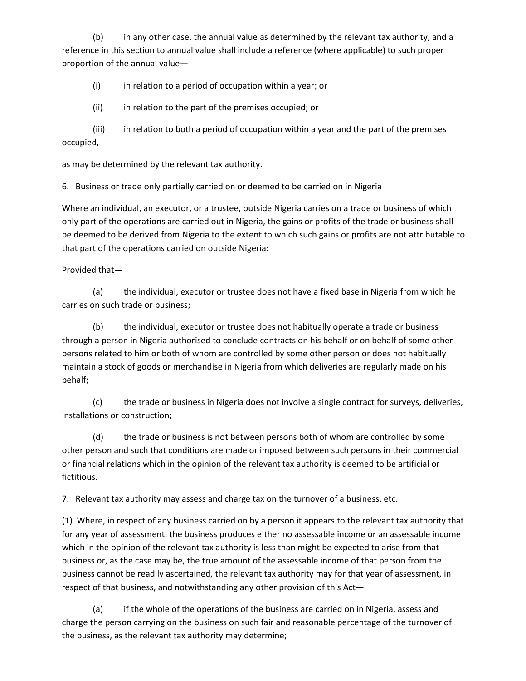(b) in any other case, the annual value as determined by the relevant tax authority, and a reference in this section to annual value shall include a reference (where applicable) to such proper proportion of the annual value—

(i) in relation to a period of occupation within a year; or

(ii) in relation to the part of the premises occupied; or

(iii) in relation to both a period of occupation within a year and the part of the premises occupied,

as may be determined by the relevant tax authority.

6. Business or trade only partially carried on or deemed to be carried on in Nigeria

Where an individual, an executor, or a trustee, outside Nigeria carries on a trade or business of which only part of the operations are carried out in Nigeria, the gains or profits of the trade or business shall be deemed to be derived from Nigeria to the extent to which such gains or profits are not attributable to that part of the operations carried on outside Nigeria:

Provided that—

(a) the individual, executor or trustee does not have a fixed base in Nigeria from which he carries on such trade or business;

(b) the individual, executor or trustee does not habitually operate a trade or business through a person in Nigeria authorised to conclude contracts on his behalf or on behalf of some other persons related to him or both of whom are controlled by some other person or does not habitually maintain a stock of goods or merchandise in Nigeria from which deliveries are regularly made on his behalf;

(c) the trade or business in Nigeria does not involve a single contract for surveys, deliveries, installations or construction;

(d) the trade or business is not between persons both of whom are controlled by some other person and such that conditions are made or imposed between such persons in their commercial or financial relations which in the opinion of the relevant tax authority is deemed to be artificial or fictitious.

7. Relevant tax authority may assess and charge tax on the turnover of a business, etc.

(1) Where, in respect of any business carried on by a person it appears to the relevant tax authority that for any year of assessment, the business produces either no assessable income or an assessable income which in the opinion of the relevant tax authority is less than might be expected to arise from that business or, as the case may be, the true amount of the assessable income of that person from the business cannot be readily ascertained, the relevant tax authority may for that year of assessment, in respect of that business, and notwithstanding any other provision of this Act—

(a) if the whole of the operations of the business are carried on in Nigeria, assess and charge the person carrying on the business on such fair and reasonable percentage of the turnover of the business, as the relevant tax authority may determine;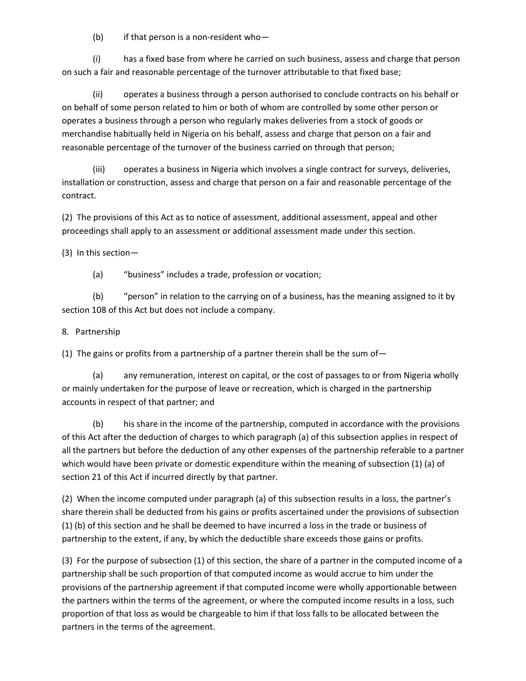(b) if that person is a non-resident who—

(i) has a fixed base from where he carried on such business, assess and charge that person on such a fair and reasonable percentage of the turnover attributable to that fixed base;

(ii) operates a business through a person authorised to conclude contracts on his behalf or on behalf of some person related to him or both of whom are controlled by some other person or operates a business through a person who regularly makes deliveries from a stock of goods or merchandise habitually held in Nigeria on his behalf, assess and charge that person on a fair and reasonable percentage of the turnover of the business carried on through that person;

(iii) operates a business in Nigeria which involves a single contract for surveys, deliveries, installation or construction, assess and charge that person on a fair and reasonable percentage of the contract.

(2) The provisions of this Act as to notice of assessment, additional assessment, appeal and other proceedings shall apply to an assessment or additional assessment made under this section.

(3) In this section—

(a) "business" includes a trade, profession or vocation;

(b) "person" in relation to the carrying on of a business, has the meaning assigned to it by section 108 of this Act but does not include a company.

8. Partnership

(1) The gains or profits from a partnership of a partner therein shall be the sum of-

(a) any remuneration, interest on capital, or the cost of passages to or from Nigeria wholly or mainly undertaken for the purpose of leave or recreation, which is charged in the partnership accounts in respect of that partner; and

(b) his share in the income of the partnership, computed in accordance with the provisions of this Act after the deduction of charges to which paragraph (a) of this subsection applies in respect of all the partners but before the deduction of any other expenses of the partnership referable to a partner which would have been private or domestic expenditure within the meaning of subsection (1) (a) of section 21 of this Act if incurred directly by that partner.

(2) When the income computed under paragraph (a) of this subsection results in a loss, the partner's share therein shall be deducted from his gains or profits ascertained under the provisions of subsection (1) (b) of this section and he shall be deemed to have incurred a loss in the trade or business of partnership to the extent, if any, by which the deductible share exceeds those gains or profits.

(3) For the purpose of subsection (1) of this section, the share of a partner in the computed income of a partnership shall be such proportion of that computed income as would accrue to him under the provisions of the partnership agreement if that computed income were wholly apportionable between the partners within the terms of the agreement, or where the computed income results in a loss, such proportion of that loss as would be chargeable to him if that loss falls to be allocated between the partners in the terms of the agreement.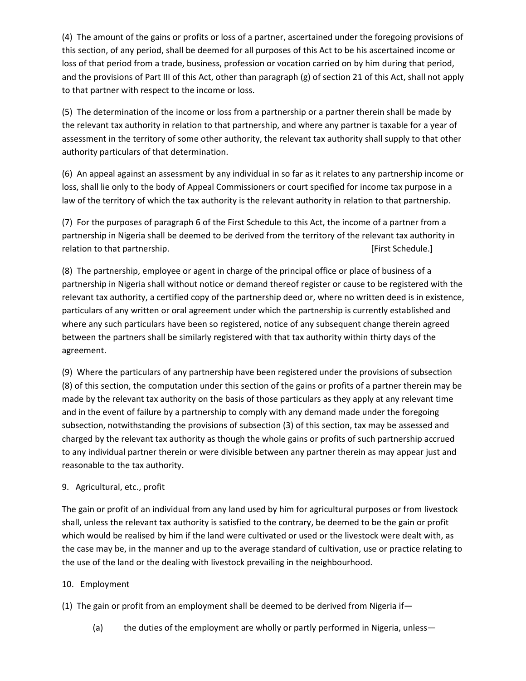(4) The amount of the gains or profits or loss of a partner, ascertained under the foregoing provisions of this section, of any period, shall be deemed for all purposes of this Act to be his ascertained income or loss of that period from a trade, business, profession or vocation carried on by him during that period, and the provisions of Part III of this Act, other than paragraph (g) of section 21 of this Act, shall not apply to that partner with respect to the income or loss.

(5) The determination of the income or loss from a partnership or a partner therein shall be made by the relevant tax authority in relation to that partnership, and where any partner is taxable for a year of assessment in the territory of some other authority, the relevant tax authority shall supply to that other authority particulars of that determination.

(6) An appeal against an assessment by any individual in so far as it relates to any partnership income or loss, shall lie only to the body of Appeal Commissioners or court specified for income tax purpose in a law of the territory of which the tax authority is the relevant authority in relation to that partnership.

(7) For the purposes of paragraph 6 of the First Schedule to this Act, the income of a partner from a partnership in Nigeria shall be deemed to be derived from the territory of the relevant tax authority in relation to that partnership. The contraction of the contraction of the contraction of the contraction of the contraction of the contraction of the contraction of the contraction of the contraction of the contraction of th

(8) The partnership, employee or agent in charge of the principal office or place of business of a partnership in Nigeria shall without notice or demand thereof register or cause to be registered with the relevant tax authority, a certified copy of the partnership deed or, where no written deed is in existence, particulars of any written or oral agreement under which the partnership is currently established and where any such particulars have been so registered, notice of any subsequent change therein agreed between the partners shall be similarly registered with that tax authority within thirty days of the agreement.

(9) Where the particulars of any partnership have been registered under the provisions of subsection (8) of this section, the computation under this section of the gains or profits of a partner therein may be made by the relevant tax authority on the basis of those particulars as they apply at any relevant time and in the event of failure by a partnership to comply with any demand made under the foregoing subsection, notwithstanding the provisions of subsection (3) of this section, tax may be assessed and charged by the relevant tax authority as though the whole gains or profits of such partnership accrued to any individual partner therein or were divisible between any partner therein as may appear just and reasonable to the tax authority.

# 9. Agricultural, etc., profit

The gain or profit of an individual from any land used by him for agricultural purposes or from livestock shall, unless the relevant tax authority is satisfied to the contrary, be deemed to be the gain or profit which would be realised by him if the land were cultivated or used or the livestock were dealt with, as the case may be, in the manner and up to the average standard of cultivation, use or practice relating to the use of the land or the dealing with livestock prevailing in the neighbourhood.

# 10. Employment

(1) The gain or profit from an employment shall be deemed to be derived from Nigeria if—

(a) the duties of the employment are wholly or partly performed in Nigeria, unless—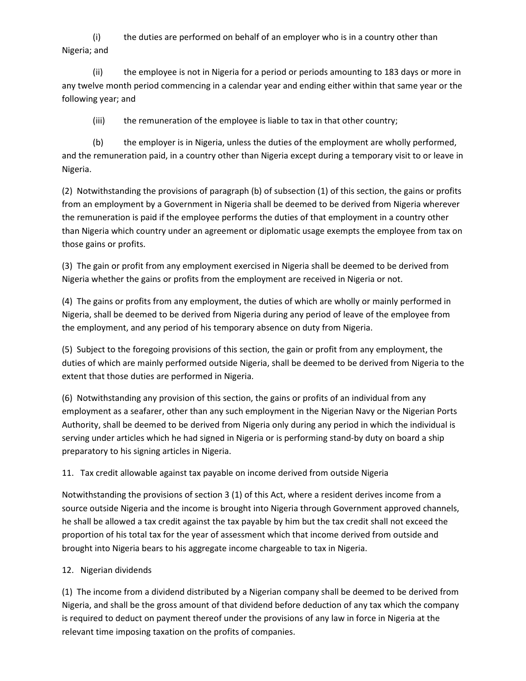(i) the duties are performed on behalf of an employer who is in a country other than Nigeria; and

(ii) the employee is not in Nigeria for a period or periods amounting to 183 days or more in any twelve month period commencing in a calendar year and ending either within that same year or the following year; and

(iii) the remuneration of the employee is liable to tax in that other country;

(b) the employer is in Nigeria, unless the duties of the employment are wholly performed, and the remuneration paid, in a country other than Nigeria except during a temporary visit to or leave in Nigeria.

(2) Notwithstanding the provisions of paragraph (b) of subsection (1) of this section, the gains or profits from an employment by a Government in Nigeria shall be deemed to be derived from Nigeria wherever the remuneration is paid if the employee performs the duties of that employment in a country other than Nigeria which country under an agreement or diplomatic usage exempts the employee from tax on those gains or profits.

(3) The gain or profit from any employment exercised in Nigeria shall be deemed to be derived from Nigeria whether the gains or profits from the employment are received in Nigeria or not.

(4) The gains or profits from any employment, the duties of which are wholly or mainly performed in Nigeria, shall be deemed to be derived from Nigeria during any period of leave of the employee from the employment, and any period of his temporary absence on duty from Nigeria.

(5) Subject to the foregoing provisions of this section, the gain or profit from any employment, the duties of which are mainly performed outside Nigeria, shall be deemed to be derived from Nigeria to the extent that those duties are performed in Nigeria.

(6) Notwithstanding any provision of this section, the gains or profits of an individual from any employment as a seafarer, other than any such employment in the Nigerian Navy or the Nigerian Ports Authority, shall be deemed to be derived from Nigeria only during any period in which the individual is serving under articles which he had signed in Nigeria or is performing stand-by duty on board a ship preparatory to his signing articles in Nigeria.

# 11. Tax credit allowable against tax payable on income derived from outside Nigeria

Notwithstanding the provisions of section 3 (1) of this Act, where a resident derives income from a source outside Nigeria and the income is brought into Nigeria through Government approved channels, he shall be allowed a tax credit against the tax payable by him but the tax credit shall not exceed the proportion of his total tax for the year of assessment which that income derived from outside and brought into Nigeria bears to his aggregate income chargeable to tax in Nigeria.

# 12. Nigerian dividends

(1) The income from a dividend distributed by a Nigerian company shall be deemed to be derived from Nigeria, and shall be the gross amount of that dividend before deduction of any tax which the company is required to deduct on payment thereof under the provisions of any law in force in Nigeria at the relevant time imposing taxation on the profits of companies.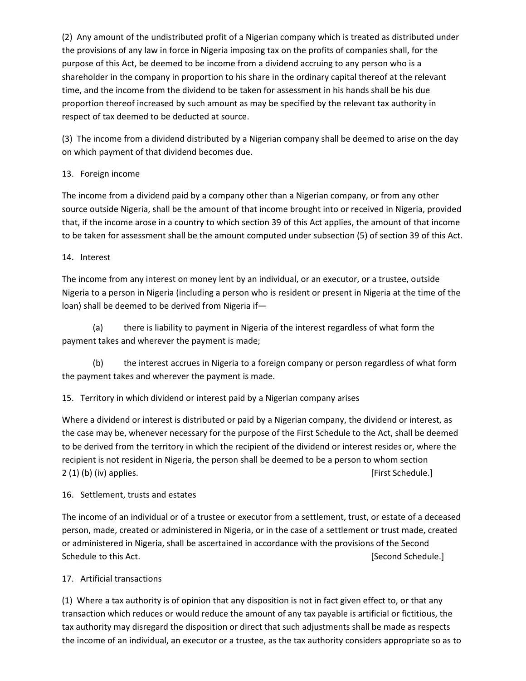(2) Any amount of the undistributed profit of a Nigerian company which is treated as distributed under the provisions of any law in force in Nigeria imposing tax on the profits of companies shall, for the purpose of this Act, be deemed to be income from a dividend accruing to any person who is a shareholder in the company in proportion to his share in the ordinary capital thereof at the relevant time, and the income from the dividend to be taken for assessment in his hands shall be his due proportion thereof increased by such amount as may be specified by the relevant tax authority in respect of tax deemed to be deducted at source.

(3) The income from a dividend distributed by a Nigerian company shall be deemed to arise on the day on which payment of that dividend becomes due.

# 13. Foreign income

The income from a dividend paid by a company other than a Nigerian company, or from any other source outside Nigeria, shall be the amount of that income brought into or received in Nigeria, provided that, if the income arose in a country to which section 39 of this Act applies, the amount of that income to be taken for assessment shall be the amount computed under subsection (5) of section 39 of this Act.

# 14. Interest

The income from any interest on money lent by an individual, or an executor, or a trustee, outside Nigeria to a person in Nigeria (including a person who is resident or present in Nigeria at the time of the loan) shall be deemed to be derived from Nigeria if—

(a) there is liability to payment in Nigeria of the interest regardless of what form the payment takes and wherever the payment is made;

(b) the interest accrues in Nigeria to a foreign company or person regardless of what form the payment takes and wherever the payment is made.

# 15. Territory in which dividend or interest paid by a Nigerian company arises

Where a dividend or interest is distributed or paid by a Nigerian company, the dividend or interest, as the case may be, whenever necessary for the purpose of the First Schedule to the Act, shall be deemed to be derived from the territory in which the recipient of the dividend or interest resides or, where the recipient is not resident in Nigeria, the person shall be deemed to be a person to whom section 2 (1) (b) (iv) applies. [First Schedule.]

# 16. Settlement, trusts and estates

The income of an individual or of a trustee or executor from a settlement, trust, or estate of a deceased person, made, created or administered in Nigeria, or in the case of a settlement or trust made, created or administered in Nigeria, shall be ascertained in accordance with the provisions of the Second Schedule to this Act. **[Second Schedule.]** [Second Schedule.]

# 17. Artificial transactions

(1) Where a tax authority is of opinion that any disposition is not in fact given effect to, or that any transaction which reduces or would reduce the amount of any tax payable is artificial or fictitious, the tax authority may disregard the disposition or direct that such adjustments shall be made as respects the income of an individual, an executor or a trustee, as the tax authority considers appropriate so as to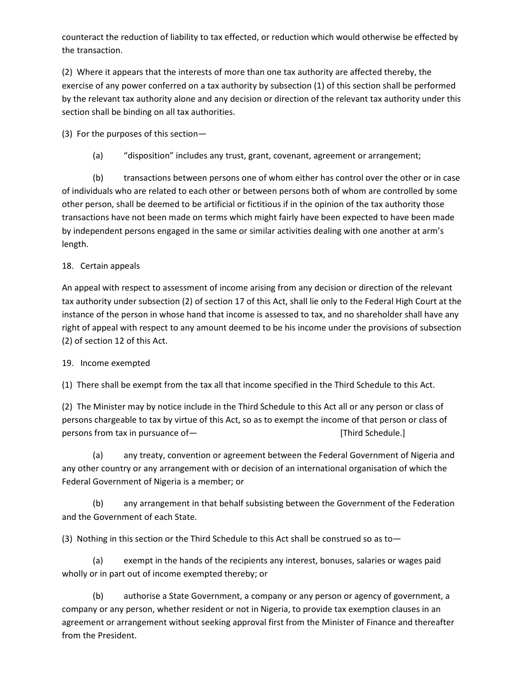counteract the reduction of liability to tax effected, or reduction which would otherwise be effected by the transaction.

(2) Where it appears that the interests of more than one tax authority are affected thereby, the exercise of any power conferred on a tax authority by subsection (1) of this section shall be performed by the relevant tax authority alone and any decision or direction of the relevant tax authority under this section shall be binding on all tax authorities.

(3) For the purposes of this section—

(a) "disposition" includes any trust, grant, covenant, agreement or arrangement;

(b) transactions between persons one of whom either has control over the other or in case of individuals who are related to each other or between persons both of whom are controlled by some other person, shall be deemed to be artificial or fictitious if in the opinion of the tax authority those transactions have not been made on terms which might fairly have been expected to have been made by independent persons engaged in the same or similar activities dealing with one another at arm's length.

# 18. Certain appeals

An appeal with respect to assessment of income arising from any decision or direction of the relevant tax authority under subsection (2) of section 17 of this Act, shall lie only to the Federal High Court at the instance of the person in whose hand that income is assessed to tax, and no shareholder shall have any right of appeal with respect to any amount deemed to be his income under the provisions of subsection (2) of section 12 of this Act.

# 19. Income exempted

(1) There shall be exempt from the tax all that income specified in the Third Schedule to this Act.

(2) The Minister may by notice include in the Third Schedule to this Act all or any person or class of persons chargeable to tax by virtue of this Act, so as to exempt the income of that person or class of persons from tax in pursuance of— **interpretent in the contract of the set of the set of the set of the set of the set of the set of the set of the set of the set of the set of the set of the set of the set of the set of t** 

(a) any treaty, convention or agreement between the Federal Government of Nigeria and any other country or any arrangement with or decision of an international organisation of which the Federal Government of Nigeria is a member; or

(b) any arrangement in that behalf subsisting between the Government of the Federation and the Government of each State.

(3) Nothing in this section or the Third Schedule to this Act shall be construed so as to—

(a) exempt in the hands of the recipients any interest, bonuses, salaries or wages paid wholly or in part out of income exempted thereby; or

(b) authorise a State Government, a company or any person or agency of government, a company or any person, whether resident or not in Nigeria, to provide tax exemption clauses in an agreement or arrangement without seeking approval first from the Minister of Finance and thereafter from the President.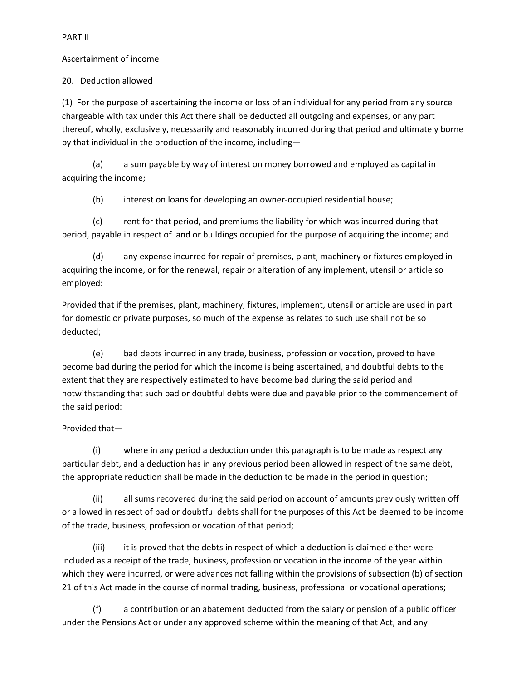PART II

#### Ascertainment of income

20. Deduction allowed

(1) For the purpose of ascertaining the income or loss of an individual for any period from any source chargeable with tax under this Act there shall be deducted all outgoing and expenses, or any part thereof, wholly, exclusively, necessarily and reasonably incurred during that period and ultimately borne by that individual in the production of the income, including—

(a) a sum payable by way of interest on money borrowed and employed as capital in acquiring the income;

(b) interest on loans for developing an owner-occupied residential house;

(c) rent for that period, and premiums the liability for which was incurred during that period, payable in respect of land or buildings occupied for the purpose of acquiring the income; and

(d) any expense incurred for repair of premises, plant, machinery or fixtures employed in acquiring the income, or for the renewal, repair or alteration of any implement, utensil or article so employed:

Provided that if the premises, plant, machinery, fixtures, implement, utensil or article are used in part for domestic or private purposes, so much of the expense as relates to such use shall not be so deducted;

(e) bad debts incurred in any trade, business, profession or vocation, proved to have become bad during the period for which the income is being ascertained, and doubtful debts to the extent that they are respectively estimated to have become bad during the said period and notwithstanding that such bad or doubtful debts were due and payable prior to the commencement of the said period:

# Provided that—

(i) where in any period a deduction under this paragraph is to be made as respect any particular debt, and a deduction has in any previous period been allowed in respect of the same debt, the appropriate reduction shall be made in the deduction to be made in the period in question;

(ii) all sums recovered during the said period on account of amounts previously written off or allowed in respect of bad or doubtful debts shall for the purposes of this Act be deemed to be income of the trade, business, profession or vocation of that period;

(iii) it is proved that the debts in respect of which a deduction is claimed either were included as a receipt of the trade, business, profession or vocation in the income of the year within which they were incurred, or were advances not falling within the provisions of subsection (b) of section 21 of this Act made in the course of normal trading, business, professional or vocational operations;

(f) a contribution or an abatement deducted from the salary or pension of a public officer under the Pensions Act or under any approved scheme within the meaning of that Act, and any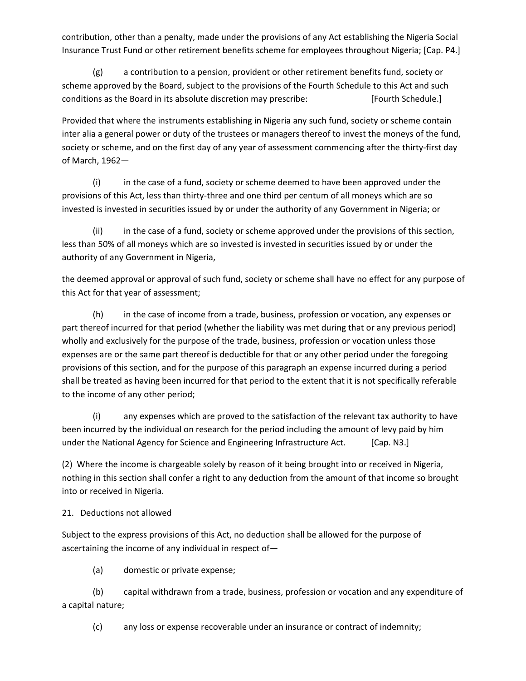contribution, other than a penalty, made under the provisions of any Act establishing the Nigeria Social Insurance Trust Fund or other retirement benefits scheme for employees throughout Nigeria; [Cap. P4.]

(g) a contribution to a pension, provident or other retirement benefits fund, society or scheme approved by the Board, subject to the provisions of the Fourth Schedule to this Act and such conditions as the Board in its absolute discretion may prescribe: [Fourth Schedule.]

Provided that where the instruments establishing in Nigeria any such fund, society or scheme contain inter alia a general power or duty of the trustees or managers thereof to invest the moneys of the fund, society or scheme, and on the first day of any year of assessment commencing after the thirty-first day of March, 1962—

(i) in the case of a fund, society or scheme deemed to have been approved under the provisions of this Act, less than thirty-three and one third per centum of all moneys which are so invested is invested in securities issued by or under the authority of any Government in Nigeria; or

(ii) in the case of a fund, society or scheme approved under the provisions of this section, less than 50% of all moneys which are so invested is invested in securities issued by or under the authority of any Government in Nigeria,

the deemed approval or approval of such fund, society or scheme shall have no effect for any purpose of this Act for that year of assessment;

(h) in the case of income from a trade, business, profession or vocation, any expenses or part thereof incurred for that period (whether the liability was met during that or any previous period) wholly and exclusively for the purpose of the trade, business, profession or vocation unless those expenses are or the same part thereof is deductible for that or any other period under the foregoing provisions of this section, and for the purpose of this paragraph an expense incurred during a period shall be treated as having been incurred for that period to the extent that it is not specifically referable to the income of any other period;

(i) any expenses which are proved to the satisfaction of the relevant tax authority to have been incurred by the individual on research for the period including the amount of levy paid by him under the National Agency for Science and Engineering Infrastructure Act. [Cap. N3.]

(2) Where the income is chargeable solely by reason of it being brought into or received in Nigeria, nothing in this section shall confer a right to any deduction from the amount of that income so brought into or received in Nigeria.

# 21. Deductions not allowed

Subject to the express provisions of this Act, no deduction shall be allowed for the purpose of ascertaining the income of any individual in respect of—

(a) domestic or private expense;

(b) capital withdrawn from a trade, business, profession or vocation and any expenditure of a capital nature;

(c) any loss or expense recoverable under an insurance or contract of indemnity;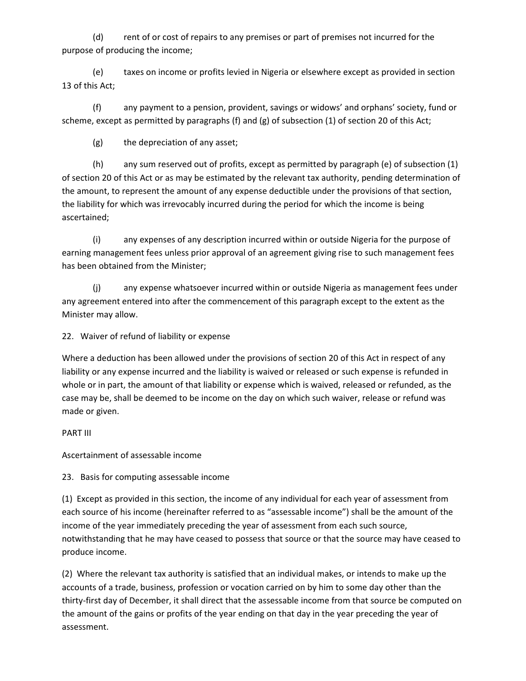(d) rent of or cost of repairs to any premises or part of premises not incurred for the purpose of producing the income;

(e) taxes on income or profits levied in Nigeria or elsewhere except as provided in section 13 of this Act;

(f) any payment to a pension, provident, savings or widows' and orphans' society, fund or scheme, except as permitted by paragraphs (f) and (g) of subsection (1) of section 20 of this Act;

(g) the depreciation of any asset;

(h) any sum reserved out of profits, except as permitted by paragraph (e) of subsection (1) of section 20 of this Act or as may be estimated by the relevant tax authority, pending determination of the amount, to represent the amount of any expense deductible under the provisions of that section, the liability for which was irrevocably incurred during the period for which the income is being ascertained;

(i) any expenses of any description incurred within or outside Nigeria for the purpose of earning management fees unless prior approval of an agreement giving rise to such management fees has been obtained from the Minister;

(j) any expense whatsoever incurred within or outside Nigeria as management fees under any agreement entered into after the commencement of this paragraph except to the extent as the Minister may allow.

22. Waiver of refund of liability or expense

Where a deduction has been allowed under the provisions of section 20 of this Act in respect of any liability or any expense incurred and the liability is waived or released or such expense is refunded in whole or in part, the amount of that liability or expense which is waived, released or refunded, as the case may be, shall be deemed to be income on the day on which such waiver, release or refund was made or given.

PART III

Ascertainment of assessable income

23. Basis for computing assessable income

(1) Except as provided in this section, the income of any individual for each year of assessment from each source of his income (hereinafter referred to as "assessable income") shall be the amount of the income of the year immediately preceding the year of assessment from each such source, notwithstanding that he may have ceased to possess that source or that the source may have ceased to produce income.

(2) Where the relevant tax authority is satisfied that an individual makes, or intends to make up the accounts of a trade, business, profession or vocation carried on by him to some day other than the thirty-first day of December, it shall direct that the assessable income from that source be computed on the amount of the gains or profits of the year ending on that day in the year preceding the year of assessment.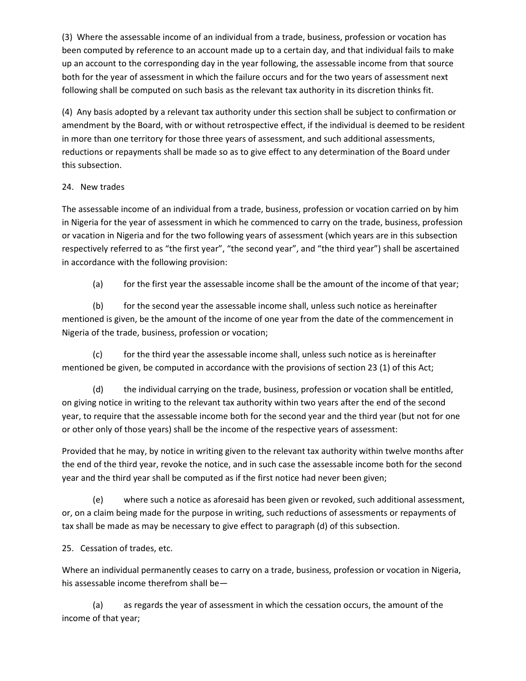(3) Where the assessable income of an individual from a trade, business, profession or vocation has been computed by reference to an account made up to a certain day, and that individual fails to make up an account to the corresponding day in the year following, the assessable income from that source both for the year of assessment in which the failure occurs and for the two years of assessment next following shall be computed on such basis as the relevant tax authority in its discretion thinks fit.

(4) Any basis adopted by a relevant tax authority under this section shall be subject to confirmation or amendment by the Board, with or without retrospective effect, if the individual is deemed to be resident in more than one territory for those three years of assessment, and such additional assessments, reductions or repayments shall be made so as to give effect to any determination of the Board under this subsection.

# 24. New trades

The assessable income of an individual from a trade, business, profession or vocation carried on by him in Nigeria for the year of assessment in which he commenced to carry on the trade, business, profession or vacation in Nigeria and for the two following years of assessment (which years are in this subsection respectively referred to as "the first year", "the second year", and "the third year") shall be ascertained in accordance with the following provision:

(a) for the first year the assessable income shall be the amount of the income of that year;

(b) for the second year the assessable income shall, unless such notice as hereinafter mentioned is given, be the amount of the income of one year from the date of the commencement in Nigeria of the trade, business, profession or vocation;

(c) for the third year the assessable income shall, unless such notice as is hereinafter mentioned be given, be computed in accordance with the provisions of section 23 (1) of this Act;

(d) the individual carrying on the trade, business, profession or vocation shall be entitled, on giving notice in writing to the relevant tax authority within two years after the end of the second year, to require that the assessable income both for the second year and the third year (but not for one or other only of those years) shall be the income of the respective years of assessment:

Provided that he may, by notice in writing given to the relevant tax authority within twelve months after the end of the third year, revoke the notice, and in such case the assessable income both for the second year and the third year shall be computed as if the first notice had never been given;

(e) where such a notice as aforesaid has been given or revoked, such additional assessment, or, on a claim being made for the purpose in writing, such reductions of assessments or repayments of tax shall be made as may be necessary to give effect to paragraph (d) of this subsection.

25. Cessation of trades, etc.

Where an individual permanently ceases to carry on a trade, business, profession or vocation in Nigeria, his assessable income therefrom shall be—

(a) as regards the year of assessment in which the cessation occurs, the amount of the income of that year;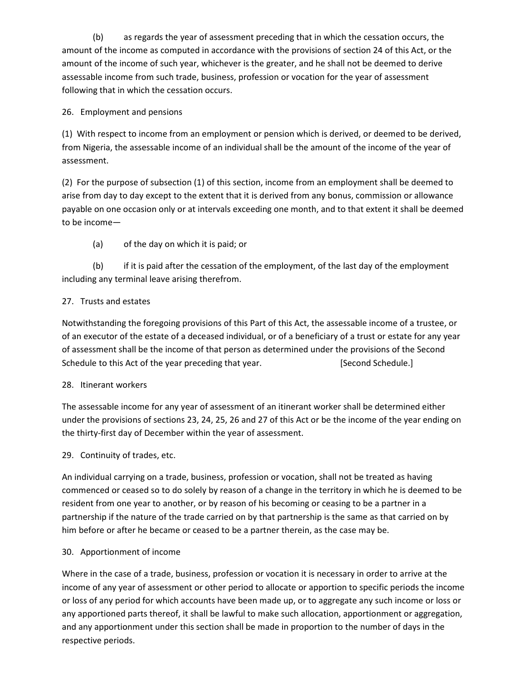(b) as regards the year of assessment preceding that in which the cessation occurs, the amount of the income as computed in accordance with the provisions of section 24 of this Act, or the amount of the income of such year, whichever is the greater, and he shall not be deemed to derive assessable income from such trade, business, profession or vocation for the year of assessment following that in which the cessation occurs.

# 26. Employment and pensions

(1) With respect to income from an employment or pension which is derived, or deemed to be derived, from Nigeria, the assessable income of an individual shall be the amount of the income of the year of assessment.

(2) For the purpose of subsection (1) of this section, income from an employment shall be deemed to arise from day to day except to the extent that it is derived from any bonus, commission or allowance payable on one occasion only or at intervals exceeding one month, and to that extent it shall be deemed to be income—

(a) of the day on which it is paid; or

(b) if it is paid after the cessation of the employment, of the last day of the employment including any terminal leave arising therefrom.

# 27. Trusts and estates

Notwithstanding the foregoing provisions of this Part of this Act, the assessable income of a trustee, or of an executor of the estate of a deceased individual, or of a beneficiary of a trust or estate for any year of assessment shall be the income of that person as determined under the provisions of the Second Schedule to this Act of the year preceding that year. [Second Schedule.]

# 28. Itinerant workers

The assessable income for any year of assessment of an itinerant worker shall be determined either under the provisions of sections 23, 24, 25, 26 and 27 of this Act or be the income of the year ending on the thirty-first day of December within the year of assessment.

# 29. Continuity of trades, etc.

An individual carrying on a trade, business, profession or vocation, shall not be treated as having commenced or ceased so to do solely by reason of a change in the territory in which he is deemed to be resident from one year to another, or by reason of his becoming or ceasing to be a partner in a partnership if the nature of the trade carried on by that partnership is the same as that carried on by him before or after he became or ceased to be a partner therein, as the case may be.

# 30. Apportionment of income

Where in the case of a trade, business, profession or vocation it is necessary in order to arrive at the income of any year of assessment or other period to allocate or apportion to specific periods the income or loss of any period for which accounts have been made up, or to aggregate any such income or loss or any apportioned parts thereof, it shall be lawful to make such allocation, apportionment or aggregation, and any apportionment under this section shall be made in proportion to the number of days in the respective periods.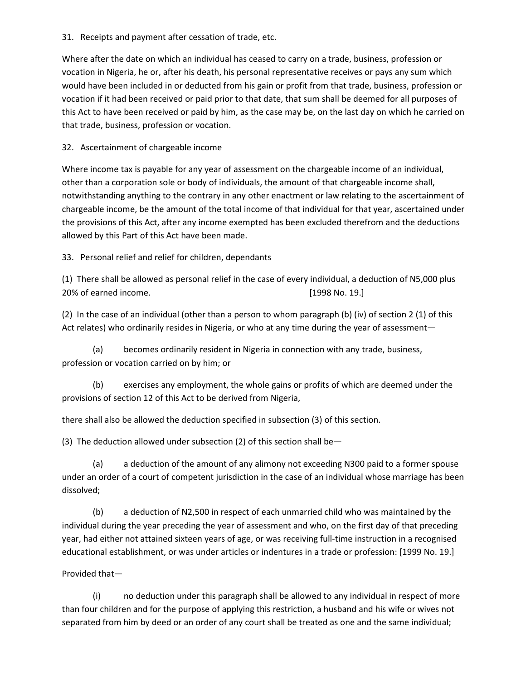#### 31. Receipts and payment after cessation of trade, etc.

Where after the date on which an individual has ceased to carry on a trade, business, profession or vocation in Nigeria, he or, after his death, his personal representative receives or pays any sum which would have been included in or deducted from his gain or profit from that trade, business, profession or vocation if it had been received or paid prior to that date, that sum shall be deemed for all purposes of this Act to have been received or paid by him, as the case may be, on the last day on which he carried on that trade, business, profession or vocation.

# 32. Ascertainment of chargeable income

Where income tax is payable for any year of assessment on the chargeable income of an individual, other than a corporation sole or body of individuals, the amount of that chargeable income shall, notwithstanding anything to the contrary in any other enactment or law relating to the ascertainment of chargeable income, be the amount of the total income of that individual for that year, ascertained under the provisions of this Act, after any income exempted has been excluded therefrom and the deductions allowed by this Part of this Act have been made.

# 33. Personal relief and relief for children, dependants

(1) There shall be allowed as personal relief in the case of every individual, a deduction of N5,000 plus 20% of earned income. [1998 No. 19.]

(2) In the case of an individual (other than a person to whom paragraph (b) (iv) of section 2 (1) of this Act relates) who ordinarily resides in Nigeria, or who at any time during the year of assessment—

(a) becomes ordinarily resident in Nigeria in connection with any trade, business, profession or vocation carried on by him; or

(b) exercises any employment, the whole gains or profits of which are deemed under the provisions of section 12 of this Act to be derived from Nigeria,

there shall also be allowed the deduction specified in subsection (3) of this section.

(3) The deduction allowed under subsection (2) of this section shall be  $-$ 

(a) a deduction of the amount of any alimony not exceeding N300 paid to a former spouse under an order of a court of competent jurisdiction in the case of an individual whose marriage has been dissolved;

(b) a deduction of N2,500 in respect of each unmarried child who was maintained by the individual during the year preceding the year of assessment and who, on the first day of that preceding year, had either not attained sixteen years of age, or was receiving full-time instruction in a recognised educational establishment, or was under articles or indentures in a trade or profession: [1999 No. 19.]

# Provided that—

(i) no deduction under this paragraph shall be allowed to any individual in respect of more than four children and for the purpose of applying this restriction, a husband and his wife or wives not separated from him by deed or an order of any court shall be treated as one and the same individual;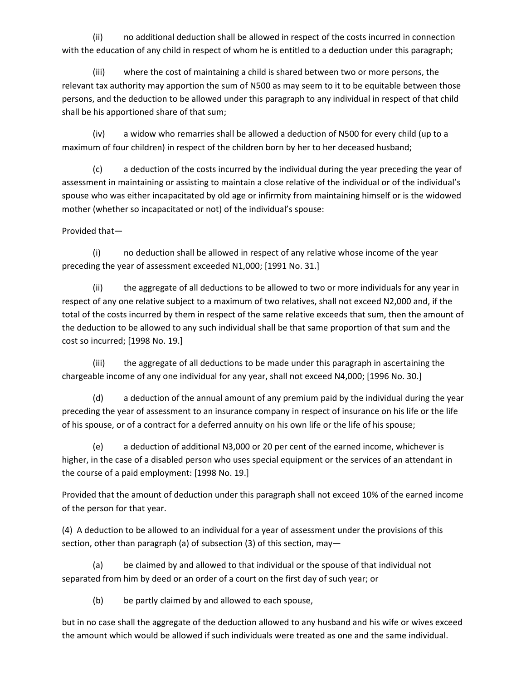(ii) no additional deduction shall be allowed in respect of the costs incurred in connection with the education of any child in respect of whom he is entitled to a deduction under this paragraph;

(iii) where the cost of maintaining a child is shared between two or more persons, the relevant tax authority may apportion the sum of N500 as may seem to it to be equitable between those persons, and the deduction to be allowed under this paragraph to any individual in respect of that child shall be his apportioned share of that sum;

(iv) a widow who remarries shall be allowed a deduction of N500 for every child (up to a maximum of four children) in respect of the children born by her to her deceased husband;

(c) a deduction of the costs incurred by the individual during the year preceding the year of assessment in maintaining or assisting to maintain a close relative of the individual or of the individual's spouse who was either incapacitated by old age or infirmity from maintaining himself or is the widowed mother (whether so incapacitated or not) of the individual's spouse:

Provided that—

(i) no deduction shall be allowed in respect of any relative whose income of the year preceding the year of assessment exceeded N1,000; [1991 No. 31.]

(ii) the aggregate of all deductions to be allowed to two or more individuals for any year in respect of any one relative subject to a maximum of two relatives, shall not exceed N2,000 and, if the total of the costs incurred by them in respect of the same relative exceeds that sum, then the amount of the deduction to be allowed to any such individual shall be that same proportion of that sum and the cost so incurred; [1998 No. 19.]

(iii) the aggregate of all deductions to be made under this paragraph in ascertaining the chargeable income of any one individual for any year, shall not exceed N4,000; [1996 No. 30.]

(d) a deduction of the annual amount of any premium paid by the individual during the year preceding the year of assessment to an insurance company in respect of insurance on his life or the life of his spouse, or of a contract for a deferred annuity on his own life or the life of his spouse;

(e) a deduction of additional N3,000 or 20 per cent of the earned income, whichever is higher, in the case of a disabled person who uses special equipment or the services of an attendant in the course of a paid employment: [1998 No. 19.]

Provided that the amount of deduction under this paragraph shall not exceed 10% of the earned income of the person for that year.

(4) A deduction to be allowed to an individual for a year of assessment under the provisions of this section, other than paragraph (a) of subsection (3) of this section, may—

(a) be claimed by and allowed to that individual or the spouse of that individual not separated from him by deed or an order of a court on the first day of such year; or

(b) be partly claimed by and allowed to each spouse,

but in no case shall the aggregate of the deduction allowed to any husband and his wife or wives exceed the amount which would be allowed if such individuals were treated as one and the same individual.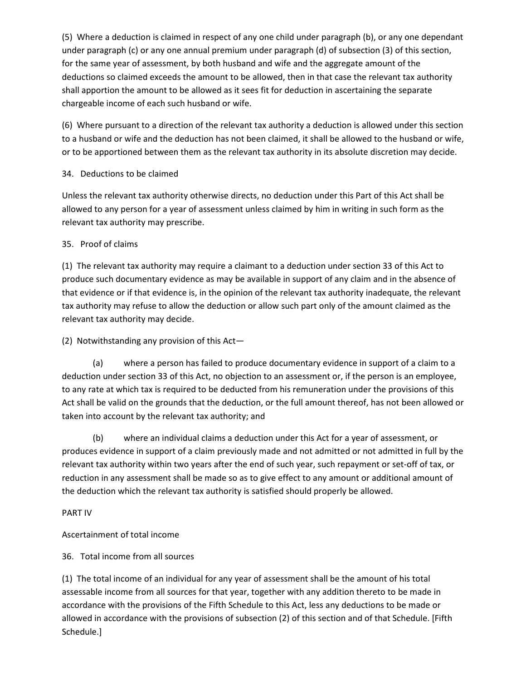(5) Where a deduction is claimed in respect of any one child under paragraph (b), or any one dependant under paragraph (c) or any one annual premium under paragraph (d) of subsection (3) of this section, for the same year of assessment, by both husband and wife and the aggregate amount of the deductions so claimed exceeds the amount to be allowed, then in that case the relevant tax authority shall apportion the amount to be allowed as it sees fit for deduction in ascertaining the separate chargeable income of each such husband or wife.

(6) Where pursuant to a direction of the relevant tax authority a deduction is allowed under this section to a husband or wife and the deduction has not been claimed, it shall be allowed to the husband or wife, or to be apportioned between them as the relevant tax authority in its absolute discretion may decide.

# 34. Deductions to be claimed

Unless the relevant tax authority otherwise directs, no deduction under this Part of this Act shall be allowed to any person for a year of assessment unless claimed by him in writing in such form as the relevant tax authority may prescribe.

# 35. Proof of claims

(1) The relevant tax authority may require a claimant to a deduction under section 33 of this Act to produce such documentary evidence as may be available in support of any claim and in the absence of that evidence or if that evidence is, in the opinion of the relevant tax authority inadequate, the relevant tax authority may refuse to allow the deduction or allow such part only of the amount claimed as the relevant tax authority may decide.

(2) Notwithstanding any provision of this Act—

(a) where a person has failed to produce documentary evidence in support of a claim to a deduction under section 33 of this Act, no objection to an assessment or, if the person is an employee, to any rate at which tax is required to be deducted from his remuneration under the provisions of this Act shall be valid on the grounds that the deduction, or the full amount thereof, has not been allowed or taken into account by the relevant tax authority; and

(b) where an individual claims a deduction under this Act for a year of assessment, or produces evidence in support of a claim previously made and not admitted or not admitted in full by the relevant tax authority within two years after the end of such year, such repayment or set-off of tax, or reduction in any assessment shall be made so as to give effect to any amount or additional amount of the deduction which the relevant tax authority is satisfied should properly be allowed.

#### PART IV

# Ascertainment of total income

# 36. Total income from all sources

(1) The total income of an individual for any year of assessment shall be the amount of his total assessable income from all sources for that year, together with any addition thereto to be made in accordance with the provisions of the Fifth Schedule to this Act, less any deductions to be made or allowed in accordance with the provisions of subsection (2) of this section and of that Schedule. [Fifth Schedule.]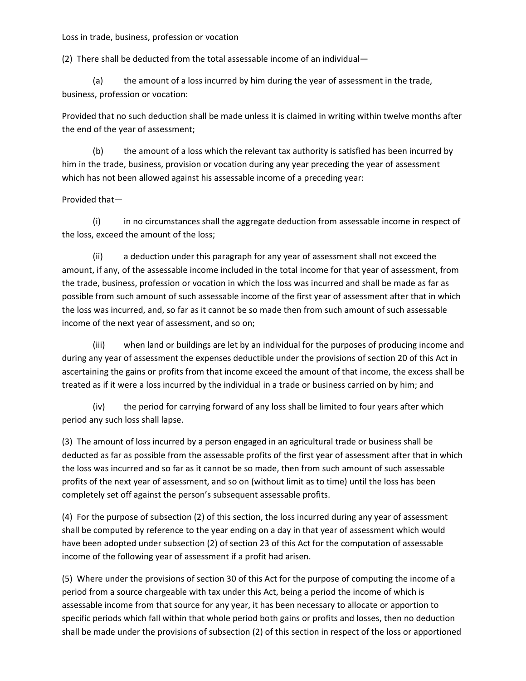Loss in trade, business, profession or vocation

(2) There shall be deducted from the total assessable income of an individual—

(a) the amount of a loss incurred by him during the year of assessment in the trade, business, profession or vocation:

Provided that no such deduction shall be made unless it is claimed in writing within twelve months after the end of the year of assessment;

(b) the amount of a loss which the relevant tax authority is satisfied has been incurred by him in the trade, business, provision or vocation during any year preceding the year of assessment which has not been allowed against his assessable income of a preceding year:

#### Provided that—

(i) in no circumstances shall the aggregate deduction from assessable income in respect of the loss, exceed the amount of the loss;

(ii) a deduction under this paragraph for any year of assessment shall not exceed the amount, if any, of the assessable income included in the total income for that year of assessment, from the trade, business, profession or vocation in which the loss was incurred and shall be made as far as possible from such amount of such assessable income of the first year of assessment after that in which the loss was incurred, and, so far as it cannot be so made then from such amount of such assessable income of the next year of assessment, and so on;

(iii) when land or buildings are let by an individual for the purposes of producing income and during any year of assessment the expenses deductible under the provisions of section 20 of this Act in ascertaining the gains or profits from that income exceed the amount of that income, the excess shall be treated as if it were a loss incurred by the individual in a trade or business carried on by him; and

(iv) the period for carrying forward of any loss shall be limited to four years after which period any such loss shall lapse.

(3) The amount of loss incurred by a person engaged in an agricultural trade or business shall be deducted as far as possible from the assessable profits of the first year of assessment after that in which the loss was incurred and so far as it cannot be so made, then from such amount of such assessable profits of the next year of assessment, and so on (without limit as to time) until the loss has been completely set off against the person's subsequent assessable profits.

(4) For the purpose of subsection (2) of this section, the loss incurred during any year of assessment shall be computed by reference to the year ending on a day in that year of assessment which would have been adopted under subsection (2) of section 23 of this Act for the computation of assessable income of the following year of assessment if a profit had arisen.

(5) Where under the provisions of section 30 of this Act for the purpose of computing the income of a period from a source chargeable with tax under this Act, being a period the income of which is assessable income from that source for any year, it has been necessary to allocate or apportion to specific periods which fall within that whole period both gains or profits and losses, then no deduction shall be made under the provisions of subsection (2) of this section in respect of the loss or apportioned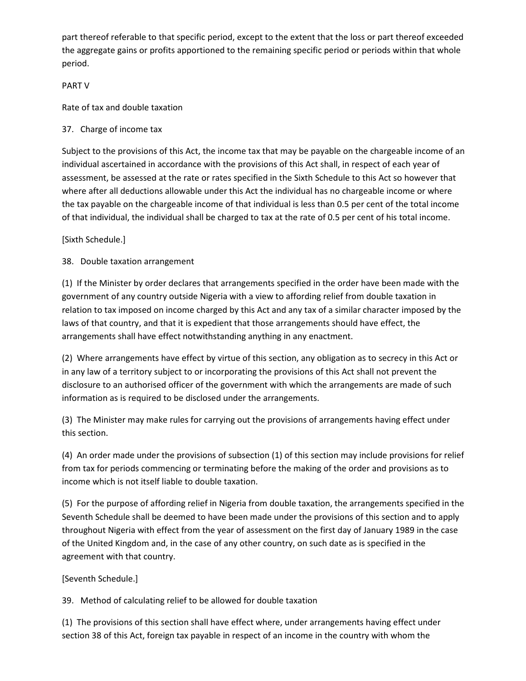part thereof referable to that specific period, except to the extent that the loss or part thereof exceeded the aggregate gains or profits apportioned to the remaining specific period or periods within that whole period.

#### PART V

Rate of tax and double taxation

37. Charge of income tax

Subject to the provisions of this Act, the income tax that may be payable on the chargeable income of an individual ascertained in accordance with the provisions of this Act shall, in respect of each year of assessment, be assessed at the rate or rates specified in the Sixth Schedule to this Act so however that where after all deductions allowable under this Act the individual has no chargeable income or where the tax payable on the chargeable income of that individual is less than 0.5 per cent of the total income of that individual, the individual shall be charged to tax at the rate of 0.5 per cent of his total income.

[Sixth Schedule.]

38. Double taxation arrangement

(1) If the Minister by order declares that arrangements specified in the order have been made with the government of any country outside Nigeria with a view to affording relief from double taxation in relation to tax imposed on income charged by this Act and any tax of a similar character imposed by the laws of that country, and that it is expedient that those arrangements should have effect, the arrangements shall have effect notwithstanding anything in any enactment.

(2) Where arrangements have effect by virtue of this section, any obligation as to secrecy in this Act or in any law of a territory subject to or incorporating the provisions of this Act shall not prevent the disclosure to an authorised officer of the government with which the arrangements are made of such information as is required to be disclosed under the arrangements.

(3) The Minister may make rules for carrying out the provisions of arrangements having effect under this section.

(4) An order made under the provisions of subsection (1) of this section may include provisions for relief from tax for periods commencing or terminating before the making of the order and provisions as to income which is not itself liable to double taxation.

(5) For the purpose of affording relief in Nigeria from double taxation, the arrangements specified in the Seventh Schedule shall be deemed to have been made under the provisions of this section and to apply throughout Nigeria with effect from the year of assessment on the first day of January 1989 in the case of the United Kingdom and, in the case of any other country, on such date as is specified in the agreement with that country.

# [Seventh Schedule.]

39. Method of calculating relief to be allowed for double taxation

(1) The provisions of this section shall have effect where, under arrangements having effect under section 38 of this Act, foreign tax payable in respect of an income in the country with whom the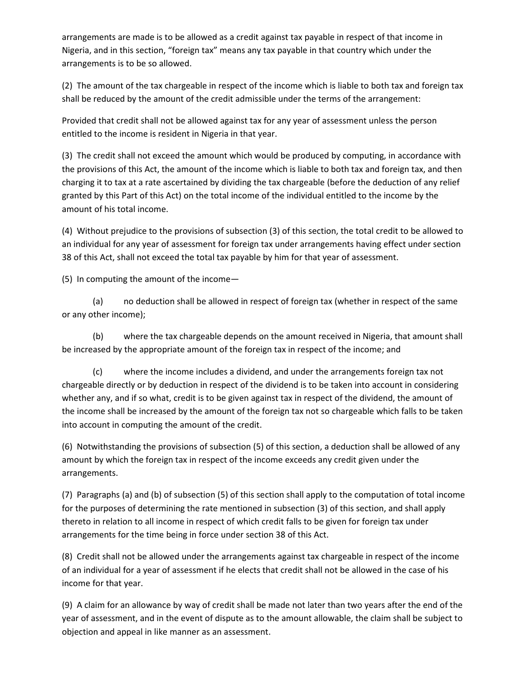arrangements are made is to be allowed as a credit against tax payable in respect of that income in Nigeria, and in this section, "foreign tax" means any tax payable in that country which under the arrangements is to be so allowed.

(2) The amount of the tax chargeable in respect of the income which is liable to both tax and foreign tax shall be reduced by the amount of the credit admissible under the terms of the arrangement:

Provided that credit shall not be allowed against tax for any year of assessment unless the person entitled to the income is resident in Nigeria in that year.

(3) The credit shall not exceed the amount which would be produced by computing, in accordance with the provisions of this Act, the amount of the income which is liable to both tax and foreign tax, and then charging it to tax at a rate ascertained by dividing the tax chargeable (before the deduction of any relief granted by this Part of this Act) on the total income of the individual entitled to the income by the amount of his total income.

(4) Without prejudice to the provisions of subsection (3) of this section, the total credit to be allowed to an individual for any year of assessment for foreign tax under arrangements having effect under section 38 of this Act, shall not exceed the total tax payable by him for that year of assessment.

(5) In computing the amount of the income—

(a) no deduction shall be allowed in respect of foreign tax (whether in respect of the same or any other income);

(b) where the tax chargeable depends on the amount received in Nigeria, that amount shall be increased by the appropriate amount of the foreign tax in respect of the income; and

(c) where the income includes a dividend, and under the arrangements foreign tax not chargeable directly or by deduction in respect of the dividend is to be taken into account in considering whether any, and if so what, credit is to be given against tax in respect of the dividend, the amount of the income shall be increased by the amount of the foreign tax not so chargeable which falls to be taken into account in computing the amount of the credit.

(6) Notwithstanding the provisions of subsection (5) of this section, a deduction shall be allowed of any amount by which the foreign tax in respect of the income exceeds any credit given under the arrangements.

(7) Paragraphs (a) and (b) of subsection (5) of this section shall apply to the computation of total income for the purposes of determining the rate mentioned in subsection (3) of this section, and shall apply thereto in relation to all income in respect of which credit falls to be given for foreign tax under arrangements for the time being in force under section 38 of this Act.

(8) Credit shall not be allowed under the arrangements against tax chargeable in respect of the income of an individual for a year of assessment if he elects that credit shall not be allowed in the case of his income for that year.

(9) A claim for an allowance by way of credit shall be made not later than two years after the end of the year of assessment, and in the event of dispute as to the amount allowable, the claim shall be subject to objection and appeal in like manner as an assessment.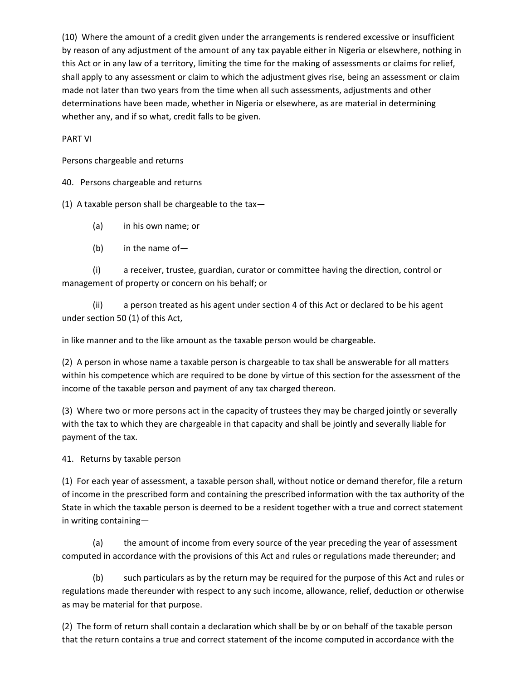(10) Where the amount of a credit given under the arrangements is rendered excessive or insufficient by reason of any adjustment of the amount of any tax payable either in Nigeria or elsewhere, nothing in this Act or in any law of a territory, limiting the time for the making of assessments or claims for relief, shall apply to any assessment or claim to which the adjustment gives rise, being an assessment or claim made not later than two years from the time when all such assessments, adjustments and other determinations have been made, whether in Nigeria or elsewhere, as are material in determining whether any, and if so what, credit falls to be given.

PART VI

Persons chargeable and returns

40. Persons chargeable and returns

(1) A taxable person shall be chargeable to the tax-

- (a) in his own name; or
- (b) in the name of—

(i) a receiver, trustee, guardian, curator or committee having the direction, control or management of property or concern on his behalf; or

(ii) a person treated as his agent under section 4 of this Act or declared to be his agent under section 50 (1) of this Act,

in like manner and to the like amount as the taxable person would be chargeable.

(2) A person in whose name a taxable person is chargeable to tax shall be answerable for all matters within his competence which are required to be done by virtue of this section for the assessment of the income of the taxable person and payment of any tax charged thereon.

(3) Where two or more persons act in the capacity of trustees they may be charged jointly or severally with the tax to which they are chargeable in that capacity and shall be jointly and severally liable for payment of the tax.

41. Returns by taxable person

(1) For each year of assessment, a taxable person shall, without notice or demand therefor, file a return of income in the prescribed form and containing the prescribed information with the tax authority of the State in which the taxable person is deemed to be a resident together with a true and correct statement in writing containing—

(a) the amount of income from every source of the year preceding the year of assessment computed in accordance with the provisions of this Act and rules or regulations made thereunder; and

(b) such particulars as by the return may be required for the purpose of this Act and rules or regulations made thereunder with respect to any such income, allowance, relief, deduction or otherwise as may be material for that purpose.

(2) The form of return shall contain a declaration which shall be by or on behalf of the taxable person that the return contains a true and correct statement of the income computed in accordance with the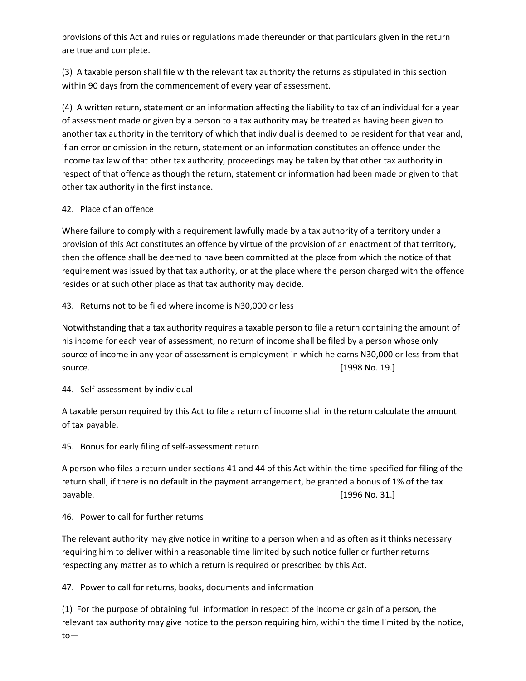provisions of this Act and rules or regulations made thereunder or that particulars given in the return are true and complete.

(3) A taxable person shall file with the relevant tax authority the returns as stipulated in this section within 90 days from the commencement of every year of assessment.

(4) A written return, statement or an information affecting the liability to tax of an individual for a year of assessment made or given by a person to a tax authority may be treated as having been given to another tax authority in the territory of which that individual is deemed to be resident for that year and, if an error or omission in the return, statement or an information constitutes an offence under the income tax law of that other tax authority, proceedings may be taken by that other tax authority in respect of that offence as though the return, statement or information had been made or given to that other tax authority in the first instance.

# 42. Place of an offence

Where failure to comply with a requirement lawfully made by a tax authority of a territory under a provision of this Act constitutes an offence by virtue of the provision of an enactment of that territory, then the offence shall be deemed to have been committed at the place from which the notice of that requirement was issued by that tax authority, or at the place where the person charged with the offence resides or at such other place as that tax authority may decide.

43. Returns not to be filed where income is N30,000 or less

Notwithstanding that a tax authority requires a taxable person to file a return containing the amount of his income for each year of assessment, no return of income shall be filed by a person whose only source of income in any year of assessment is employment in which he earns N30,000 or less from that source. [1998 No. 19.]

# 44. Self-assessment by individual

A taxable person required by this Act to file a return of income shall in the return calculate the amount of tax payable.

# 45. Bonus for early filing of self-assessment return

A person who files a return under sections 41 and 44 of this Act within the time specified for filing of the return shall, if there is no default in the payment arrangement, be granted a bonus of 1% of the tax payable. [1996 No. 31.]

# 46. Power to call for further returns

The relevant authority may give notice in writing to a person when and as often as it thinks necessary requiring him to deliver within a reasonable time limited by such notice fuller or further returns respecting any matter as to which a return is required or prescribed by this Act.

47. Power to call for returns, books, documents and information

(1) For the purpose of obtaining full information in respect of the income or gain of a person, the relevant tax authority may give notice to the person requiring him, within the time limited by the notice, to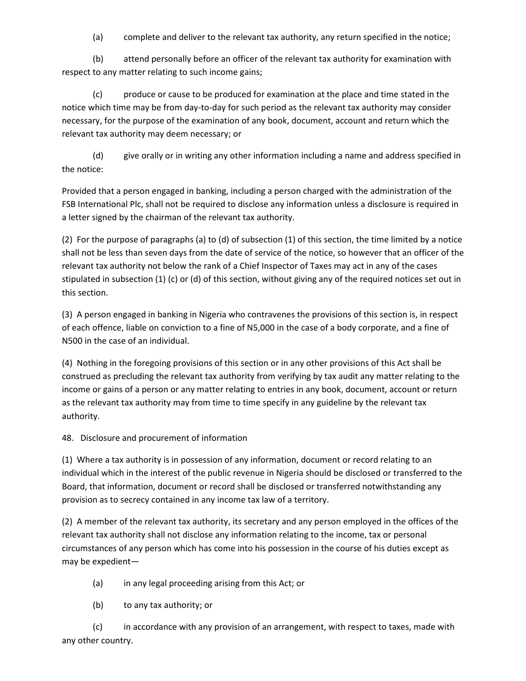(a) complete and deliver to the relevant tax authority, any return specified in the notice;

(b) attend personally before an officer of the relevant tax authority for examination with respect to any matter relating to such income gains;

(c) produce or cause to be produced for examination at the place and time stated in the notice which time may be from day-to-day for such period as the relevant tax authority may consider necessary, for the purpose of the examination of any book, document, account and return which the relevant tax authority may deem necessary; or

(d) give orally or in writing any other information including a name and address specified in the notice:

Provided that a person engaged in banking, including a person charged with the administration of the FSB International Plc, shall not be required to disclose any information unless a disclosure is required in a letter signed by the chairman of the relevant tax authority.

(2) For the purpose of paragraphs (a) to (d) of subsection (1) of this section, the time limited by a notice shall not be less than seven days from the date of service of the notice, so however that an officer of the relevant tax authority not below the rank of a Chief Inspector of Taxes may act in any of the cases stipulated in subsection (1) (c) or (d) of this section, without giving any of the required notices set out in this section.

(3) A person engaged in banking in Nigeria who contravenes the provisions of this section is, in respect of each offence, liable on conviction to a fine of N5,000 in the case of a body corporate, and a fine of N500 in the case of an individual.

(4) Nothing in the foregoing provisions of this section or in any other provisions of this Act shall be construed as precluding the relevant tax authority from verifying by tax audit any matter relating to the income or gains of a person or any matter relating to entries in any book, document, account or return as the relevant tax authority may from time to time specify in any guideline by the relevant tax authority.

48. Disclosure and procurement of information

(1) Where a tax authority is in possession of any information, document or record relating to an individual which in the interest of the public revenue in Nigeria should be disclosed or transferred to the Board, that information, document or record shall be disclosed or transferred notwithstanding any provision as to secrecy contained in any income tax law of a territory.

(2) A member of the relevant tax authority, its secretary and any person employed in the offices of the relevant tax authority shall not disclose any information relating to the income, tax or personal circumstances of any person which has come into his possession in the course of his duties except as may be expedient—

- (a) in any legal proceeding arising from this Act; or
- (b) to any tax authority; or

(c) in accordance with any provision of an arrangement, with respect to taxes, made with any other country.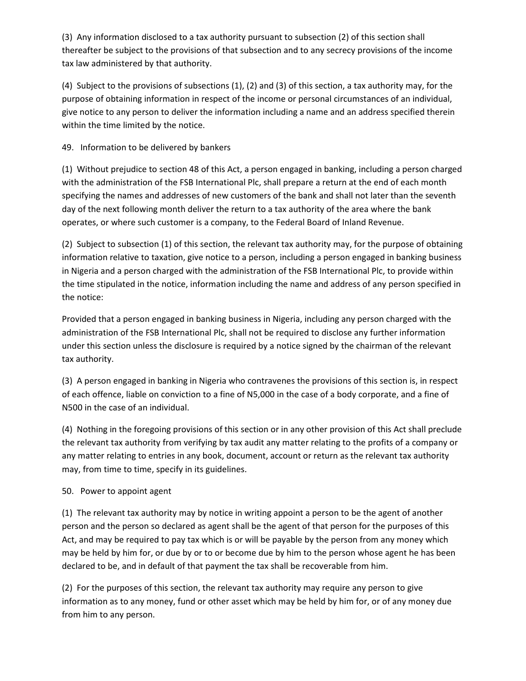(3) Any information disclosed to a tax authority pursuant to subsection (2) of this section shall thereafter be subject to the provisions of that subsection and to any secrecy provisions of the income tax law administered by that authority.

(4) Subject to the provisions of subsections (1), (2) and (3) of this section, a tax authority may, for the purpose of obtaining information in respect of the income or personal circumstances of an individual, give notice to any person to deliver the information including a name and an address specified therein within the time limited by the notice.

49. Information to be delivered by bankers

(1) Without prejudice to section 48 of this Act, a person engaged in banking, including a person charged with the administration of the FSB International Plc, shall prepare a return at the end of each month specifying the names and addresses of new customers of the bank and shall not later than the seventh day of the next following month deliver the return to a tax authority of the area where the bank operates, or where such customer is a company, to the Federal Board of Inland Revenue.

(2) Subject to subsection (1) of this section, the relevant tax authority may, for the purpose of obtaining information relative to taxation, give notice to a person, including a person engaged in banking business in Nigeria and a person charged with the administration of the FSB International Plc, to provide within the time stipulated in the notice, information including the name and address of any person specified in the notice:

Provided that a person engaged in banking business in Nigeria, including any person charged with the administration of the FSB International Plc, shall not be required to disclose any further information under this section unless the disclosure is required by a notice signed by the chairman of the relevant tax authority.

(3) A person engaged in banking in Nigeria who contravenes the provisions of this section is, in respect of each offence, liable on conviction to a fine of N5,000 in the case of a body corporate, and a fine of N500 in the case of an individual.

(4) Nothing in the foregoing provisions of this section or in any other provision of this Act shall preclude the relevant tax authority from verifying by tax audit any matter relating to the profits of a company or any matter relating to entries in any book, document, account or return as the relevant tax authority may, from time to time, specify in its guidelines.

# 50. Power to appoint agent

(1) The relevant tax authority may by notice in writing appoint a person to be the agent of another person and the person so declared as agent shall be the agent of that person for the purposes of this Act, and may be required to pay tax which is or will be payable by the person from any money which may be held by him for, or due by or to or become due by him to the person whose agent he has been declared to be, and in default of that payment the tax shall be recoverable from him.

(2) For the purposes of this section, the relevant tax authority may require any person to give information as to any money, fund or other asset which may be held by him for, or of any money due from him to any person.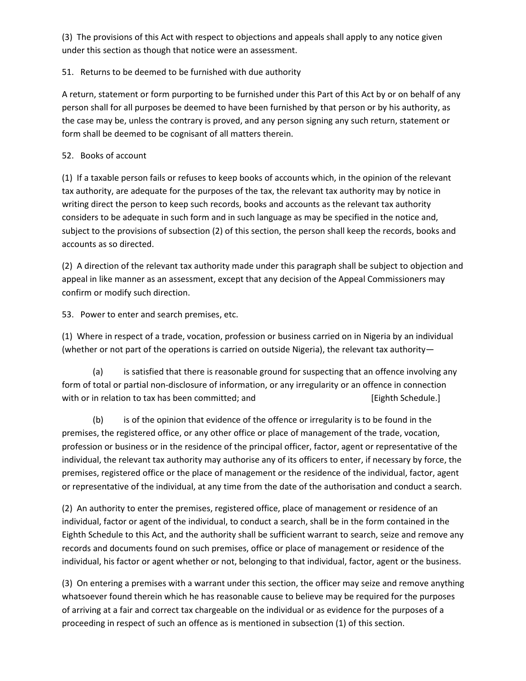(3) The provisions of this Act with respect to objections and appeals shall apply to any notice given under this section as though that notice were an assessment.

# 51. Returns to be deemed to be furnished with due authority

A return, statement or form purporting to be furnished under this Part of this Act by or on behalf of any person shall for all purposes be deemed to have been furnished by that person or by his authority, as the case may be, unless the contrary is proved, and any person signing any such return, statement or form shall be deemed to be cognisant of all matters therein.

# 52. Books of account

(1) If a taxable person fails or refuses to keep books of accounts which, in the opinion of the relevant tax authority, are adequate for the purposes of the tax, the relevant tax authority may by notice in writing direct the person to keep such records, books and accounts as the relevant tax authority considers to be adequate in such form and in such language as may be specified in the notice and, subject to the provisions of subsection (2) of this section, the person shall keep the records, books and accounts as so directed.

(2) A direction of the relevant tax authority made under this paragraph shall be subject to objection and appeal in like manner as an assessment, except that any decision of the Appeal Commissioners may confirm or modify such direction.

53. Power to enter and search premises, etc.

(1) Where in respect of a trade, vocation, profession or business carried on in Nigeria by an individual (whether or not part of the operations is carried on outside Nigeria), the relevant tax authority—

(a) is satisfied that there is reasonable ground for suspecting that an offence involving any form of total or partial non-disclosure of information, or any irregularity or an offence in connection with or in relation to tax has been committed; and  $[Eightb$  Schedule.]

(b) is of the opinion that evidence of the offence or irregularity is to be found in the premises, the registered office, or any other office or place of management of the trade, vocation, profession or business or in the residence of the principal officer, factor, agent or representative of the individual, the relevant tax authority may authorise any of its officers to enter, if necessary by force, the premises, registered office or the place of management or the residence of the individual, factor, agent or representative of the individual, at any time from the date of the authorisation and conduct a search.

(2) An authority to enter the premises, registered office, place of management or residence of an individual, factor or agent of the individual, to conduct a search, shall be in the form contained in the Eighth Schedule to this Act, and the authority shall be sufficient warrant to search, seize and remove any records and documents found on such premises, office or place of management or residence of the individual, his factor or agent whether or not, belonging to that individual, factor, agent or the business.

(3) On entering a premises with a warrant under this section, the officer may seize and remove anything whatsoever found therein which he has reasonable cause to believe may be required for the purposes of arriving at a fair and correct tax chargeable on the individual or as evidence for the purposes of a proceeding in respect of such an offence as is mentioned in subsection (1) of this section.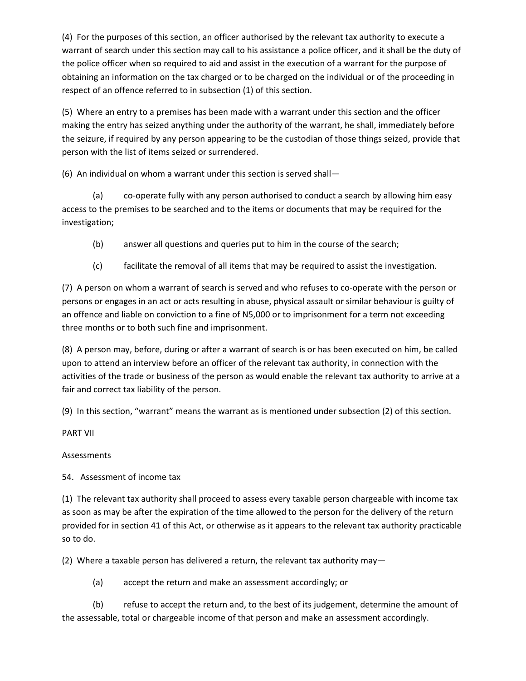(4) For the purposes of this section, an officer authorised by the relevant tax authority to execute a warrant of search under this section may call to his assistance a police officer, and it shall be the duty of the police officer when so required to aid and assist in the execution of a warrant for the purpose of obtaining an information on the tax charged or to be charged on the individual or of the proceeding in respect of an offence referred to in subsection (1) of this section.

(5) Where an entry to a premises has been made with a warrant under this section and the officer making the entry has seized anything under the authority of the warrant, he shall, immediately before the seizure, if required by any person appearing to be the custodian of those things seized, provide that person with the list of items seized or surrendered.

(6) An individual on whom a warrant under this section is served shall—

(a) co-operate fully with any person authorised to conduct a search by allowing him easy access to the premises to be searched and to the items or documents that may be required for the investigation;

- (b) answer all questions and queries put to him in the course of the search;
- (c) facilitate the removal of all items that may be required to assist the investigation.

(7) A person on whom a warrant of search is served and who refuses to co-operate with the person or persons or engages in an act or acts resulting in abuse, physical assault or similar behaviour is guilty of an offence and liable on conviction to a fine of N5,000 or to imprisonment for a term not exceeding three months or to both such fine and imprisonment.

(8) A person may, before, during or after a warrant of search is or has been executed on him, be called upon to attend an interview before an officer of the relevant tax authority, in connection with the activities of the trade or business of the person as would enable the relevant tax authority to arrive at a fair and correct tax liability of the person.

(9) In this section, "warrant" means the warrant as is mentioned under subsection (2) of this section.

PART VII

Assessments

54. Assessment of income tax

(1) The relevant tax authority shall proceed to assess every taxable person chargeable with income tax as soon as may be after the expiration of the time allowed to the person for the delivery of the return provided for in section 41 of this Act, or otherwise as it appears to the relevant tax authority practicable so to do.

(2) Where a taxable person has delivered a return, the relevant tax authority may—

(a) accept the return and make an assessment accordingly; or

(b) refuse to accept the return and, to the best of its judgement, determine the amount of the assessable, total or chargeable income of that person and make an assessment accordingly.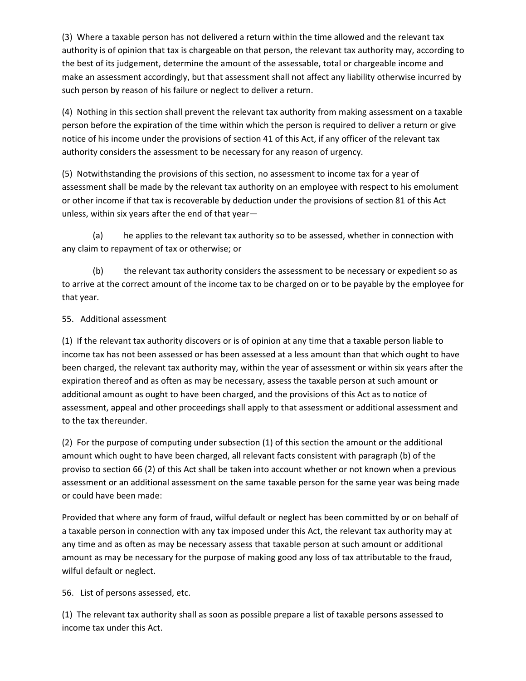(3) Where a taxable person has not delivered a return within the time allowed and the relevant tax authority is of opinion that tax is chargeable on that person, the relevant tax authority may, according to the best of its judgement, determine the amount of the assessable, total or chargeable income and make an assessment accordingly, but that assessment shall not affect any liability otherwise incurred by such person by reason of his failure or neglect to deliver a return.

(4) Nothing in this section shall prevent the relevant tax authority from making assessment on a taxable person before the expiration of the time within which the person is required to deliver a return or give notice of his income under the provisions of section 41 of this Act, if any officer of the relevant tax authority considers the assessment to be necessary for any reason of urgency.

(5) Notwithstanding the provisions of this section, no assessment to income tax for a year of assessment shall be made by the relevant tax authority on an employee with respect to his emolument or other income if that tax is recoverable by deduction under the provisions of section 81 of this Act unless, within six years after the end of that year—

(a) he applies to the relevant tax authority so to be assessed, whether in connection with any claim to repayment of tax or otherwise; or

(b) the relevant tax authority considers the assessment to be necessary or expedient so as to arrive at the correct amount of the income tax to be charged on or to be payable by the employee for that year.

# 55. Additional assessment

(1) If the relevant tax authority discovers or is of opinion at any time that a taxable person liable to income tax has not been assessed or has been assessed at a less amount than that which ought to have been charged, the relevant tax authority may, within the year of assessment or within six years after the expiration thereof and as often as may be necessary, assess the taxable person at such amount or additional amount as ought to have been charged, and the provisions of this Act as to notice of assessment, appeal and other proceedings shall apply to that assessment or additional assessment and to the tax thereunder.

(2) For the purpose of computing under subsection (1) of this section the amount or the additional amount which ought to have been charged, all relevant facts consistent with paragraph (b) of the proviso to section 66 (2) of this Act shall be taken into account whether or not known when a previous assessment or an additional assessment on the same taxable person for the same year was being made or could have been made:

Provided that where any form of fraud, wilful default or neglect has been committed by or on behalf of a taxable person in connection with any tax imposed under this Act, the relevant tax authority may at any time and as often as may be necessary assess that taxable person at such amount or additional amount as may be necessary for the purpose of making good any loss of tax attributable to the fraud, wilful default or neglect.

56. List of persons assessed, etc.

(1) The relevant tax authority shall as soon as possible prepare a list of taxable persons assessed to income tax under this Act.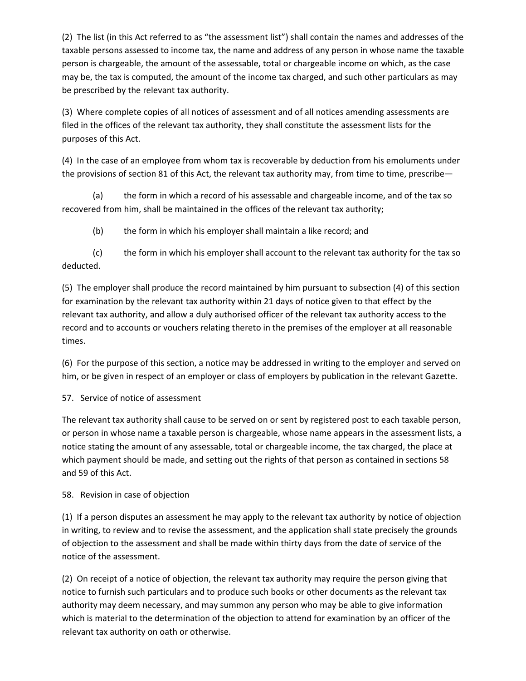(2) The list (in this Act referred to as "the assessment list") shall contain the names and addresses of the taxable persons assessed to income tax, the name and address of any person in whose name the taxable person is chargeable, the amount of the assessable, total or chargeable income on which, as the case may be, the tax is computed, the amount of the income tax charged, and such other particulars as may be prescribed by the relevant tax authority.

(3) Where complete copies of all notices of assessment and of all notices amending assessments are filed in the offices of the relevant tax authority, they shall constitute the assessment lists for the purposes of this Act.

(4) In the case of an employee from whom tax is recoverable by deduction from his emoluments under the provisions of section 81 of this Act, the relevant tax authority may, from time to time, prescribe—

(a) the form in which a record of his assessable and chargeable income, and of the tax so recovered from him, shall be maintained in the offices of the relevant tax authority;

(b) the form in which his employer shall maintain a like record; and

(c) the form in which his employer shall account to the relevant tax authority for the tax so deducted.

(5) The employer shall produce the record maintained by him pursuant to subsection (4) of this section for examination by the relevant tax authority within 21 days of notice given to that effect by the relevant tax authority, and allow a duly authorised officer of the relevant tax authority access to the record and to accounts or vouchers relating thereto in the premises of the employer at all reasonable times.

(6) For the purpose of this section, a notice may be addressed in writing to the employer and served on him, or be given in respect of an employer or class of employers by publication in the relevant Gazette.

# 57. Service of notice of assessment

The relevant tax authority shall cause to be served on or sent by registered post to each taxable person, or person in whose name a taxable person is chargeable, whose name appears in the assessment lists, a notice stating the amount of any assessable, total or chargeable income, the tax charged, the place at which payment should be made, and setting out the rights of that person as contained in sections 58 and 59 of this Act.

# 58. Revision in case of objection

(1) If a person disputes an assessment he may apply to the relevant tax authority by notice of objection in writing, to review and to revise the assessment, and the application shall state precisely the grounds of objection to the assessment and shall be made within thirty days from the date of service of the notice of the assessment.

(2) On receipt of a notice of objection, the relevant tax authority may require the person giving that notice to furnish such particulars and to produce such books or other documents as the relevant tax authority may deem necessary, and may summon any person who may be able to give information which is material to the determination of the objection to attend for examination by an officer of the relevant tax authority on oath or otherwise.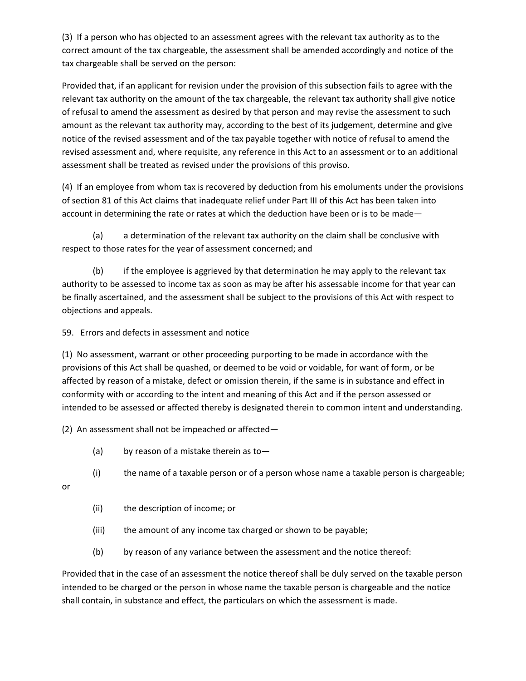(3) If a person who has objected to an assessment agrees with the relevant tax authority as to the correct amount of the tax chargeable, the assessment shall be amended accordingly and notice of the tax chargeable shall be served on the person:

Provided that, if an applicant for revision under the provision of this subsection fails to agree with the relevant tax authority on the amount of the tax chargeable, the relevant tax authority shall give notice of refusal to amend the assessment as desired by that person and may revise the assessment to such amount as the relevant tax authority may, according to the best of its judgement, determine and give notice of the revised assessment and of the tax payable together with notice of refusal to amend the revised assessment and, where requisite, any reference in this Act to an assessment or to an additional assessment shall be treated as revised under the provisions of this proviso.

(4) If an employee from whom tax is recovered by deduction from his emoluments under the provisions of section 81 of this Act claims that inadequate relief under Part III of this Act has been taken into account in determining the rate or rates at which the deduction have been or is to be made—

(a) a determination of the relevant tax authority on the claim shall be conclusive with respect to those rates for the year of assessment concerned; and

(b) if the employee is aggrieved by that determination he may apply to the relevant tax authority to be assessed to income tax as soon as may be after his assessable income for that year can be finally ascertained, and the assessment shall be subject to the provisions of this Act with respect to objections and appeals.

59. Errors and defects in assessment and notice

(1) No assessment, warrant or other proceeding purporting to be made in accordance with the provisions of this Act shall be quashed, or deemed to be void or voidable, for want of form, or be affected by reason of a mistake, defect or omission therein, if the same is in substance and effect in conformity with or according to the intent and meaning of this Act and if the person assessed or intended to be assessed or affected thereby is designated therein to common intent and understanding.

(2) An assessment shall not be impeached or affected—

- (a) by reason of a mistake therein as to-
- (i) the name of a taxable person or of a person whose name a taxable person is chargeable;

or

- (ii) the description of income; or
- (iii) the amount of any income tax charged or shown to be payable;
- (b) by reason of any variance between the assessment and the notice thereof:

Provided that in the case of an assessment the notice thereof shall be duly served on the taxable person intended to be charged or the person in whose name the taxable person is chargeable and the notice shall contain, in substance and effect, the particulars on which the assessment is made.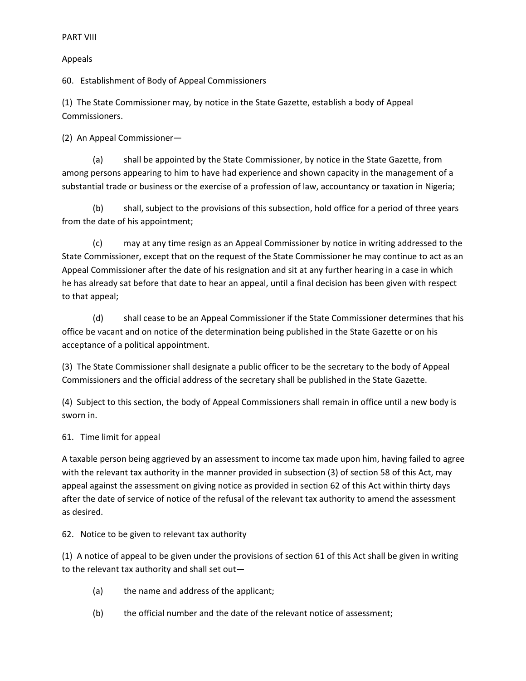# Appeals

60. Establishment of Body of Appeal Commissioners

(1) The State Commissioner may, by notice in the State Gazette, establish a body of Appeal Commissioners.

(2) An Appeal Commissioner—

(a) shall be appointed by the State Commissioner, by notice in the State Gazette, from among persons appearing to him to have had experience and shown capacity in the management of a substantial trade or business or the exercise of a profession of law, accountancy or taxation in Nigeria;

(b) shall, subject to the provisions of this subsection, hold office for a period of three years from the date of his appointment;

(c) may at any time resign as an Appeal Commissioner by notice in writing addressed to the State Commissioner, except that on the request of the State Commissioner he may continue to act as an Appeal Commissioner after the date of his resignation and sit at any further hearing in a case in which he has already sat before that date to hear an appeal, until a final decision has been given with respect to that appeal;

(d) shall cease to be an Appeal Commissioner if the State Commissioner determines that his office be vacant and on notice of the determination being published in the State Gazette or on his acceptance of a political appointment.

(3) The State Commissioner shall designate a public officer to be the secretary to the body of Appeal Commissioners and the official address of the secretary shall be published in the State Gazette.

(4) Subject to this section, the body of Appeal Commissioners shall remain in office until a new body is sworn in.

# 61. Time limit for appeal

A taxable person being aggrieved by an assessment to income tax made upon him, having failed to agree with the relevant tax authority in the manner provided in subsection (3) of section 58 of this Act, may appeal against the assessment on giving notice as provided in section 62 of this Act within thirty days after the date of service of notice of the refusal of the relevant tax authority to amend the assessment as desired.

# 62. Notice to be given to relevant tax authority

(1) A notice of appeal to be given under the provisions of section 61 of this Act shall be given in writing to the relevant tax authority and shall set out—

- (a) the name and address of the applicant;
- (b) the official number and the date of the relevant notice of assessment;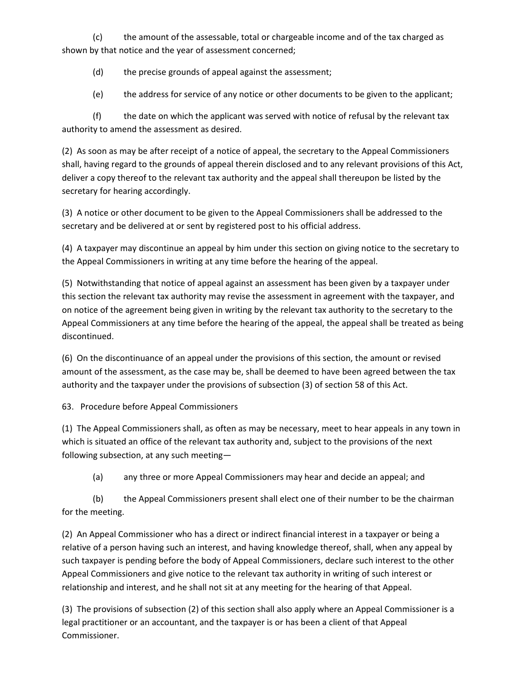(c) the amount of the assessable, total or chargeable income and of the tax charged as shown by that notice and the year of assessment concerned;

(d) the precise grounds of appeal against the assessment;

(e) the address for service of any notice or other documents to be given to the applicant;

(f) the date on which the applicant was served with notice of refusal by the relevant tax authority to amend the assessment as desired.

(2) As soon as may be after receipt of a notice of appeal, the secretary to the Appeal Commissioners shall, having regard to the grounds of appeal therein disclosed and to any relevant provisions of this Act, deliver a copy thereof to the relevant tax authority and the appeal shall thereupon be listed by the secretary for hearing accordingly.

(3) A notice or other document to be given to the Appeal Commissioners shall be addressed to the secretary and be delivered at or sent by registered post to his official address.

(4) A taxpayer may discontinue an appeal by him under this section on giving notice to the secretary to the Appeal Commissioners in writing at any time before the hearing of the appeal.

(5) Notwithstanding that notice of appeal against an assessment has been given by a taxpayer under this section the relevant tax authority may revise the assessment in agreement with the taxpayer, and on notice of the agreement being given in writing by the relevant tax authority to the secretary to the Appeal Commissioners at any time before the hearing of the appeal, the appeal shall be treated as being discontinued.

(6) On the discontinuance of an appeal under the provisions of this section, the amount or revised amount of the assessment, as the case may be, shall be deemed to have been agreed between the tax authority and the taxpayer under the provisions of subsection (3) of section 58 of this Act.

63. Procedure before Appeal Commissioners

(1) The Appeal Commissioners shall, as often as may be necessary, meet to hear appeals in any town in which is situated an office of the relevant tax authority and, subject to the provisions of the next following subsection, at any such meeting—

(a) any three or more Appeal Commissioners may hear and decide an appeal; and

(b) the Appeal Commissioners present shall elect one of their number to be the chairman for the meeting.

(2) An Appeal Commissioner who has a direct or indirect financial interest in a taxpayer or being a relative of a person having such an interest, and having knowledge thereof, shall, when any appeal by such taxpayer is pending before the body of Appeal Commissioners, declare such interest to the other Appeal Commissioners and give notice to the relevant tax authority in writing of such interest or relationship and interest, and he shall not sit at any meeting for the hearing of that Appeal.

(3) The provisions of subsection (2) of this section shall also apply where an Appeal Commissioner is a legal practitioner or an accountant, and the taxpayer is or has been a client of that Appeal Commissioner.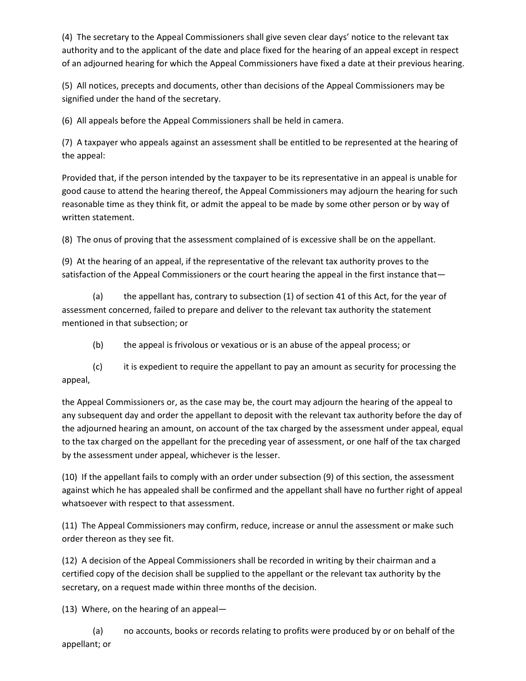(4) The secretary to the Appeal Commissioners shall give seven clear days' notice to the relevant tax authority and to the applicant of the date and place fixed for the hearing of an appeal except in respect of an adjourned hearing for which the Appeal Commissioners have fixed a date at their previous hearing.

(5) All notices, precepts and documents, other than decisions of the Appeal Commissioners may be signified under the hand of the secretary.

(6) All appeals before the Appeal Commissioners shall be held in camera.

(7) A taxpayer who appeals against an assessment shall be entitled to be represented at the hearing of the appeal:

Provided that, if the person intended by the taxpayer to be its representative in an appeal is unable for good cause to attend the hearing thereof, the Appeal Commissioners may adjourn the hearing for such reasonable time as they think fit, or admit the appeal to be made by some other person or by way of written statement.

(8) The onus of proving that the assessment complained of is excessive shall be on the appellant.

(9) At the hearing of an appeal, if the representative of the relevant tax authority proves to the satisfaction of the Appeal Commissioners or the court hearing the appeal in the first instance that—

(a) the appellant has, contrary to subsection (1) of section 41 of this Act, for the year of assessment concerned, failed to prepare and deliver to the relevant tax authority the statement mentioned in that subsection; or

(b) the appeal is frivolous or vexatious or is an abuse of the appeal process; or

(c) it is expedient to require the appellant to pay an amount as security for processing the appeal,

the Appeal Commissioners or, as the case may be, the court may adjourn the hearing of the appeal to any subsequent day and order the appellant to deposit with the relevant tax authority before the day of the adjourned hearing an amount, on account of the tax charged by the assessment under appeal, equal to the tax charged on the appellant for the preceding year of assessment, or one half of the tax charged by the assessment under appeal, whichever is the lesser.

(10) If the appellant fails to comply with an order under subsection (9) of this section, the assessment against which he has appealed shall be confirmed and the appellant shall have no further right of appeal whatsoever with respect to that assessment.

(11) The Appeal Commissioners may confirm, reduce, increase or annul the assessment or make such order thereon as they see fit.

(12) A decision of the Appeal Commissioners shall be recorded in writing by their chairman and a certified copy of the decision shall be supplied to the appellant or the relevant tax authority by the secretary, on a request made within three months of the decision.

(13) Where, on the hearing of an appeal—

(a) no accounts, books or records relating to profits were produced by or on behalf of the appellant; or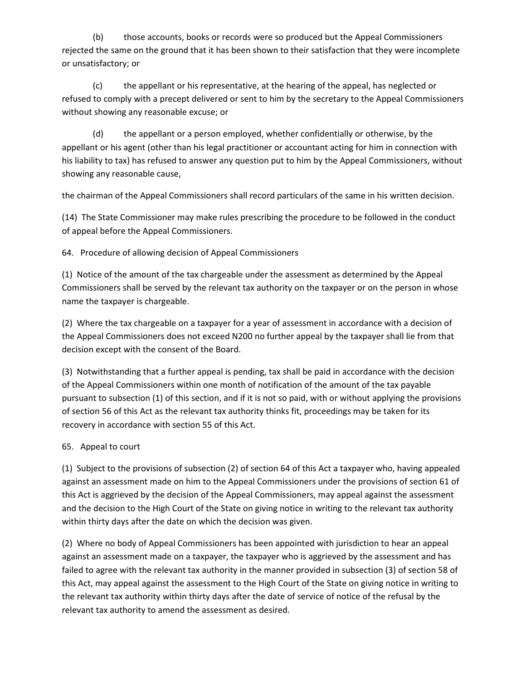(b) those accounts, books or records were so produced but the Appeal Commissioners rejected the same on the ground that it has been shown to their satisfaction that they were incomplete or unsatisfactory; or

(c) the appellant or his representative, at the hearing of the appeal, has neglected or refused to comply with a precept delivered or sent to him by the secretary to the Appeal Commissioners without showing any reasonable excuse; or

(d) the appellant or a person employed, whether confidentially or otherwise, by the appellant or his agent (other than his legal practitioner or accountant acting for him in connection with his liability to tax) has refused to answer any question put to him by the Appeal Commissioners, without showing any reasonable cause,

the chairman of the Appeal Commissioners shall record particulars of the same in his written decision.

(14) The State Commissioner may make rules prescribing the procedure to be followed in the conduct of appeal before the Appeal Commissioners.

64. Procedure of allowing decision of Appeal Commissioners

(1) Notice of the amount of the tax chargeable under the assessment as determined by the Appeal Commissioners shall be served by the relevant tax authority on the taxpayer or on the person in whose name the taxpayer is chargeable.

(2) Where the tax chargeable on a taxpayer for a year of assessment in accordance with a decision of the Appeal Commissioners does not exceed N200 no further appeal by the taxpayer shall lie from that decision except with the consent of the Board.

(3) Notwithstanding that a further appeal is pending, tax shall be paid in accordance with the decision of the Appeal Commissioners within one month of notification of the amount of the tax payable pursuant to subsection (1) of this section, and if it is not so paid, with or without applying the provisions of section 56 of this Act as the relevant tax authority thinks fit, proceedings may be taken for its recovery in accordance with section 55 of this Act.

#### 65. Appeal to court

(1) Subject to the provisions of subsection (2) of section 64 of this Act a taxpayer who, having appealed against an assessment made on him to the Appeal Commissioners under the provisions of section 61 of this Act is aggrieved by the decision of the Appeal Commissioners, may appeal against the assessment and the decision to the High Court of the State on giving notice in writing to the relevant tax authority within thirty days after the date on which the decision was given.

(2) Where no body of Appeal Commissioners has been appointed with jurisdiction to hear an appeal against an assessment made on a taxpayer, the taxpayer who is aggrieved by the assessment and has failed to agree with the relevant tax authority in the manner provided in subsection (3) of section 58 of this Act, may appeal against the assessment to the High Court of the State on giving notice in writing to the relevant tax authority within thirty days after the date of service of notice of the refusal by the relevant tax authority to amend the assessment as desired.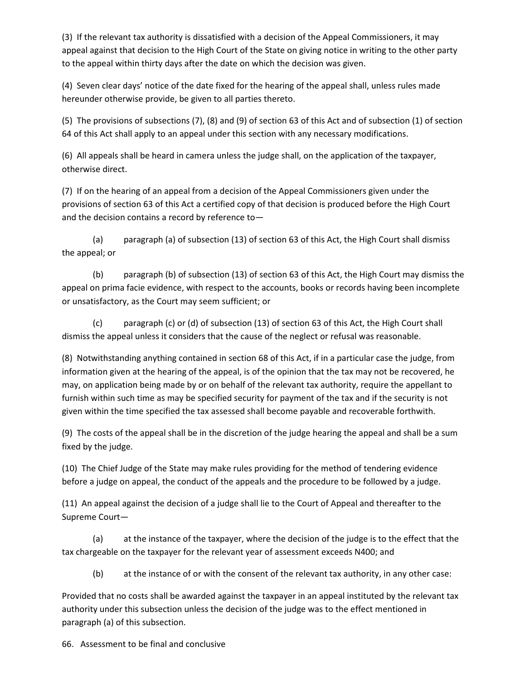(3) If the relevant tax authority is dissatisfied with a decision of the Appeal Commissioners, it may appeal against that decision to the High Court of the State on giving notice in writing to the other party to the appeal within thirty days after the date on which the decision was given.

(4) Seven clear days' notice of the date fixed for the hearing of the appeal shall, unless rules made hereunder otherwise provide, be given to all parties thereto.

(5) The provisions of subsections (7), (8) and (9) of section 63 of this Act and of subsection (1) of section 64 of this Act shall apply to an appeal under this section with any necessary modifications.

(6) All appeals shall be heard in camera unless the judge shall, on the application of the taxpayer, otherwise direct.

(7) If on the hearing of an appeal from a decision of the Appeal Commissioners given under the provisions of section 63 of this Act a certified copy of that decision is produced before the High Court and the decision contains a record by reference to—

(a) paragraph (a) of subsection (13) of section 63 of this Act, the High Court shall dismiss the appeal; or

(b) paragraph (b) of subsection (13) of section 63 of this Act, the High Court may dismiss the appeal on prima facie evidence, with respect to the accounts, books or records having been incomplete or unsatisfactory, as the Court may seem sufficient; or

(c) paragraph (c) or (d) of subsection (13) of section 63 of this Act, the High Court shall dismiss the appeal unless it considers that the cause of the neglect or refusal was reasonable.

(8) Notwithstanding anything contained in section 68 of this Act, if in a particular case the judge, from information given at the hearing of the appeal, is of the opinion that the tax may not be recovered, he may, on application being made by or on behalf of the relevant tax authority, require the appellant to furnish within such time as may be specified security for payment of the tax and if the security is not given within the time specified the tax assessed shall become payable and recoverable forthwith.

(9) The costs of the appeal shall be in the discretion of the judge hearing the appeal and shall be a sum fixed by the judge.

(10) The Chief Judge of the State may make rules providing for the method of tendering evidence before a judge on appeal, the conduct of the appeals and the procedure to be followed by a judge.

(11) An appeal against the decision of a judge shall lie to the Court of Appeal and thereafter to the Supreme Court—

(a) at the instance of the taxpayer, where the decision of the judge is to the effect that the tax chargeable on the taxpayer for the relevant year of assessment exceeds N400; and

(b) at the instance of or with the consent of the relevant tax authority, in any other case:

Provided that no costs shall be awarded against the taxpayer in an appeal instituted by the relevant tax authority under this subsection unless the decision of the judge was to the effect mentioned in paragraph (a) of this subsection.

66. Assessment to be final and conclusive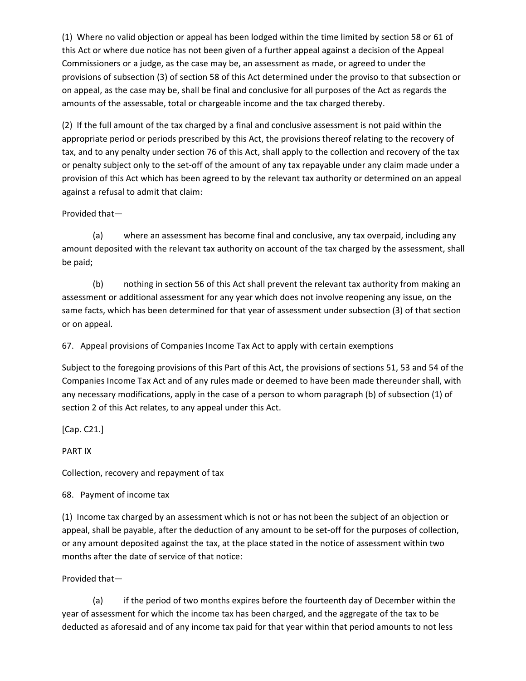(1) Where no valid objection or appeal has been lodged within the time limited by section 58 or 61 of this Act or where due notice has not been given of a further appeal against a decision of the Appeal Commissioners or a judge, as the case may be, an assessment as made, or agreed to under the provisions of subsection (3) of section 58 of this Act determined under the proviso to that subsection or on appeal, as the case may be, shall be final and conclusive for all purposes of the Act as regards the amounts of the assessable, total or chargeable income and the tax charged thereby.

(2) If the full amount of the tax charged by a final and conclusive assessment is not paid within the appropriate period or periods prescribed by this Act, the provisions thereof relating to the recovery of tax, and to any penalty under section 76 of this Act, shall apply to the collection and recovery of the tax or penalty subject only to the set-off of the amount of any tax repayable under any claim made under a provision of this Act which has been agreed to by the relevant tax authority or determined on an appeal against a refusal to admit that claim:

#### Provided that—

(a) where an assessment has become final and conclusive, any tax overpaid, including any amount deposited with the relevant tax authority on account of the tax charged by the assessment, shall be paid;

(b) nothing in section 56 of this Act shall prevent the relevant tax authority from making an assessment or additional assessment for any year which does not involve reopening any issue, on the same facts, which has been determined for that year of assessment under subsection (3) of that section or on appeal.

67. Appeal provisions of Companies Income Tax Act to apply with certain exemptions

Subject to the foregoing provisions of this Part of this Act, the provisions of sections 51, 53 and 54 of the Companies Income Tax Act and of any rules made or deemed to have been made thereunder shall, with any necessary modifications, apply in the case of a person to whom paragraph (b) of subsection (1) of section 2 of this Act relates, to any appeal under this Act.

[Cap. C21.]

PART IX

Collection, recovery and repayment of tax

68. Payment of income tax

(1) Income tax charged by an assessment which is not or has not been the subject of an objection or appeal, shall be payable, after the deduction of any amount to be set-off for the purposes of collection, or any amount deposited against the tax, at the place stated in the notice of assessment within two months after the date of service of that notice:

#### Provided that—

(a) if the period of two months expires before the fourteenth day of December within the year of assessment for which the income tax has been charged, and the aggregate of the tax to be deducted as aforesaid and of any income tax paid for that year within that period amounts to not less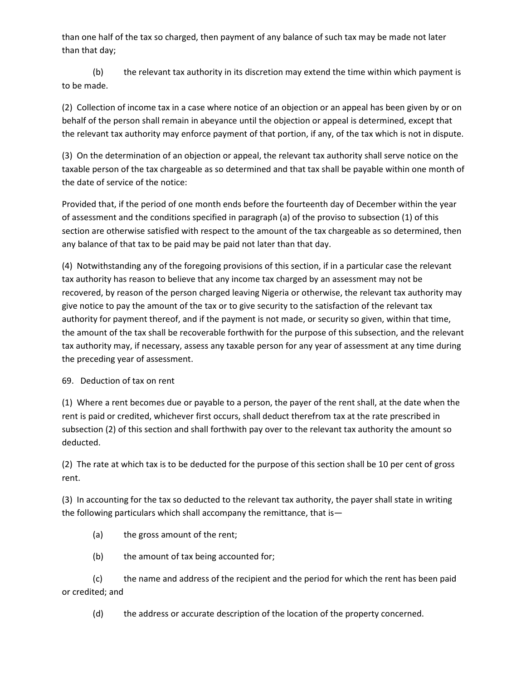than one half of the tax so charged, then payment of any balance of such tax may be made not later than that day;

(b) the relevant tax authority in its discretion may extend the time within which payment is to be made.

(2) Collection of income tax in a case where notice of an objection or an appeal has been given by or on behalf of the person shall remain in abeyance until the objection or appeal is determined, except that the relevant tax authority may enforce payment of that portion, if any, of the tax which is not in dispute.

(3) On the determination of an objection or appeal, the relevant tax authority shall serve notice on the taxable person of the tax chargeable as so determined and that tax shall be payable within one month of the date of service of the notice:

Provided that, if the period of one month ends before the fourteenth day of December within the year of assessment and the conditions specified in paragraph (a) of the proviso to subsection (1) of this section are otherwise satisfied with respect to the amount of the tax chargeable as so determined, then any balance of that tax to be paid may be paid not later than that day.

(4) Notwithstanding any of the foregoing provisions of this section, if in a particular case the relevant tax authority has reason to believe that any income tax charged by an assessment may not be recovered, by reason of the person charged leaving Nigeria or otherwise, the relevant tax authority may give notice to pay the amount of the tax or to give security to the satisfaction of the relevant tax authority for payment thereof, and if the payment is not made, or security so given, within that time, the amount of the tax shall be recoverable forthwith for the purpose of this subsection, and the relevant tax authority may, if necessary, assess any taxable person for any year of assessment at any time during the preceding year of assessment.

#### 69. Deduction of tax on rent

(1) Where a rent becomes due or payable to a person, the payer of the rent shall, at the date when the rent is paid or credited, whichever first occurs, shall deduct therefrom tax at the rate prescribed in subsection (2) of this section and shall forthwith pay over to the relevant tax authority the amount so deducted.

(2) The rate at which tax is to be deducted for the purpose of this section shall be 10 per cent of gross rent.

(3) In accounting for the tax so deducted to the relevant tax authority, the payer shall state in writing the following particulars which shall accompany the remittance, that is—

- (a) the gross amount of the rent;
- (b) the amount of tax being accounted for;

(c) the name and address of the recipient and the period for which the rent has been paid or credited; and

(d) the address or accurate description of the location of the property concerned.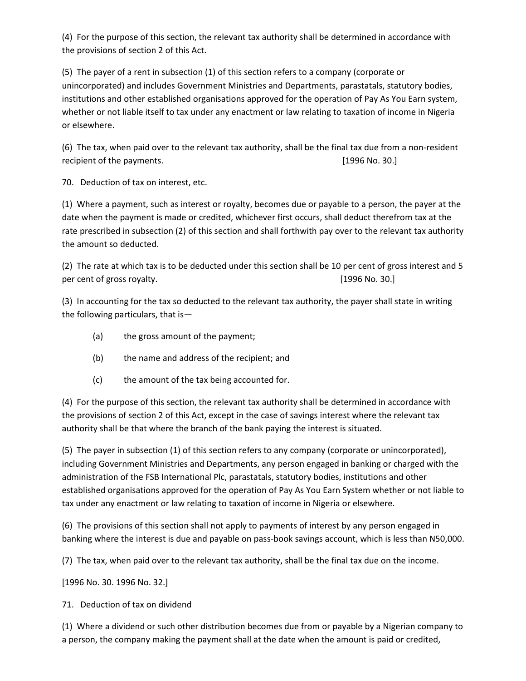(4) For the purpose of this section, the relevant tax authority shall be determined in accordance with the provisions of section 2 of this Act.

(5) The payer of a rent in subsection (1) of this section refers to a company (corporate or unincorporated) and includes Government Ministries and Departments, parastatals, statutory bodies, institutions and other established organisations approved for the operation of Pay As You Earn system, whether or not liable itself to tax under any enactment or law relating to taxation of income in Nigeria or elsewhere.

(6) The tax, when paid over to the relevant tax authority, shall be the final tax due from a non-resident recipient of the payments. **Example 20** and the payments. **[1996 No. 30.]** 

70. Deduction of tax on interest, etc.

(1) Where a payment, such as interest or royalty, becomes due or payable to a person, the payer at the date when the payment is made or credited, whichever first occurs, shall deduct therefrom tax at the rate prescribed in subsection (2) of this section and shall forthwith pay over to the relevant tax authority the amount so deducted.

(2) The rate at which tax is to be deducted under this section shall be 10 per cent of gross interest and 5 per cent of gross royalty. **Example 20** and the set of gross royalty. **[1996 No. 30.]** 

(3) In accounting for the tax so deducted to the relevant tax authority, the payer shall state in writing the following particulars, that is—

- (a) the gross amount of the payment;
- (b) the name and address of the recipient; and
- (c) the amount of the tax being accounted for.

(4) For the purpose of this section, the relevant tax authority shall be determined in accordance with the provisions of section 2 of this Act, except in the case of savings interest where the relevant tax authority shall be that where the branch of the bank paying the interest is situated.

(5) The payer in subsection (1) of this section refers to any company (corporate or unincorporated), including Government Ministries and Departments, any person engaged in banking or charged with the administration of the FSB International Plc, parastatals, statutory bodies, institutions and other established organisations approved for the operation of Pay As You Earn System whether or not liable to tax under any enactment or law relating to taxation of income in Nigeria or elsewhere.

(6) The provisions of this section shall not apply to payments of interest by any person engaged in banking where the interest is due and payable on pass-book savings account, which is less than N50,000.

(7) The tax, when paid over to the relevant tax authority, shall be the final tax due on the income.

[1996 No. 30. 1996 No. 32.]

71. Deduction of tax on dividend

(1) Where a dividend or such other distribution becomes due from or payable by a Nigerian company to a person, the company making the payment shall at the date when the amount is paid or credited,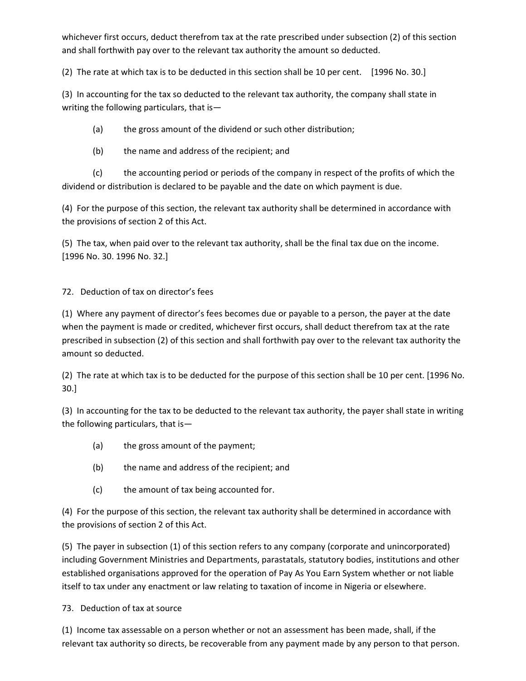whichever first occurs, deduct therefrom tax at the rate prescribed under subsection (2) of this section and shall forthwith pay over to the relevant tax authority the amount so deducted.

(2) The rate at which tax is to be deducted in this section shall be 10 per cent. [1996 No. 30.]

(3) In accounting for the tax so deducted to the relevant tax authority, the company shall state in writing the following particulars, that is—

(a) the gross amount of the dividend or such other distribution;

(b) the name and address of the recipient; and

(c) the accounting period or periods of the company in respect of the profits of which the dividend or distribution is declared to be payable and the date on which payment is due.

(4) For the purpose of this section, the relevant tax authority shall be determined in accordance with the provisions of section 2 of this Act.

(5) The tax, when paid over to the relevant tax authority, shall be the final tax due on the income. [1996 No. 30. 1996 No. 32.]

72. Deduction of tax on director's fees

(1) Where any payment of director's fees becomes due or payable to a person, the payer at the date when the payment is made or credited, whichever first occurs, shall deduct therefrom tax at the rate prescribed in subsection (2) of this section and shall forthwith pay over to the relevant tax authority the amount so deducted.

(2) The rate at which tax is to be deducted for the purpose of this section shall be 10 per cent. [1996 No. 30.]

(3) In accounting for the tax to be deducted to the relevant tax authority, the payer shall state in writing the following particulars, that is—

- (a) the gross amount of the payment;
- (b) the name and address of the recipient; and
- (c) the amount of tax being accounted for.

(4) For the purpose of this section, the relevant tax authority shall be determined in accordance with the provisions of section 2 of this Act.

(5) The payer in subsection (1) of this section refers to any company (corporate and unincorporated) including Government Ministries and Departments, parastatals, statutory bodies, institutions and other established organisations approved for the operation of Pay As You Earn System whether or not liable itself to tax under any enactment or law relating to taxation of income in Nigeria or elsewhere.

73. Deduction of tax at source

(1) Income tax assessable on a person whether or not an assessment has been made, shall, if the relevant tax authority so directs, be recoverable from any payment made by any person to that person.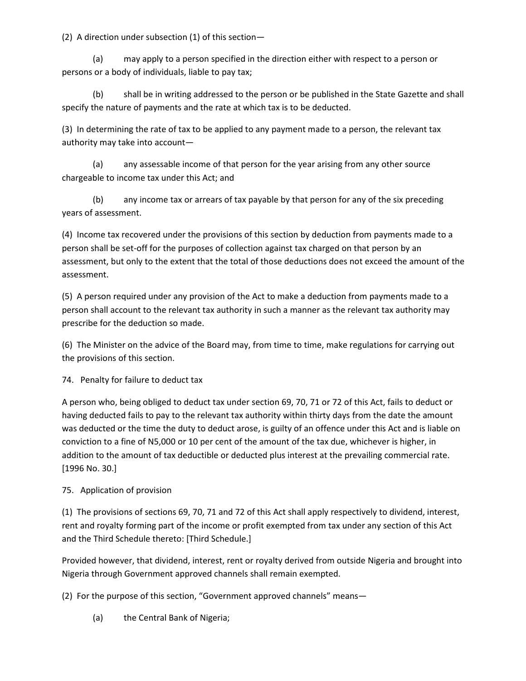(2) A direction under subsection (1) of this section—

(a) may apply to a person specified in the direction either with respect to a person or persons or a body of individuals, liable to pay tax;

(b) shall be in writing addressed to the person or be published in the State Gazette and shall specify the nature of payments and the rate at which tax is to be deducted.

(3) In determining the rate of tax to be applied to any payment made to a person, the relevant tax authority may take into account—

(a) any assessable income of that person for the year arising from any other source chargeable to income tax under this Act; and

(b) any income tax or arrears of tax payable by that person for any of the six preceding years of assessment.

(4) Income tax recovered under the provisions of this section by deduction from payments made to a person shall be set-off for the purposes of collection against tax charged on that person by an assessment, but only to the extent that the total of those deductions does not exceed the amount of the assessment.

(5) A person required under any provision of the Act to make a deduction from payments made to a person shall account to the relevant tax authority in such a manner as the relevant tax authority may prescribe for the deduction so made.

(6) The Minister on the advice of the Board may, from time to time, make regulations for carrying out the provisions of this section.

74. Penalty for failure to deduct tax

A person who, being obliged to deduct tax under section 69, 70, 71 or 72 of this Act, fails to deduct or having deducted fails to pay to the relevant tax authority within thirty days from the date the amount was deducted or the time the duty to deduct arose, is guilty of an offence under this Act and is liable on conviction to a fine of N5,000 or 10 per cent of the amount of the tax due, whichever is higher, in addition to the amount of tax deductible or deducted plus interest at the prevailing commercial rate. [1996 No. 30.]

## 75. Application of provision

(1) The provisions of sections 69, 70, 71 and 72 of this Act shall apply respectively to dividend, interest, rent and royalty forming part of the income or profit exempted from tax under any section of this Act and the Third Schedule thereto: [Third Schedule.]

Provided however, that dividend, interest, rent or royalty derived from outside Nigeria and brought into Nigeria through Government approved channels shall remain exempted.

(2) For the purpose of this section, "Government approved channels" means—

(a) the Central Bank of Nigeria;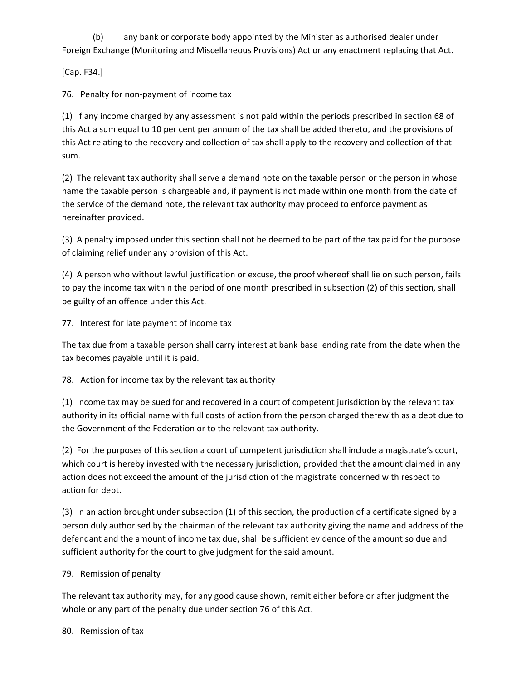(b) any bank or corporate body appointed by the Minister as authorised dealer under Foreign Exchange (Monitoring and Miscellaneous Provisions) Act or any enactment replacing that Act.

[Cap. F34.]

76. Penalty for non-payment of income tax

(1) If any income charged by any assessment is not paid within the periods prescribed in section 68 of this Act a sum equal to 10 per cent per annum of the tax shall be added thereto, and the provisions of this Act relating to the recovery and collection of tax shall apply to the recovery and collection of that sum.

(2) The relevant tax authority shall serve a demand note on the taxable person or the person in whose name the taxable person is chargeable and, if payment is not made within one month from the date of the service of the demand note, the relevant tax authority may proceed to enforce payment as hereinafter provided.

(3) A penalty imposed under this section shall not be deemed to be part of the tax paid for the purpose of claiming relief under any provision of this Act.

(4) A person who without lawful justification or excuse, the proof whereof shall lie on such person, fails to pay the income tax within the period of one month prescribed in subsection (2) of this section, shall be guilty of an offence under this Act.

77. Interest for late payment of income tax

The tax due from a taxable person shall carry interest at bank base lending rate from the date when the tax becomes payable until it is paid.

78. Action for income tax by the relevant tax authority

(1) Income tax may be sued for and recovered in a court of competent jurisdiction by the relevant tax authority in its official name with full costs of action from the person charged therewith as a debt due to the Government of the Federation or to the relevant tax authority.

(2) For the purposes of this section a court of competent jurisdiction shall include a magistrate's court, which court is hereby invested with the necessary jurisdiction, provided that the amount claimed in any action does not exceed the amount of the jurisdiction of the magistrate concerned with respect to action for debt.

(3) In an action brought under subsection (1) of this section, the production of a certificate signed by a person duly authorised by the chairman of the relevant tax authority giving the name and address of the defendant and the amount of income tax due, shall be sufficient evidence of the amount so due and sufficient authority for the court to give judgment for the said amount.

#### 79. Remission of penalty

The relevant tax authority may, for any good cause shown, remit either before or after judgment the whole or any part of the penalty due under section 76 of this Act.

80. Remission of tax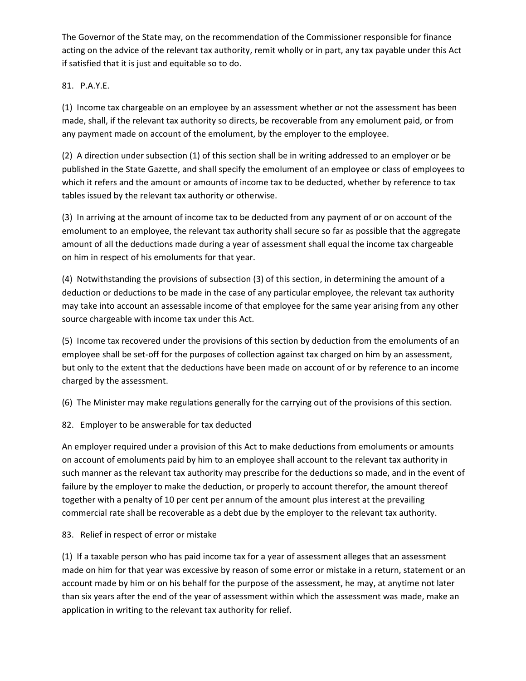The Governor of the State may, on the recommendation of the Commissioner responsible for finance acting on the advice of the relevant tax authority, remit wholly or in part, any tax payable under this Act if satisfied that it is just and equitable so to do.

### 81. P.A.Y.E.

(1) Income tax chargeable on an employee by an assessment whether or not the assessment has been made, shall, if the relevant tax authority so directs, be recoverable from any emolument paid, or from any payment made on account of the emolument, by the employer to the employee.

(2) A direction under subsection (1) of this section shall be in writing addressed to an employer or be published in the State Gazette, and shall specify the emolument of an employee or class of employees to which it refers and the amount or amounts of income tax to be deducted, whether by reference to tax tables issued by the relevant tax authority or otherwise.

(3) In arriving at the amount of income tax to be deducted from any payment of or on account of the emolument to an employee, the relevant tax authority shall secure so far as possible that the aggregate amount of all the deductions made during a year of assessment shall equal the income tax chargeable on him in respect of his emoluments for that year.

(4) Notwithstanding the provisions of subsection (3) of this section, in determining the amount of a deduction or deductions to be made in the case of any particular employee, the relevant tax authority may take into account an assessable income of that employee for the same year arising from any other source chargeable with income tax under this Act.

(5) Income tax recovered under the provisions of this section by deduction from the emoluments of an employee shall be set-off for the purposes of collection against tax charged on him by an assessment, but only to the extent that the deductions have been made on account of or by reference to an income charged by the assessment.

(6) The Minister may make regulations generally for the carrying out of the provisions of this section.

82. Employer to be answerable for tax deducted

An employer required under a provision of this Act to make deductions from emoluments or amounts on account of emoluments paid by him to an employee shall account to the relevant tax authority in such manner as the relevant tax authority may prescribe for the deductions so made, and in the event of failure by the employer to make the deduction, or properly to account therefor, the amount thereof together with a penalty of 10 per cent per annum of the amount plus interest at the prevailing commercial rate shall be recoverable as a debt due by the employer to the relevant tax authority.

83. Relief in respect of error or mistake

(1) If a taxable person who has paid income tax for a year of assessment alleges that an assessment made on him for that year was excessive by reason of some error or mistake in a return, statement or an account made by him or on his behalf for the purpose of the assessment, he may, at anytime not later than six years after the end of the year of assessment within which the assessment was made, make an application in writing to the relevant tax authority for relief.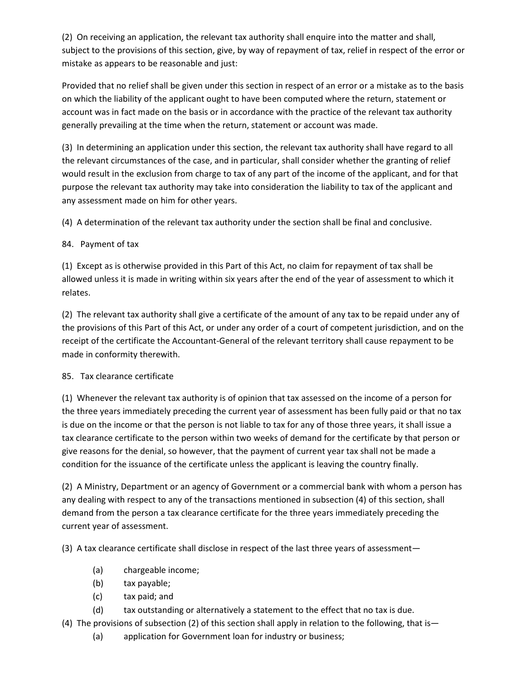(2) On receiving an application, the relevant tax authority shall enquire into the matter and shall, subject to the provisions of this section, give, by way of repayment of tax, relief in respect of the error or mistake as appears to be reasonable and just:

Provided that no relief shall be given under this section in respect of an error or a mistake as to the basis on which the liability of the applicant ought to have been computed where the return, statement or account was in fact made on the basis or in accordance with the practice of the relevant tax authority generally prevailing at the time when the return, statement or account was made.

(3) In determining an application under this section, the relevant tax authority shall have regard to all the relevant circumstances of the case, and in particular, shall consider whether the granting of relief would result in the exclusion from charge to tax of any part of the income of the applicant, and for that purpose the relevant tax authority may take into consideration the liability to tax of the applicant and any assessment made on him for other years.

(4) A determination of the relevant tax authority under the section shall be final and conclusive.

## 84. Payment of tax

(1) Except as is otherwise provided in this Part of this Act, no claim for repayment of tax shall be allowed unless it is made in writing within six years after the end of the year of assessment to which it relates.

(2) The relevant tax authority shall give a certificate of the amount of any tax to be repaid under any of the provisions of this Part of this Act, or under any order of a court of competent jurisdiction, and on the receipt of the certificate the Accountant-General of the relevant territory shall cause repayment to be made in conformity therewith.

#### 85. Tax clearance certificate

(1) Whenever the relevant tax authority is of opinion that tax assessed on the income of a person for the three years immediately preceding the current year of assessment has been fully paid or that no tax is due on the income or that the person is not liable to tax for any of those three years, it shall issue a tax clearance certificate to the person within two weeks of demand for the certificate by that person or give reasons for the denial, so however, that the payment of current year tax shall not be made a condition for the issuance of the certificate unless the applicant is leaving the country finally.

(2) A Ministry, Department or an agency of Government or a commercial bank with whom a person has any dealing with respect to any of the transactions mentioned in subsection (4) of this section, shall demand from the person a tax clearance certificate for the three years immediately preceding the current year of assessment.

(3) A tax clearance certificate shall disclose in respect of the last three years of assessment—

- (a) chargeable income;
- (b) tax payable;
- (c) tax paid; and
- (d) tax outstanding or alternatively a statement to the effect that no tax is due.
- (4) The provisions of subsection (2) of this section shall apply in relation to the following, that is—
	- (a) application for Government loan for industry or business;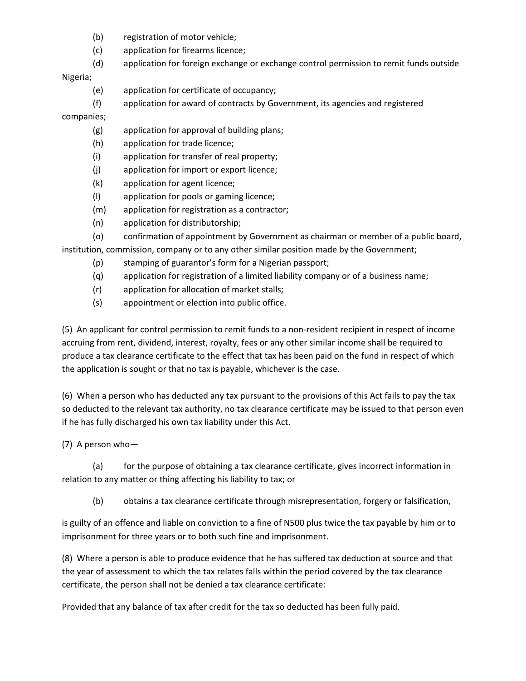- (b) registration of motor vehicle;
- (c) application for firearms licence;
- (d) application for foreign exchange or exchange control permission to remit funds outside

Nigeria;

- (e) application for certificate of occupancy;
- (f) application for award of contracts by Government, its agencies and registered

companies;

- (g) application for approval of building plans;
- (h) application for trade licence;
- (i) application for transfer of real property;
- (j) application for import or export licence;
- (k) application for agent licence;
- (l) application for pools or gaming licence;
- (m) application for registration as a contractor;
- (n) application for distributorship;
- (o) confirmation of appointment by Government as chairman or member of a public board,

institution, commission, company or to any other similar position made by the Government;

- (p) stamping of guarantor's form for a Nigerian passport;
- (q) application for registration of a limited liability company or of a business name;
- (r) application for allocation of market stalls;
- (s) appointment or election into public office.

(5) An applicant for control permission to remit funds to a non-resident recipient in respect of income accruing from rent, dividend, interest, royalty, fees or any other similar income shall be required to produce a tax clearance certificate to the effect that tax has been paid on the fund in respect of which the application is sought or that no tax is payable, whichever is the case.

(6) When a person who has deducted any tax pursuant to the provisions of this Act fails to pay the tax so deducted to the relevant tax authority, no tax clearance certificate may be issued to that person even if he has fully discharged his own tax liability under this Act.

(7) A person who—

(a) for the purpose of obtaining a tax clearance certificate, gives incorrect information in relation to any matter or thing affecting his liability to tax; or

(b) obtains a tax clearance certificate through misrepresentation, forgery or falsification,

is guilty of an offence and liable on conviction to a fine of N500 plus twice the tax payable by him or to imprisonment for three years or to both such fine and imprisonment.

(8) Where a person is able to produce evidence that he has suffered tax deduction at source and that the year of assessment to which the tax relates falls within the period covered by the tax clearance certificate, the person shall not be denied a tax clearance certificate:

Provided that any balance of tax after credit for the tax so deducted has been fully paid.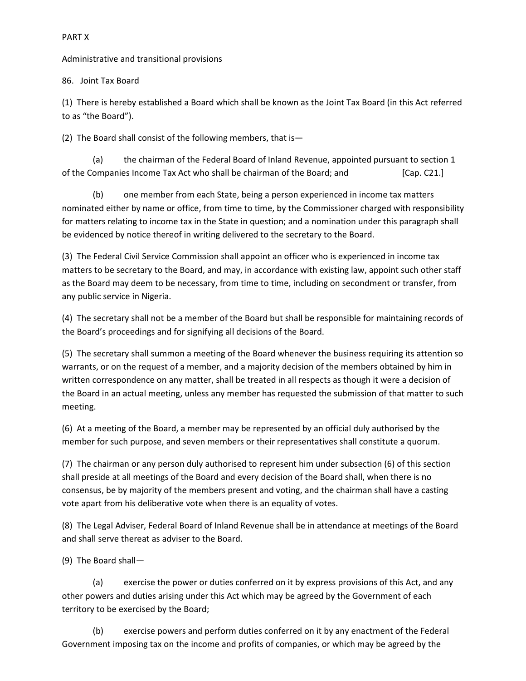#### PART X

Administrative and transitional provisions

86. Joint Tax Board

(1) There is hereby established a Board which shall be known as the Joint Tax Board (in this Act referred to as "the Board").

(2) The Board shall consist of the following members, that is—

(a) the chairman of the Federal Board of Inland Revenue, appointed pursuant to section 1 of the Companies Income Tax Act who shall be chairman of the Board; and [Cap. C21.]

(b) one member from each State, being a person experienced in income tax matters nominated either by name or office, from time to time, by the Commissioner charged with responsibility for matters relating to income tax in the State in question; and a nomination under this paragraph shall be evidenced by notice thereof in writing delivered to the secretary to the Board.

(3) The Federal Civil Service Commission shall appoint an officer who is experienced in income tax matters to be secretary to the Board, and may, in accordance with existing law, appoint such other staff as the Board may deem to be necessary, from time to time, including on secondment or transfer, from any public service in Nigeria.

(4) The secretary shall not be a member of the Board but shall be responsible for maintaining records of the Board's proceedings and for signifying all decisions of the Board.

(5) The secretary shall summon a meeting of the Board whenever the business requiring its attention so warrants, or on the request of a member, and a majority decision of the members obtained by him in written correspondence on any matter, shall be treated in all respects as though it were a decision of the Board in an actual meeting, unless any member has requested the submission of that matter to such meeting.

(6) At a meeting of the Board, a member may be represented by an official duly authorised by the member for such purpose, and seven members or their representatives shall constitute a quorum.

(7) The chairman or any person duly authorised to represent him under subsection (6) of this section shall preside at all meetings of the Board and every decision of the Board shall, when there is no consensus, be by majority of the members present and voting, and the chairman shall have a casting vote apart from his deliberative vote when there is an equality of votes.

(8) The Legal Adviser, Federal Board of Inland Revenue shall be in attendance at meetings of the Board and shall serve thereat as adviser to the Board.

(9) The Board shall—

(a) exercise the power or duties conferred on it by express provisions of this Act, and any other powers and duties arising under this Act which may be agreed by the Government of each territory to be exercised by the Board;

(b) exercise powers and perform duties conferred on it by any enactment of the Federal Government imposing tax on the income and profits of companies, or which may be agreed by the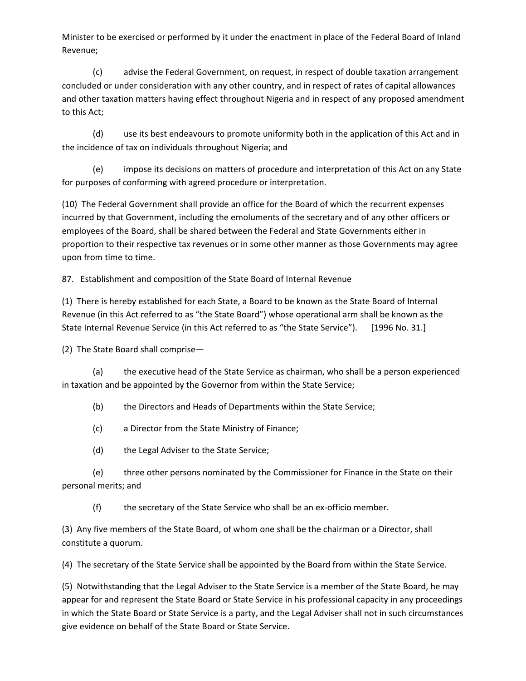Minister to be exercised or performed by it under the enactment in place of the Federal Board of Inland Revenue;

(c) advise the Federal Government, on request, in respect of double taxation arrangement concluded or under consideration with any other country, and in respect of rates of capital allowances and other taxation matters having effect throughout Nigeria and in respect of any proposed amendment to this Act;

(d) use its best endeavours to promote uniformity both in the application of this Act and in the incidence of tax on individuals throughout Nigeria; and

(e) impose its decisions on matters of procedure and interpretation of this Act on any State for purposes of conforming with agreed procedure or interpretation.

(10) The Federal Government shall provide an office for the Board of which the recurrent expenses incurred by that Government, including the emoluments of the secretary and of any other officers or employees of the Board, shall be shared between the Federal and State Governments either in proportion to their respective tax revenues or in some other manner as those Governments may agree upon from time to time.

87. Establishment and composition of the State Board of Internal Revenue

(1) There is hereby established for each State, a Board to be known as the State Board of Internal Revenue (in this Act referred to as "the State Board") whose operational arm shall be known as the State Internal Revenue Service (in this Act referred to as "the State Service"). [1996 No. 31.]

(2) The State Board shall comprise—

(a) the executive head of the State Service as chairman, who shall be a person experienced in taxation and be appointed by the Governor from within the State Service;

(b) the Directors and Heads of Departments within the State Service;

(c) a Director from the State Ministry of Finance;

(d) the Legal Adviser to the State Service;

(e) three other persons nominated by the Commissioner for Finance in the State on their personal merits; and

(f) the secretary of the State Service who shall be an ex-officio member.

(3) Any five members of the State Board, of whom one shall be the chairman or a Director, shall constitute a quorum.

(4) The secretary of the State Service shall be appointed by the Board from within the State Service.

(5) Notwithstanding that the Legal Adviser to the State Service is a member of the State Board, he may appear for and represent the State Board or State Service in his professional capacity in any proceedings in which the State Board or State Service is a party, and the Legal Adviser shall not in such circumstances give evidence on behalf of the State Board or State Service.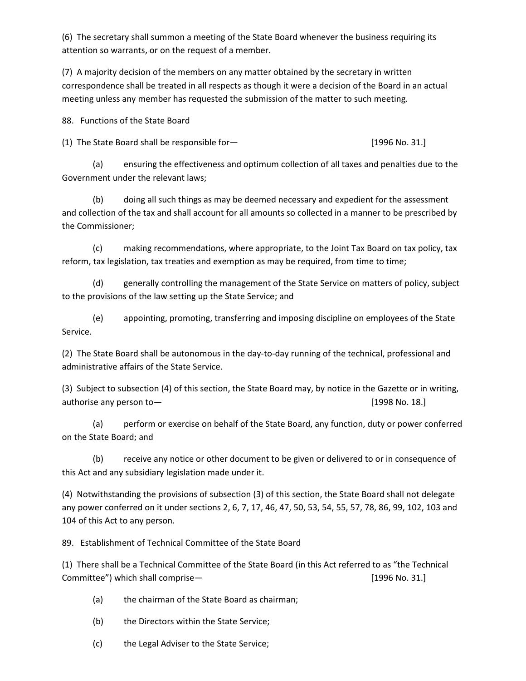(6) The secretary shall summon a meeting of the State Board whenever the business requiring its attention so warrants, or on the request of a member.

(7) A majority decision of the members on any matter obtained by the secretary in written correspondence shall be treated in all respects as though it were a decision of the Board in an actual meeting unless any member has requested the submission of the matter to such meeting.

88. Functions of the State Board

(1) The State Board shall be responsible for— [1996 No. 31.]

(a) ensuring the effectiveness and optimum collection of all taxes and penalties due to the Government under the relevant laws;

(b) doing all such things as may be deemed necessary and expedient for the assessment and collection of the tax and shall account for all amounts so collected in a manner to be prescribed by the Commissioner;

(c) making recommendations, where appropriate, to the Joint Tax Board on tax policy, tax reform, tax legislation, tax treaties and exemption as may be required, from time to time;

(d) generally controlling the management of the State Service on matters of policy, subject to the provisions of the law setting up the State Service; and

(e) appointing, promoting, transferring and imposing discipline on employees of the State Service.

(2) The State Board shall be autonomous in the day-to-day running of the technical, professional and administrative affairs of the State Service.

(3) Subject to subsection (4) of this section, the State Board may, by notice in the Gazette or in writing, authorise any person to — authorise any person to — authorise any person to — authorise any person to — authorise any person to — authorise any person to — authorise any person to — authorise any person to — authorise any

(a) perform or exercise on behalf of the State Board, any function, duty or power conferred on the State Board; and

(b) receive any notice or other document to be given or delivered to or in consequence of this Act and any subsidiary legislation made under it.

(4) Notwithstanding the provisions of subsection (3) of this section, the State Board shall not delegate any power conferred on it under sections 2, 6, 7, 17, 46, 47, 50, 53, 54, 55, 57, 78, 86, 99, 102, 103 and 104 of this Act to any person.

89. Establishment of Technical Committee of the State Board

(1) There shall be a Technical Committee of the State Board (in this Act referred to as "the Technical Committee") which shall comprise— [1996 No. 31.]

(a) the chairman of the State Board as chairman;

(b) the Directors within the State Service;

(c) the Legal Adviser to the State Service;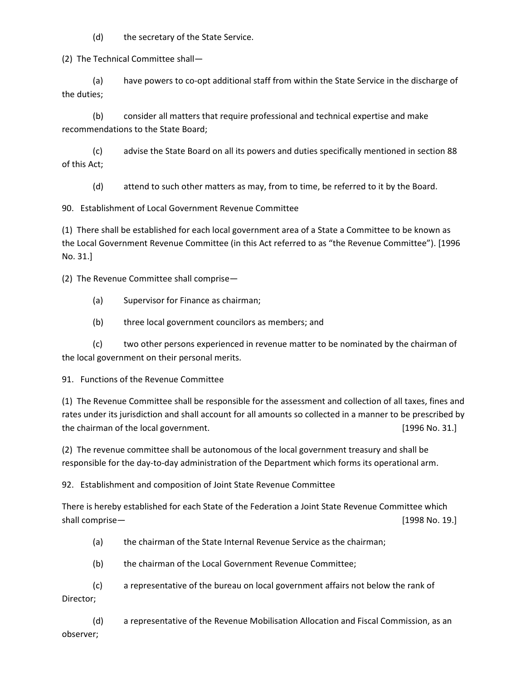(d) the secretary of the State Service.

(2) The Technical Committee shall—

(a) have powers to co-opt additional staff from within the State Service in the discharge of the duties;

(b) consider all matters that require professional and technical expertise and make recommendations to the State Board;

(c) advise the State Board on all its powers and duties specifically mentioned in section 88 of this Act;

(d) attend to such other matters as may, from to time, be referred to it by the Board.

90. Establishment of Local Government Revenue Committee

(1) There shall be established for each local government area of a State a Committee to be known as the Local Government Revenue Committee (in this Act referred to as "the Revenue Committee"). [1996 No. 31.]

(2) The Revenue Committee shall comprise—

- (a) Supervisor for Finance as chairman;
- (b) three local government councilors as members; and

(c) two other persons experienced in revenue matter to be nominated by the chairman of the local government on their personal merits.

91. Functions of the Revenue Committee

(1) The Revenue Committee shall be responsible for the assessment and collection of all taxes, fines and rates under its jurisdiction and shall account for all amounts so collected in a manner to be prescribed by the chairman of the local government. The chairman of the local government. The chairman of the local government.

(2) The revenue committee shall be autonomous of the local government treasury and shall be responsible for the day-to-day administration of the Department which forms its operational arm.

92. Establishment and composition of Joint State Revenue Committee

There is hereby established for each State of the Federation a Joint State Revenue Committee which shall comprise— **and the computer of the computer of the computer of the computer of the computer of the computer of the computer of the computer of the computer of the computer of the computer of the computer of the compu** 

- (a) the chairman of the State Internal Revenue Service as the chairman;
- (b) the chairman of the Local Government Revenue Committee;

(c) a representative of the bureau on local government affairs not below the rank of Director;

(d) a representative of the Revenue Mobilisation Allocation and Fiscal Commission, as an observer;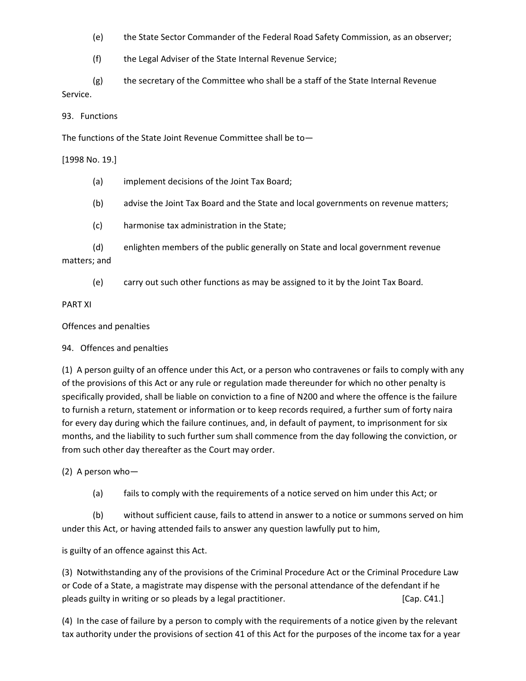- (e) the State Sector Commander of the Federal Road Safety Commission, as an observer;
- (f) the Legal Adviser of the State Internal Revenue Service;
- (g) the secretary of the Committee who shall be a staff of the State Internal Revenue Service.
- 93. Functions

The functions of the State Joint Revenue Committee shall be to—

[1998 No. 19.]

- (a) implement decisions of the Joint Tax Board;
- (b) advise the Joint Tax Board and the State and local governments on revenue matters;
- (c) harmonise tax administration in the State;
- (d) enlighten members of the public generally on State and local government revenue matters; and
	- (e) carry out such other functions as may be assigned to it by the Joint Tax Board.

#### PART XI

#### Offences and penalties

#### 94. Offences and penalties

(1) A person guilty of an offence under this Act, or a person who contravenes or fails to comply with any of the provisions of this Act or any rule or regulation made thereunder for which no other penalty is specifically provided, shall be liable on conviction to a fine of N200 and where the offence is the failure to furnish a return, statement or information or to keep records required, a further sum of forty naira for every day during which the failure continues, and, in default of payment, to imprisonment for six months, and the liability to such further sum shall commence from the day following the conviction, or from such other day thereafter as the Court may order.

(2) A person who—

(a) fails to comply with the requirements of a notice served on him under this Act; or

(b) without sufficient cause, fails to attend in answer to a notice or summons served on him under this Act, or having attended fails to answer any question lawfully put to him,

is guilty of an offence against this Act.

(3) Notwithstanding any of the provisions of the Criminal Procedure Act or the Criminal Procedure Law or Code of a State, a magistrate may dispense with the personal attendance of the defendant if he pleads guilty in writing or so pleads by a legal practitioner. The same state of  $\lbrack \text{Cap. C41.} \rbrack$ 

(4) In the case of failure by a person to comply with the requirements of a notice given by the relevant tax authority under the provisions of section 41 of this Act for the purposes of the income tax for a year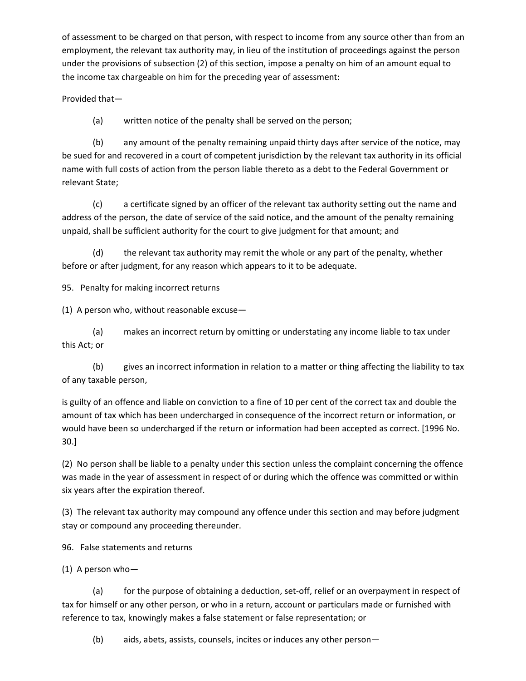of assessment to be charged on that person, with respect to income from any source other than from an employment, the relevant tax authority may, in lieu of the institution of proceedings against the person under the provisions of subsection (2) of this section, impose a penalty on him of an amount equal to the income tax chargeable on him for the preceding year of assessment:

Provided that—

(a) written notice of the penalty shall be served on the person;

(b) any amount of the penalty remaining unpaid thirty days after service of the notice, may be sued for and recovered in a court of competent jurisdiction by the relevant tax authority in its official name with full costs of action from the person liable thereto as a debt to the Federal Government or relevant State;

(c) a certificate signed by an officer of the relevant tax authority setting out the name and address of the person, the date of service of the said notice, and the amount of the penalty remaining unpaid, shall be sufficient authority for the court to give judgment for that amount; and

(d) the relevant tax authority may remit the whole or any part of the penalty, whether before or after judgment, for any reason which appears to it to be adequate.

95. Penalty for making incorrect returns

(1) A person who, without reasonable excuse—

(a) makes an incorrect return by omitting or understating any income liable to tax under this Act; or

(b) gives an incorrect information in relation to a matter or thing affecting the liability to tax of any taxable person,

is guilty of an offence and liable on conviction to a fine of 10 per cent of the correct tax and double the amount of tax which has been undercharged in consequence of the incorrect return or information, or would have been so undercharged if the return or information had been accepted as correct. [1996 No. 30.]

(2) No person shall be liable to a penalty under this section unless the complaint concerning the offence was made in the year of assessment in respect of or during which the offence was committed or within six years after the expiration thereof.

(3) The relevant tax authority may compound any offence under this section and may before judgment stay or compound any proceeding thereunder.

96. False statements and returns

(1) A person who—

(a) for the purpose of obtaining a deduction, set-off, relief or an overpayment in respect of tax for himself or any other person, or who in a return, account or particulars made or furnished with reference to tax, knowingly makes a false statement or false representation; or

(b) aids, abets, assists, counsels, incites or induces any other person—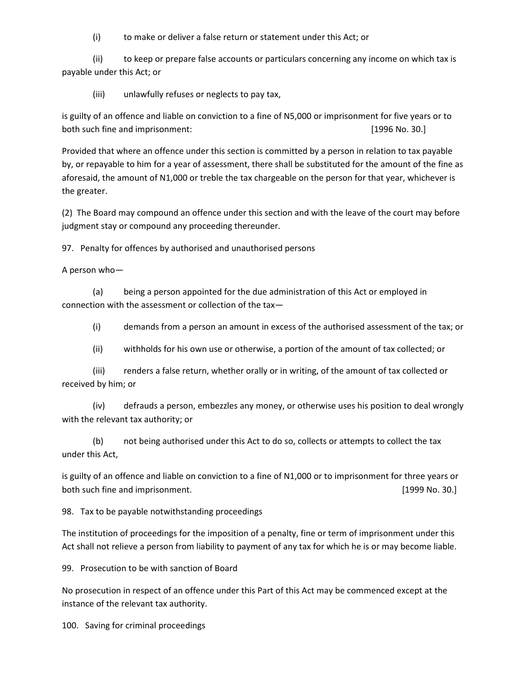(i) to make or deliver a false return or statement under this Act; or

(ii) to keep or prepare false accounts or particulars concerning any income on which tax is payable under this Act; or

(iii) unlawfully refuses or neglects to pay tax,

is guilty of an offence and liable on conviction to a fine of N5,000 or imprisonment for five years or to both such fine and imprisonment: [1996 No. 30.]

Provided that where an offence under this section is committed by a person in relation to tax payable by, or repayable to him for a year of assessment, there shall be substituted for the amount of the fine as aforesaid, the amount of N1,000 or treble the tax chargeable on the person for that year, whichever is the greater.

(2) The Board may compound an offence under this section and with the leave of the court may before judgment stay or compound any proceeding thereunder.

97. Penalty for offences by authorised and unauthorised persons

A person who—

(a) being a person appointed for the due administration of this Act or employed in connection with the assessment or collection of the tax—

(i) demands from a person an amount in excess of the authorised assessment of the tax; or

(ii) withholds for his own use or otherwise, a portion of the amount of tax collected; or

(iii) renders a false return, whether orally or in writing, of the amount of tax collected or received by him; or

(iv) defrauds a person, embezzles any money, or otherwise uses his position to deal wrongly with the relevant tax authority; or

(b) not being authorised under this Act to do so, collects or attempts to collect the tax under this Act,

is guilty of an offence and liable on conviction to a fine of N1,000 or to imprisonment for three years or both such fine and imprisonment. **Example 20** and increase the such such as  $[1999$  No. 30.]

98. Tax to be payable notwithstanding proceedings

The institution of proceedings for the imposition of a penalty, fine or term of imprisonment under this Act shall not relieve a person from liability to payment of any tax for which he is or may become liable.

99. Prosecution to be with sanction of Board

No prosecution in respect of an offence under this Part of this Act may be commenced except at the instance of the relevant tax authority.

100. Saving for criminal proceedings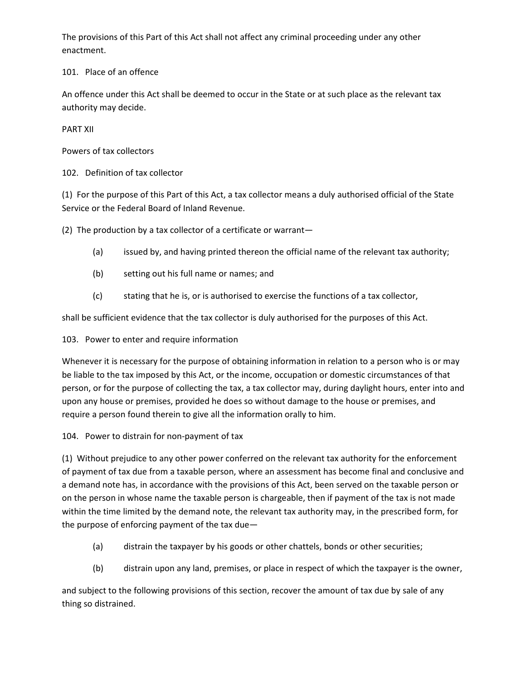The provisions of this Part of this Act shall not affect any criminal proceeding under any other enactment.

101. Place of an offence

An offence under this Act shall be deemed to occur in the State or at such place as the relevant tax authority may decide.

PART XII

Powers of tax collectors

102. Definition of tax collector

(1) For the purpose of this Part of this Act, a tax collector means a duly authorised official of the State Service or the Federal Board of Inland Revenue.

(2) The production by a tax collector of a certificate or warrant—

- (a) issued by, and having printed thereon the official name of the relevant tax authority;
- (b) setting out his full name or names; and
- (c) stating that he is, or is authorised to exercise the functions of a tax collector,

shall be sufficient evidence that the tax collector is duly authorised for the purposes of this Act.

103. Power to enter and require information

Whenever it is necessary for the purpose of obtaining information in relation to a person who is or may be liable to the tax imposed by this Act, or the income, occupation or domestic circumstances of that person, or for the purpose of collecting the tax, a tax collector may, during daylight hours, enter into and upon any house or premises, provided he does so without damage to the house or premises, and require a person found therein to give all the information orally to him.

104. Power to distrain for non-payment of tax

(1) Without prejudice to any other power conferred on the relevant tax authority for the enforcement of payment of tax due from a taxable person, where an assessment has become final and conclusive and a demand note has, in accordance with the provisions of this Act, been served on the taxable person or on the person in whose name the taxable person is chargeable, then if payment of the tax is not made within the time limited by the demand note, the relevant tax authority may, in the prescribed form, for the purpose of enforcing payment of the tax due—

- (a) distrain the taxpayer by his goods or other chattels, bonds or other securities;
- (b) distrain upon any land, premises, or place in respect of which the taxpayer is the owner,

and subject to the following provisions of this section, recover the amount of tax due by sale of any thing so distrained.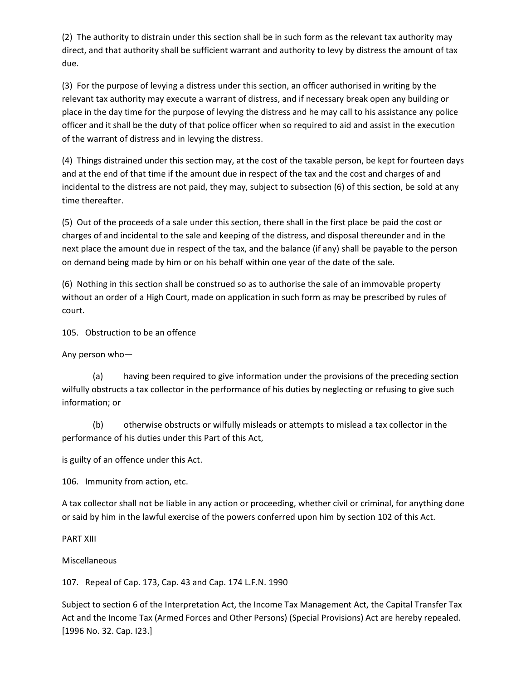(2) The authority to distrain under this section shall be in such form as the relevant tax authority may direct, and that authority shall be sufficient warrant and authority to levy by distress the amount of tax due.

(3) For the purpose of levying a distress under this section, an officer authorised in writing by the relevant tax authority may execute a warrant of distress, and if necessary break open any building or place in the day time for the purpose of levying the distress and he may call to his assistance any police officer and it shall be the duty of that police officer when so required to aid and assist in the execution of the warrant of distress and in levying the distress.

(4) Things distrained under this section may, at the cost of the taxable person, be kept for fourteen days and at the end of that time if the amount due in respect of the tax and the cost and charges of and incidental to the distress are not paid, they may, subject to subsection (6) of this section, be sold at any time thereafter.

(5) Out of the proceeds of a sale under this section, there shall in the first place be paid the cost or charges of and incidental to the sale and keeping of the distress, and disposal thereunder and in the next place the amount due in respect of the tax, and the balance (if any) shall be payable to the person on demand being made by him or on his behalf within one year of the date of the sale.

(6) Nothing in this section shall be construed so as to authorise the sale of an immovable property without an order of a High Court, made on application in such form as may be prescribed by rules of court.

105. Obstruction to be an offence

Any person who—

(a) having been required to give information under the provisions of the preceding section wilfully obstructs a tax collector in the performance of his duties by neglecting or refusing to give such information; or

(b) otherwise obstructs or wilfully misleads or attempts to mislead a tax collector in the performance of his duties under this Part of this Act,

is guilty of an offence under this Act.

106. Immunity from action, etc.

A tax collector shall not be liable in any action or proceeding, whether civil or criminal, for anything done or said by him in the lawful exercise of the powers conferred upon him by section 102 of this Act.

PART XIII

Miscellaneous

107. Repeal of Cap. 173, Cap. 43 and Cap. 174 L.F.N. 1990

Subject to section 6 of the Interpretation Act, the Income Tax Management Act, the Capital Transfer Tax Act and the Income Tax (Armed Forces and Other Persons) (Special Provisions) Act are hereby repealed. [1996 No. 32. Cap. I23.]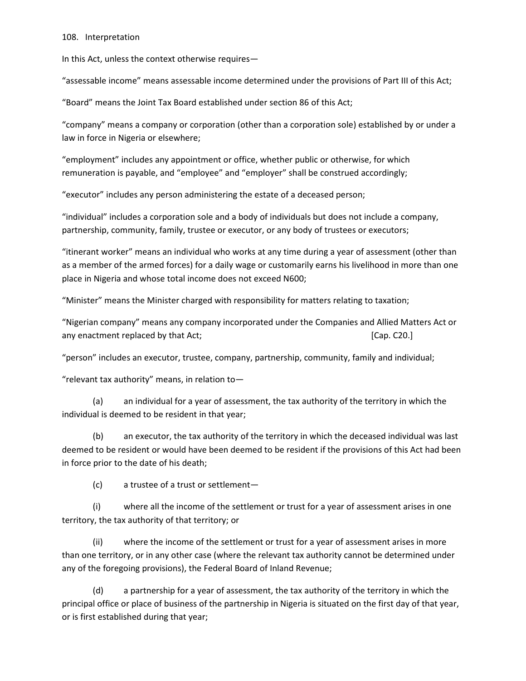#### 108. Interpretation

In this Act, unless the context otherwise requires—

"assessable income" means assessable income determined under the provisions of Part III of this Act;

"Board" means the Joint Tax Board established under section 86 of this Act;

"company" means a company or corporation (other than a corporation sole) established by or under a law in force in Nigeria or elsewhere;

"employment" includes any appointment or office, whether public or otherwise, for which remuneration is payable, and "employee" and "employer" shall be construed accordingly;

"executor" includes any person administering the estate of a deceased person;

"individual" includes a corporation sole and a body of individuals but does not include a company, partnership, community, family, trustee or executor, or any body of trustees or executors;

"itinerant worker" means an individual who works at any time during a year of assessment (other than as a member of the armed forces) for a daily wage or customarily earns his livelihood in more than one place in Nigeria and whose total income does not exceed N600;

"Minister" means the Minister charged with responsibility for matters relating to taxation;

"Nigerian company" means any company incorporated under the Companies and Allied Matters Act or any enactment replaced by that Act; 
<br>
[Cap. C20.]

"person" includes an executor, trustee, company, partnership, community, family and individual;

"relevant tax authority" means, in relation to—

(a) an individual for a year of assessment, the tax authority of the territory in which the individual is deemed to be resident in that year;

(b) an executor, the tax authority of the territory in which the deceased individual was last deemed to be resident or would have been deemed to be resident if the provisions of this Act had been in force prior to the date of his death;

(c) a trustee of a trust or settlement—

(i) where all the income of the settlement or trust for a year of assessment arises in one territory, the tax authority of that territory; or

(ii) where the income of the settlement or trust for a year of assessment arises in more than one territory, or in any other case (where the relevant tax authority cannot be determined under any of the foregoing provisions), the Federal Board of Inland Revenue;

(d) a partnership for a year of assessment, the tax authority of the territory in which the principal office or place of business of the partnership in Nigeria is situated on the first day of that year, or is first established during that year;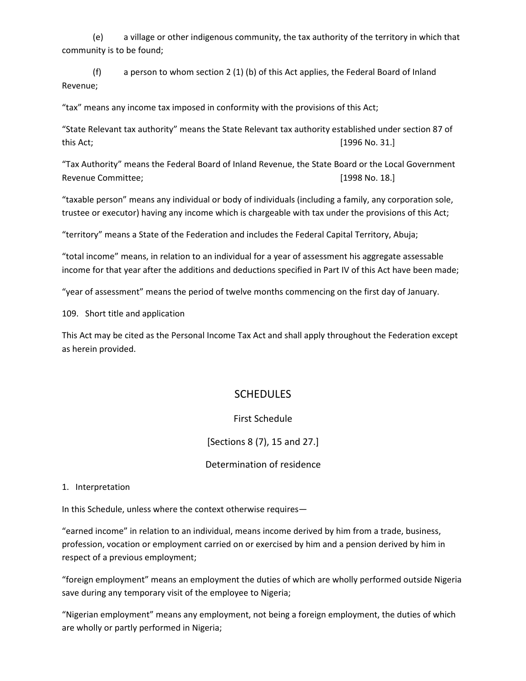(e) a village or other indigenous community, the tax authority of the territory in which that community is to be found;

(f) a person to whom section 2 (1) (b) of this Act applies, the Federal Board of Inland Revenue;

"tax" means any income tax imposed in conformity with the provisions of this Act;

"State Relevant tax authority" means the State Relevant tax authority established under section 87 of this Act; [1996 No. 31.]

"Tax Authority" means the Federal Board of Inland Revenue, the State Board or the Local Government Revenue Committee; et al. (1998 No. 18.]

"taxable person" means any individual or body of individuals (including a family, any corporation sole, trustee or executor) having any income which is chargeable with tax under the provisions of this Act;

"territory" means a State of the Federation and includes the Federal Capital Territory, Abuja;

"total income" means, in relation to an individual for a year of assessment his aggregate assessable income for that year after the additions and deductions specified in Part IV of this Act have been made;

"year of assessment" means the period of twelve months commencing on the first day of January.

109. Short title and application

This Act may be cited as the Personal Income Tax Act and shall apply throughout the Federation except as herein provided.

## **SCHEDULES**

First Schedule

[Sections 8 (7), 15 and 27.]

Determination of residence

1. Interpretation

In this Schedule, unless where the context otherwise requires—

"earned income" in relation to an individual, means income derived by him from a trade, business, profession, vocation or employment carried on or exercised by him and a pension derived by him in respect of a previous employment;

"foreign employment" means an employment the duties of which are wholly performed outside Nigeria save during any temporary visit of the employee to Nigeria;

"Nigerian employment" means any employment, not being a foreign employment, the duties of which are wholly or partly performed in Nigeria;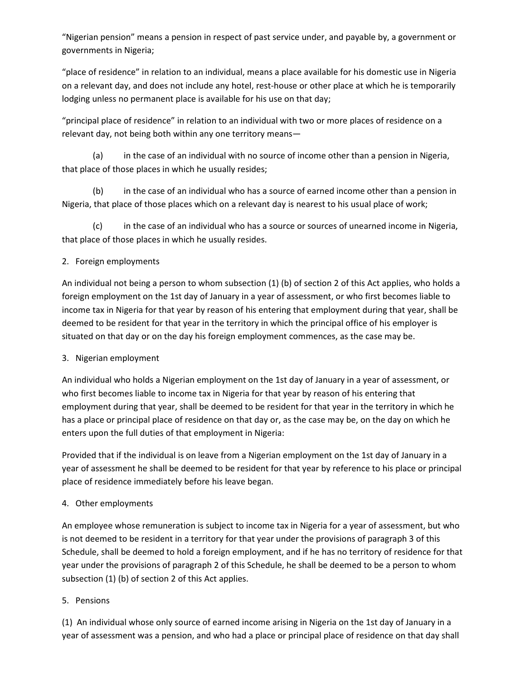"Nigerian pension" means a pension in respect of past service under, and payable by, a government or governments in Nigeria;

"place of residence" in relation to an individual, means a place available for his domestic use in Nigeria on a relevant day, and does not include any hotel, rest-house or other place at which he is temporarily lodging unless no permanent place is available for his use on that day;

"principal place of residence" in relation to an individual with two or more places of residence on a relevant day, not being both within any one territory means—

(a) in the case of an individual with no source of income other than a pension in Nigeria, that place of those places in which he usually resides;

(b) in the case of an individual who has a source of earned income other than a pension in Nigeria, that place of those places which on a relevant day is nearest to his usual place of work;

(c) in the case of an individual who has a source or sources of unearned income in Nigeria, that place of those places in which he usually resides.

## 2. Foreign employments

An individual not being a person to whom subsection (1) (b) of section 2 of this Act applies, who holds a foreign employment on the 1st day of January in a year of assessment, or who first becomes liable to income tax in Nigeria for that year by reason of his entering that employment during that year, shall be deemed to be resident for that year in the territory in which the principal office of his employer is situated on that day or on the day his foreign employment commences, as the case may be.

#### 3. Nigerian employment

An individual who holds a Nigerian employment on the 1st day of January in a year of assessment, or who first becomes liable to income tax in Nigeria for that year by reason of his entering that employment during that year, shall be deemed to be resident for that year in the territory in which he has a place or principal place of residence on that day or, as the case may be, on the day on which he enters upon the full duties of that employment in Nigeria:

Provided that if the individual is on leave from a Nigerian employment on the 1st day of January in a year of assessment he shall be deemed to be resident for that year by reference to his place or principal place of residence immediately before his leave began.

#### 4. Other employments

An employee whose remuneration is subject to income tax in Nigeria for a year of assessment, but who is not deemed to be resident in a territory for that year under the provisions of paragraph 3 of this Schedule, shall be deemed to hold a foreign employment, and if he has no territory of residence for that year under the provisions of paragraph 2 of this Schedule, he shall be deemed to be a person to whom subsection (1) (b) of section 2 of this Act applies.

#### 5. Pensions

(1) An individual whose only source of earned income arising in Nigeria on the 1st day of January in a year of assessment was a pension, and who had a place or principal place of residence on that day shall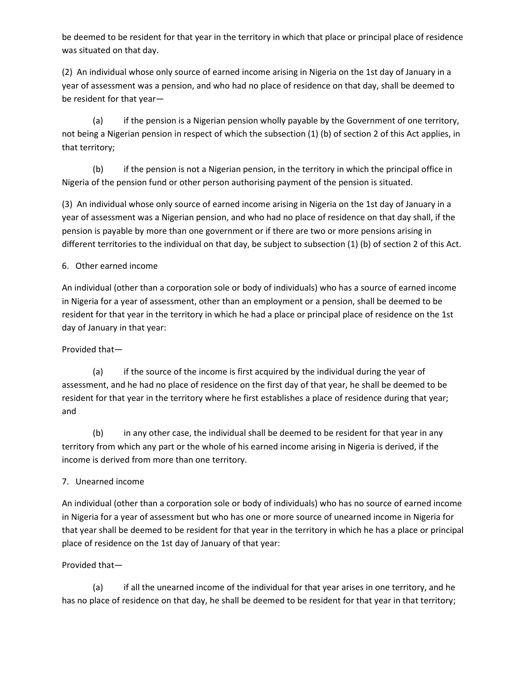be deemed to be resident for that year in the territory in which that place or principal place of residence was situated on that day.

(2) An individual whose only source of earned income arising in Nigeria on the 1st day of January in a year of assessment was a pension, and who had no place of residence on that day, shall be deemed to be resident for that year—

(a) if the pension is a Nigerian pension wholly payable by the Government of one territory, not being a Nigerian pension in respect of which the subsection (1) (b) of section 2 of this Act applies, in that territory;

(b) if the pension is not a Nigerian pension, in the territory in which the principal office in Nigeria of the pension fund or other person authorising payment of the pension is situated.

(3) An individual whose only source of earned income arising in Nigeria on the 1st day of January in a year of assessment was a Nigerian pension, and who had no place of residence on that day shall, if the pension is payable by more than one government or if there are two or more pensions arising in different territories to the individual on that day, be subject to subsection (1) (b) of section 2 of this Act.

## 6. Other earned income

An individual (other than a corporation sole or body of individuals) who has a source of earned income in Nigeria for a year of assessment, other than an employment or a pension, shall be deemed to be resident for that year in the territory in which he had a place or principal place of residence on the 1st day of January in that year:

## Provided that—

(a) if the source of the income is first acquired by the individual during the year of assessment, and he had no place of residence on the first day of that year, he shall be deemed to be resident for that year in the territory where he first establishes a place of residence during that year; and

(b) in any other case, the individual shall be deemed to be resident for that year in any territory from which any part or the whole of his earned income arising in Nigeria is derived, if the income is derived from more than one territory.

## 7. Unearned income

An individual (other than a corporation sole or body of individuals) who has no source of earned income in Nigeria for a year of assessment but who has one or more source of unearned income in Nigeria for that year shall be deemed to be resident for that year in the territory in which he has a place or principal place of residence on the 1st day of January of that year:

## Provided that—

(a) if all the unearned income of the individual for that year arises in one territory, and he has no place of residence on that day, he shall be deemed to be resident for that year in that territory;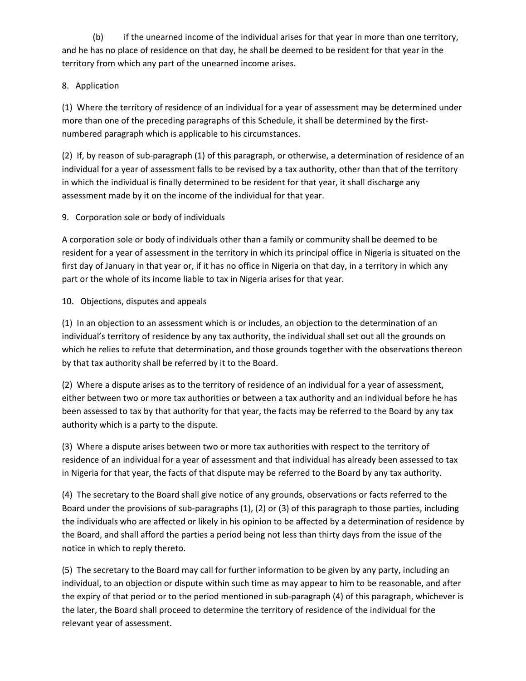(b) if the unearned income of the individual arises for that year in more than one territory, and he has no place of residence on that day, he shall be deemed to be resident for that year in the territory from which any part of the unearned income arises.

## 8. Application

(1) Where the territory of residence of an individual for a year of assessment may be determined under more than one of the preceding paragraphs of this Schedule, it shall be determined by the firstnumbered paragraph which is applicable to his circumstances.

(2) If, by reason of sub-paragraph (1) of this paragraph, or otherwise, a determination of residence of an individual for a year of assessment falls to be revised by a tax authority, other than that of the territory in which the individual is finally determined to be resident for that year, it shall discharge any assessment made by it on the income of the individual for that year.

## 9. Corporation sole or body of individuals

A corporation sole or body of individuals other than a family or community shall be deemed to be resident for a year of assessment in the territory in which its principal office in Nigeria is situated on the first day of January in that year or, if it has no office in Nigeria on that day, in a territory in which any part or the whole of its income liable to tax in Nigeria arises for that year.

#### 10. Objections, disputes and appeals

(1) In an objection to an assessment which is or includes, an objection to the determination of an individual's territory of residence by any tax authority, the individual shall set out all the grounds on which he relies to refute that determination, and those grounds together with the observations thereon by that tax authority shall be referred by it to the Board.

(2) Where a dispute arises as to the territory of residence of an individual for a year of assessment, either between two or more tax authorities or between a tax authority and an individual before he has been assessed to tax by that authority for that year, the facts may be referred to the Board by any tax authority which is a party to the dispute.

(3) Where a dispute arises between two or more tax authorities with respect to the territory of residence of an individual for a year of assessment and that individual has already been assessed to tax in Nigeria for that year, the facts of that dispute may be referred to the Board by any tax authority.

(4) The secretary to the Board shall give notice of any grounds, observations or facts referred to the Board under the provisions of sub-paragraphs (1), (2) or (3) of this paragraph to those parties, including the individuals who are affected or likely in his opinion to be affected by a determination of residence by the Board, and shall afford the parties a period being not less than thirty days from the issue of the notice in which to reply thereto.

(5) The secretary to the Board may call for further information to be given by any party, including an individual, to an objection or dispute within such time as may appear to him to be reasonable, and after the expiry of that period or to the period mentioned in sub-paragraph (4) of this paragraph, whichever is the later, the Board shall proceed to determine the territory of residence of the individual for the relevant year of assessment.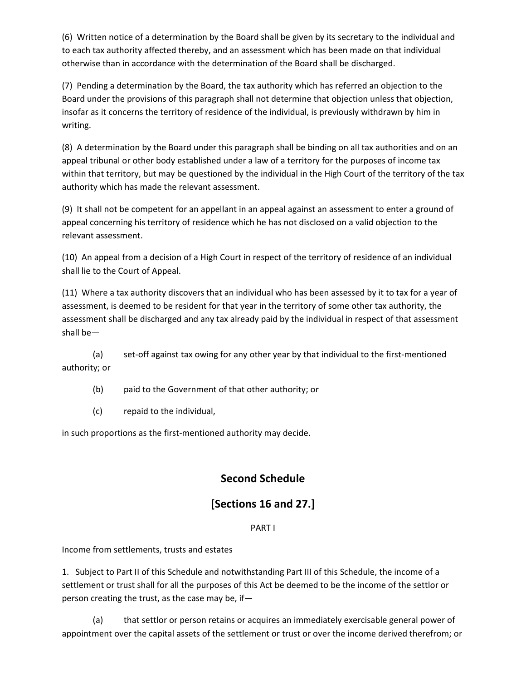(6) Written notice of a determination by the Board shall be given by its secretary to the individual and to each tax authority affected thereby, and an assessment which has been made on that individual otherwise than in accordance with the determination of the Board shall be discharged.

(7) Pending a determination by the Board, the tax authority which has referred an objection to the Board under the provisions of this paragraph shall not determine that objection unless that objection, insofar as it concerns the territory of residence of the individual, is previously withdrawn by him in writing.

(8) A determination by the Board under this paragraph shall be binding on all tax authorities and on an appeal tribunal or other body established under a law of a territory for the purposes of income tax within that territory, but may be questioned by the individual in the High Court of the territory of the tax authority which has made the relevant assessment.

(9) It shall not be competent for an appellant in an appeal against an assessment to enter a ground of appeal concerning his territory of residence which he has not disclosed on a valid objection to the relevant assessment.

(10) An appeal from a decision of a High Court in respect of the territory of residence of an individual shall lie to the Court of Appeal.

(11) Where a tax authority discovers that an individual who has been assessed by it to tax for a year of assessment, is deemed to be resident for that year in the territory of some other tax authority, the assessment shall be discharged and any tax already paid by the individual in respect of that assessment shall be—

(a) set-off against tax owing for any other year by that individual to the first-mentioned authority; or

(b) paid to the Government of that other authority; or

(c) repaid to the individual,

in such proportions as the first-mentioned authority may decide.

# **Second Schedule**

# **[Sections 16 and 27.]**

#### PART I

Income from settlements, trusts and estates

1. Subject to Part II of this Schedule and notwithstanding Part III of this Schedule, the income of a settlement or trust shall for all the purposes of this Act be deemed to be the income of the settlor or person creating the trust, as the case may be, if—

(a) that settlor or person retains or acquires an immediately exercisable general power of appointment over the capital assets of the settlement or trust or over the income derived therefrom; or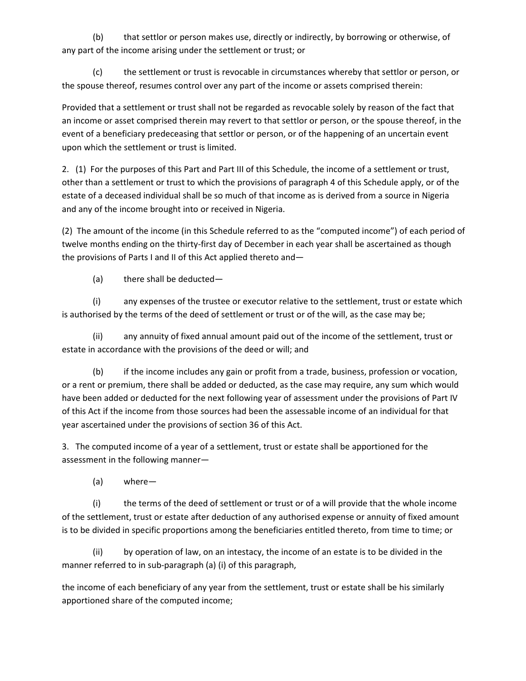(b) that settlor or person makes use, directly or indirectly, by borrowing or otherwise, of any part of the income arising under the settlement or trust; or

(c) the settlement or trust is revocable in circumstances whereby that settlor or person, or the spouse thereof, resumes control over any part of the income or assets comprised therein:

Provided that a settlement or trust shall not be regarded as revocable solely by reason of the fact that an income or asset comprised therein may revert to that settlor or person, or the spouse thereof, in the event of a beneficiary predeceasing that settlor or person, or of the happening of an uncertain event upon which the settlement or trust is limited.

2. (1) For the purposes of this Part and Part III of this Schedule, the income of a settlement or trust, other than a settlement or trust to which the provisions of paragraph 4 of this Schedule apply, or of the estate of a deceased individual shall be so much of that income as is derived from a source in Nigeria and any of the income brought into or received in Nigeria.

(2) The amount of the income (in this Schedule referred to as the "computed income") of each period of twelve months ending on the thirty-first day of December in each year shall be ascertained as though the provisions of Parts I and II of this Act applied thereto and—

(a) there shall be deducted—

(i) any expenses of the trustee or executor relative to the settlement, trust or estate which is authorised by the terms of the deed of settlement or trust or of the will, as the case may be;

(ii) any annuity of fixed annual amount paid out of the income of the settlement, trust or estate in accordance with the provisions of the deed or will; and

(b) if the income includes any gain or profit from a trade, business, profession or vocation, or a rent or premium, there shall be added or deducted, as the case may require, any sum which would have been added or deducted for the next following year of assessment under the provisions of Part IV of this Act if the income from those sources had been the assessable income of an individual for that year ascertained under the provisions of section 36 of this Act.

3. The computed income of a year of a settlement, trust or estate shall be apportioned for the assessment in the following manner—

(a) where—

(i) the terms of the deed of settlement or trust or of a will provide that the whole income of the settlement, trust or estate after deduction of any authorised expense or annuity of fixed amount is to be divided in specific proportions among the beneficiaries entitled thereto, from time to time; or

(ii) by operation of law, on an intestacy, the income of an estate is to be divided in the manner referred to in sub-paragraph (a) (i) of this paragraph,

the income of each beneficiary of any year from the settlement, trust or estate shall be his similarly apportioned share of the computed income;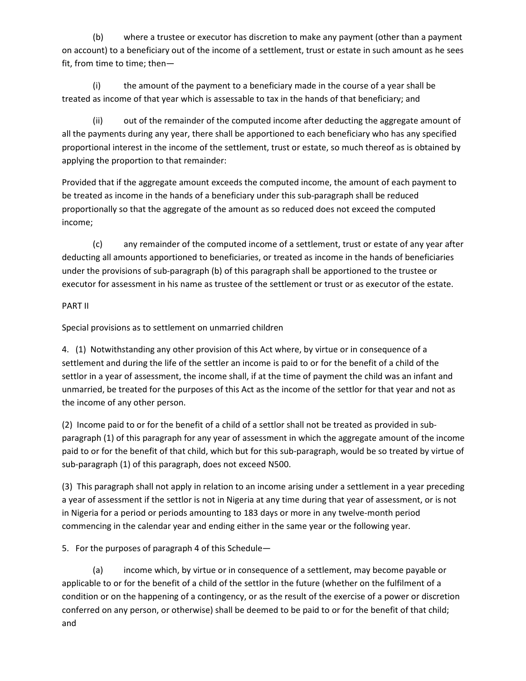(b) where a trustee or executor has discretion to make any payment (other than a payment on account) to a beneficiary out of the income of a settlement, trust or estate in such amount as he sees fit, from time to time; then—

(i) the amount of the payment to a beneficiary made in the course of a year shall be treated as income of that year which is assessable to tax in the hands of that beneficiary; and

(ii) out of the remainder of the computed income after deducting the aggregate amount of all the payments during any year, there shall be apportioned to each beneficiary who has any specified proportional interest in the income of the settlement, trust or estate, so much thereof as is obtained by applying the proportion to that remainder:

Provided that if the aggregate amount exceeds the computed income, the amount of each payment to be treated as income in the hands of a beneficiary under this sub-paragraph shall be reduced proportionally so that the aggregate of the amount as so reduced does not exceed the computed income;

(c) any remainder of the computed income of a settlement, trust or estate of any year after deducting all amounts apportioned to beneficiaries, or treated as income in the hands of beneficiaries under the provisions of sub-paragraph (b) of this paragraph shall be apportioned to the trustee or executor for assessment in his name as trustee of the settlement or trust or as executor of the estate.

#### PART II

Special provisions as to settlement on unmarried children

4. (1) Notwithstanding any other provision of this Act where, by virtue or in consequence of a settlement and during the life of the settler an income is paid to or for the benefit of a child of the settlor in a year of assessment, the income shall, if at the time of payment the child was an infant and unmarried, be treated for the purposes of this Act as the income of the settlor for that year and not as the income of any other person.

(2) Income paid to or for the benefit of a child of a settlor shall not be treated as provided in subparagraph (1) of this paragraph for any year of assessment in which the aggregate amount of the income paid to or for the benefit of that child, which but for this sub-paragraph, would be so treated by virtue of sub-paragraph (1) of this paragraph, does not exceed N500.

(3) This paragraph shall not apply in relation to an income arising under a settlement in a year preceding a year of assessment if the settlor is not in Nigeria at any time during that year of assessment, or is not in Nigeria for a period or periods amounting to 183 days or more in any twelve-month period commencing in the calendar year and ending either in the same year or the following year.

5. For the purposes of paragraph 4 of this Schedule—

(a) income which, by virtue or in consequence of a settlement, may become payable or applicable to or for the benefit of a child of the settlor in the future (whether on the fulfilment of a condition or on the happening of a contingency, or as the result of the exercise of a power or discretion conferred on any person, or otherwise) shall be deemed to be paid to or for the benefit of that child; and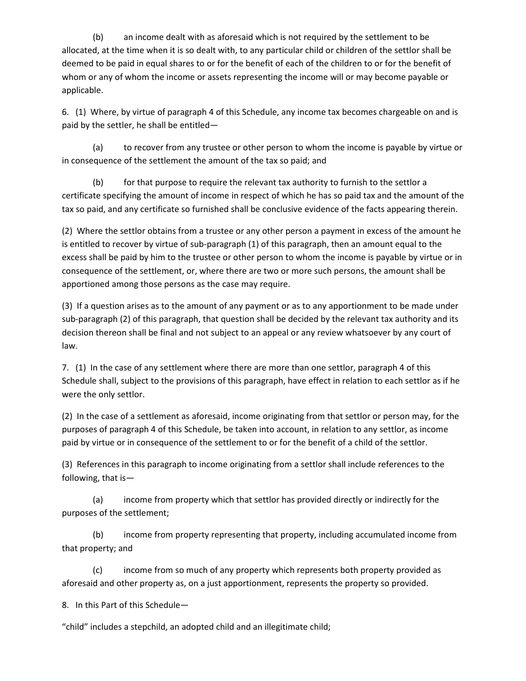(b) an income dealt with as aforesaid which is not required by the settlement to be allocated, at the time when it is so dealt with, to any particular child or children of the settlor shall be deemed to be paid in equal shares to or for the benefit of each of the children to or for the benefit of whom or any of whom the income or assets representing the income will or may become payable or applicable.

6. (1) Where, by virtue of paragraph 4 of this Schedule, any income tax becomes chargeable on and is paid by the settler, he shall be entitled—

(a) to recover from any trustee or other person to whom the income is payable by virtue or in consequence of the settlement the amount of the tax so paid; and

(b) for that purpose to require the relevant tax authority to furnish to the settlor a certificate specifying the amount of income in respect of which he has so paid tax and the amount of the tax so paid, and any certificate so furnished shall be conclusive evidence of the facts appearing therein.

(2) Where the settlor obtains from a trustee or any other person a payment in excess of the amount he is entitled to recover by virtue of sub-paragraph (1) of this paragraph, then an amount equal to the excess shall be paid by him to the trustee or other person to whom the income is payable by virtue or in consequence of the settlement, or, where there are two or more such persons, the amount shall be apportioned among those persons as the case may require.

(3) If a question arises as to the amount of any payment or as to any apportionment to be made under sub-paragraph (2) of this paragraph, that question shall be decided by the relevant tax authority and its decision thereon shall be final and not subject to an appeal or any review whatsoever by any court of law.

7. (1) In the case of any settlement where there are more than one settlor, paragraph 4 of this Schedule shall, subject to the provisions of this paragraph, have effect in relation to each settlor as if he were the only settlor.

(2) In the case of a settlement as aforesaid, income originating from that settlor or person may, for the purposes of paragraph 4 of this Schedule, be taken into account, in relation to any settlor, as income paid by virtue or in consequence of the settlement to or for the benefit of a child of the settlor.

(3) References in this paragraph to income originating from a settlor shall include references to the following, that is—

(a) income from property which that settlor has provided directly or indirectly for the purposes of the settlement;

(b) income from property representing that property, including accumulated income from that property; and

(c) income from so much of any property which represents both property provided as aforesaid and other property as, on a just apportionment, represents the property so provided.

8. In this Part of this Schedule—

"child" includes a stepchild, an adopted child and an illegitimate child;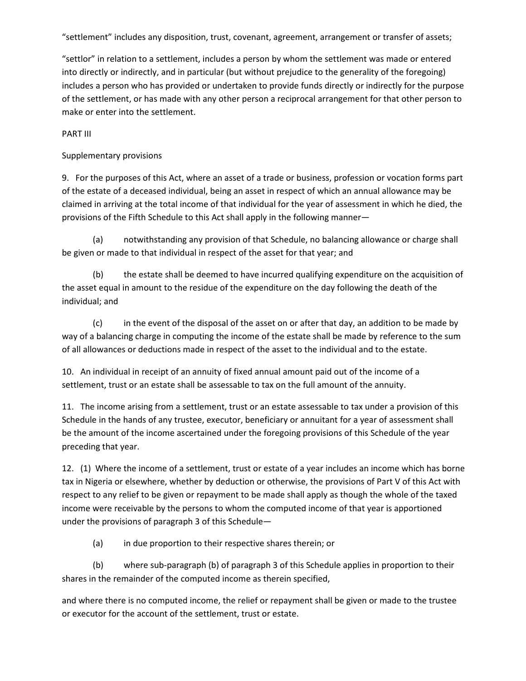"settlement" includes any disposition, trust, covenant, agreement, arrangement or transfer of assets;

"settlor" in relation to a settlement, includes a person by whom the settlement was made or entered into directly or indirectly, and in particular (but without prejudice to the generality of the foregoing) includes a person who has provided or undertaken to provide funds directly or indirectly for the purpose of the settlement, or has made with any other person a reciprocal arrangement for that other person to make or enter into the settlement.

PART III

Supplementary provisions

9. For the purposes of this Act, where an asset of a trade or business, profession or vocation forms part of the estate of a deceased individual, being an asset in respect of which an annual allowance may be claimed in arriving at the total income of that individual for the year of assessment in which he died, the provisions of the Fifth Schedule to this Act shall apply in the following manner—

(a) notwithstanding any provision of that Schedule, no balancing allowance or charge shall be given or made to that individual in respect of the asset for that year; and

(b) the estate shall be deemed to have incurred qualifying expenditure on the acquisition of the asset equal in amount to the residue of the expenditure on the day following the death of the individual; and

(c) in the event of the disposal of the asset on or after that day, an addition to be made by way of a balancing charge in computing the income of the estate shall be made by reference to the sum of all allowances or deductions made in respect of the asset to the individual and to the estate.

10. An individual in receipt of an annuity of fixed annual amount paid out of the income of a settlement, trust or an estate shall be assessable to tax on the full amount of the annuity.

11. The income arising from a settlement, trust or an estate assessable to tax under a provision of this Schedule in the hands of any trustee, executor, beneficiary or annuitant for a year of assessment shall be the amount of the income ascertained under the foregoing provisions of this Schedule of the year preceding that year.

12. (1) Where the income of a settlement, trust or estate of a year includes an income which has borne tax in Nigeria or elsewhere, whether by deduction or otherwise, the provisions of Part V of this Act with respect to any relief to be given or repayment to be made shall apply as though the whole of the taxed income were receivable by the persons to whom the computed income of that year is apportioned under the provisions of paragraph 3 of this Schedule—

(a) in due proportion to their respective shares therein; or

(b) where sub-paragraph (b) of paragraph 3 of this Schedule applies in proportion to their shares in the remainder of the computed income as therein specified,

and where there is no computed income, the relief or repayment shall be given or made to the trustee or executor for the account of the settlement, trust or estate.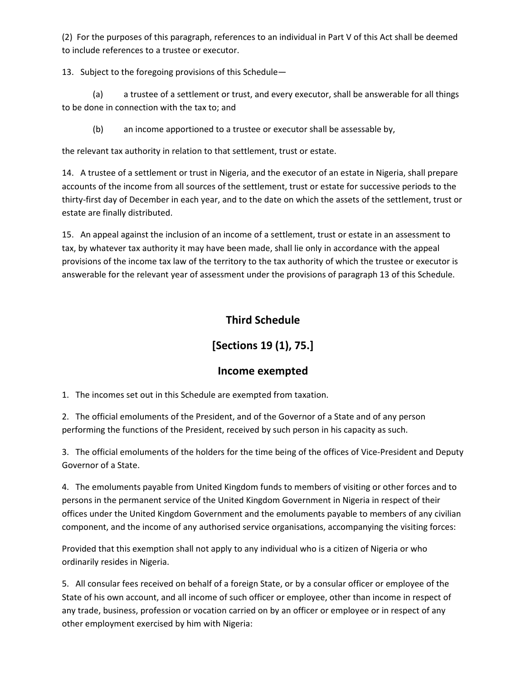(2) For the purposes of this paragraph, references to an individual in Part V of this Act shall be deemed to include references to a trustee or executor.

13. Subject to the foregoing provisions of this Schedule—

(a) a trustee of a settlement or trust, and every executor, shall be answerable for all things to be done in connection with the tax to; and

(b) an income apportioned to a trustee or executor shall be assessable by,

the relevant tax authority in relation to that settlement, trust or estate.

14. A trustee of a settlement or trust in Nigeria, and the executor of an estate in Nigeria, shall prepare accounts of the income from all sources of the settlement, trust or estate for successive periods to the thirty-first day of December in each year, and to the date on which the assets of the settlement, trust or estate are finally distributed.

15. An appeal against the inclusion of an income of a settlement, trust or estate in an assessment to tax, by whatever tax authority it may have been made, shall lie only in accordance with the appeal provisions of the income tax law of the territory to the tax authority of which the trustee or executor is answerable for the relevant year of assessment under the provisions of paragraph 13 of this Schedule.

# **Third Schedule**

# **[Sections 19 (1), 75.]**

# **Income exempted**

1. The incomes set out in this Schedule are exempted from taxation.

2. The official emoluments of the President, and of the Governor of a State and of any person performing the functions of the President, received by such person in his capacity as such.

3. The official emoluments of the holders for the time being of the offices of Vice-President and Deputy Governor of a State.

4. The emoluments payable from United Kingdom funds to members of visiting or other forces and to persons in the permanent service of the United Kingdom Government in Nigeria in respect of their offices under the United Kingdom Government and the emoluments payable to members of any civilian component, and the income of any authorised service organisations, accompanying the visiting forces:

Provided that this exemption shall not apply to any individual who is a citizen of Nigeria or who ordinarily resides in Nigeria.

5. All consular fees received on behalf of a foreign State, or by a consular officer or employee of the State of his own account, and all income of such officer or employee, other than income in respect of any trade, business, profession or vocation carried on by an officer or employee or in respect of any other employment exercised by him with Nigeria: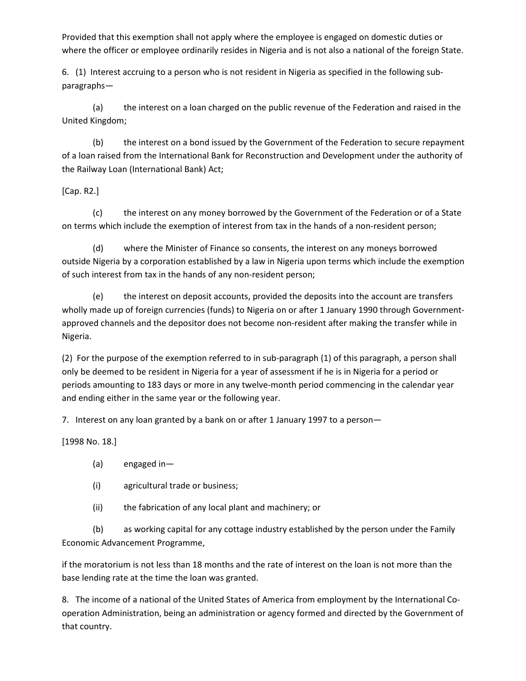Provided that this exemption shall not apply where the employee is engaged on domestic duties or where the officer or employee ordinarily resides in Nigeria and is not also a national of the foreign State.

6. (1) Interest accruing to a person who is not resident in Nigeria as specified in the following subparagraphs—

(a) the interest on a loan charged on the public revenue of the Federation and raised in the United Kingdom;

(b) the interest on a bond issued by the Government of the Federation to secure repayment of a loan raised from the International Bank for Reconstruction and Development under the authority of the Railway Loan (International Bank) Act;

[Cap. R2.]

(c) the interest on any money borrowed by the Government of the Federation or of a State on terms which include the exemption of interest from tax in the hands of a non-resident person;

(d) where the Minister of Finance so consents, the interest on any moneys borrowed outside Nigeria by a corporation established by a law in Nigeria upon terms which include the exemption of such interest from tax in the hands of any non-resident person;

(e) the interest on deposit accounts, provided the deposits into the account are transfers wholly made up of foreign currencies (funds) to Nigeria on or after 1 January 1990 through Governmentapproved channels and the depositor does not become non-resident after making the transfer while in Nigeria.

(2) For the purpose of the exemption referred to in sub-paragraph (1) of this paragraph, a person shall only be deemed to be resident in Nigeria for a year of assessment if he is in Nigeria for a period or periods amounting to 183 days or more in any twelve-month period commencing in the calendar year and ending either in the same year or the following year.

7. Interest on any loan granted by a bank on or after 1 January 1997 to a person—

[1998 No. 18.]

- (a) engaged in—
- (i) agricultural trade or business;
- (ii) the fabrication of any local plant and machinery; or

(b) as working capital for any cottage industry established by the person under the Family Economic Advancement Programme,

if the moratorium is not less than 18 months and the rate of interest on the loan is not more than the base lending rate at the time the loan was granted.

8. The income of a national of the United States of America from employment by the International Cooperation Administration, being an administration or agency formed and directed by the Government of that country.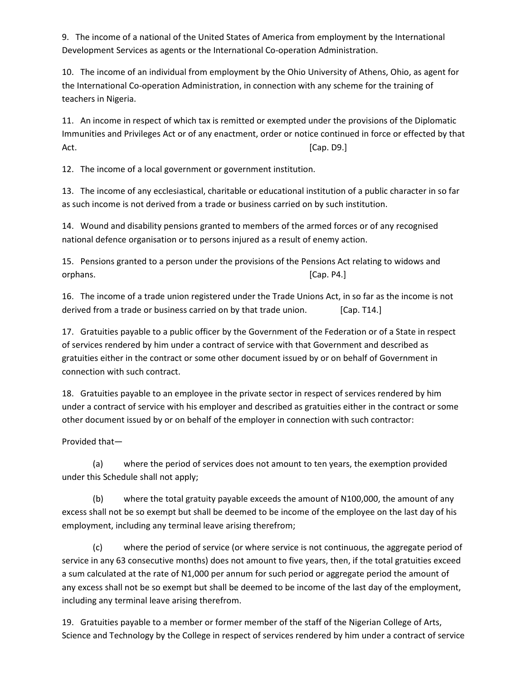9. The income of a national of the United States of America from employment by the International Development Services as agents or the International Co-operation Administration.

10. The income of an individual from employment by the Ohio University of Athens, Ohio, as agent for the International Co-operation Administration, in connection with any scheme for the training of teachers in Nigeria.

11. An income in respect of which tax is remitted or exempted under the provisions of the Diplomatic Immunities and Privileges Act or of any enactment, order or notice continued in force or effected by that Act. [Cap. D9.]

12. The income of a local government or government institution.

13. The income of any ecclesiastical, charitable or educational institution of a public character in so far as such income is not derived from a trade or business carried on by such institution.

14. Wound and disability pensions granted to members of the armed forces or of any recognised national defence organisation or to persons injured as a result of enemy action.

15. Pensions granted to a person under the provisions of the Pensions Act relating to widows and orphans. [Cap. P4.]

16. The income of a trade union registered under the Trade Unions Act, in so far as the income is not derived from a trade or business carried on by that trade union. [Cap. T14.]

17. Gratuities payable to a public officer by the Government of the Federation or of a State in respect of services rendered by him under a contract of service with that Government and described as gratuities either in the contract or some other document issued by or on behalf of Government in connection with such contract.

18. Gratuities payable to an employee in the private sector in respect of services rendered by him under a contract of service with his employer and described as gratuities either in the contract or some other document issued by or on behalf of the employer in connection with such contractor:

Provided that—

(a) where the period of services does not amount to ten years, the exemption provided under this Schedule shall not apply;

(b) where the total gratuity payable exceeds the amount of N100,000, the amount of any excess shall not be so exempt but shall be deemed to be income of the employee on the last day of his employment, including any terminal leave arising therefrom;

(c) where the period of service (or where service is not continuous, the aggregate period of service in any 63 consecutive months) does not amount to five years, then, if the total gratuities exceed a sum calculated at the rate of N1,000 per annum for such period or aggregate period the amount of any excess shall not be so exempt but shall be deemed to be income of the last day of the employment, including any terminal leave arising therefrom.

19. Gratuities payable to a member or former member of the staff of the Nigerian College of Arts, Science and Technology by the College in respect of services rendered by him under a contract of service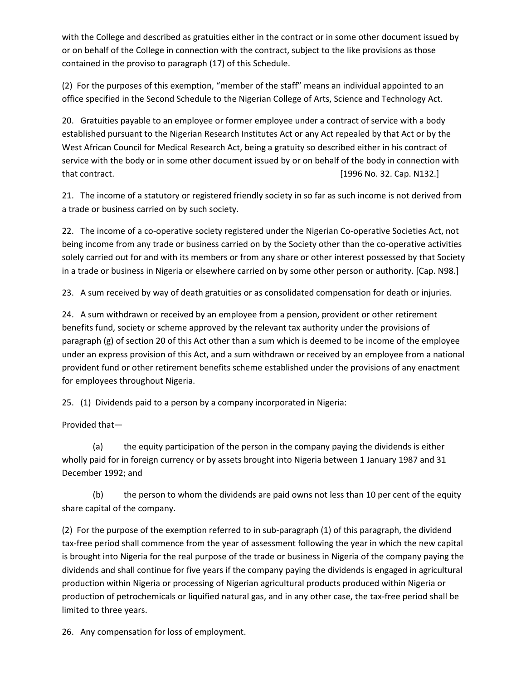with the College and described as gratuities either in the contract or in some other document issued by or on behalf of the College in connection with the contract, subject to the like provisions as those contained in the proviso to paragraph (17) of this Schedule.

(2) For the purposes of this exemption, "member of the staff" means an individual appointed to an office specified in the Second Schedule to the Nigerian College of Arts, Science and Technology Act.

20. Gratuities payable to an employee or former employee under a contract of service with a body established pursuant to the Nigerian Research Institutes Act or any Act repealed by that Act or by the West African Council for Medical Research Act, being a gratuity so described either in his contract of service with the body or in some other document issued by or on behalf of the body in connection with that contract. [1996 No. 32. Cap. N132.]

21. The income of a statutory or registered friendly society in so far as such income is not derived from a trade or business carried on by such society.

22. The income of a co-operative society registered under the Nigerian Co-operative Societies Act, not being income from any trade or business carried on by the Society other than the co-operative activities solely carried out for and with its members or from any share or other interest possessed by that Society in a trade or business in Nigeria or elsewhere carried on by some other person or authority. [Cap. N98.]

23. A sum received by way of death gratuities or as consolidated compensation for death or injuries.

24. A sum withdrawn or received by an employee from a pension, provident or other retirement benefits fund, society or scheme approved by the relevant tax authority under the provisions of paragraph (g) of section 20 of this Act other than a sum which is deemed to be income of the employee under an express provision of this Act, and a sum withdrawn or received by an employee from a national provident fund or other retirement benefits scheme established under the provisions of any enactment for employees throughout Nigeria.

25. (1) Dividends paid to a person by a company incorporated in Nigeria:

Provided that—

(a) the equity participation of the person in the company paying the dividends is either wholly paid for in foreign currency or by assets brought into Nigeria between 1 January 1987 and 31 December 1992; and

(b) the person to whom the dividends are paid owns not less than 10 per cent of the equity share capital of the company.

(2) For the purpose of the exemption referred to in sub-paragraph (1) of this paragraph, the dividend tax-free period shall commence from the year of assessment following the year in which the new capital is brought into Nigeria for the real purpose of the trade or business in Nigeria of the company paying the dividends and shall continue for five years if the company paying the dividends is engaged in agricultural production within Nigeria or processing of Nigerian agricultural products produced within Nigeria or production of petrochemicals or liquified natural gas, and in any other case, the tax-free period shall be limited to three years.

26. Any compensation for loss of employment.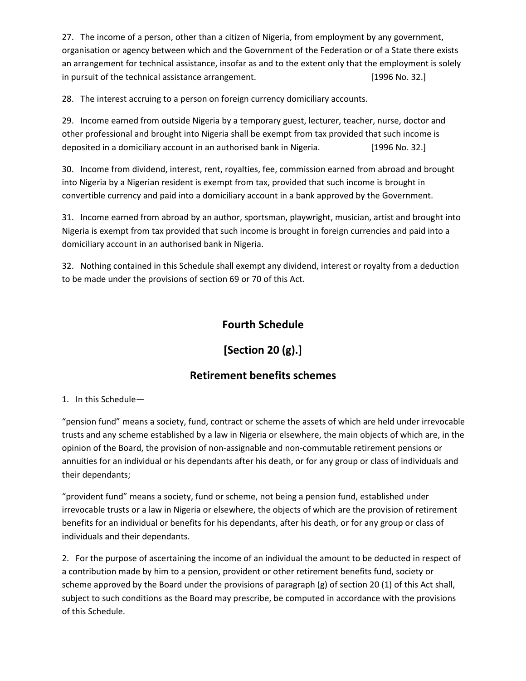27. The income of a person, other than a citizen of Nigeria, from employment by any government, organisation or agency between which and the Government of the Federation or of a State there exists an arrangement for technical assistance, insofar as and to the extent only that the employment is solely in pursuit of the technical assistance arrangement. [1996 No. 32.]

28. The interest accruing to a person on foreign currency domiciliary accounts.

29. Income earned from outside Nigeria by a temporary guest, lecturer, teacher, nurse, doctor and other professional and brought into Nigeria shall be exempt from tax provided that such income is deposited in a domiciliary account in an authorised bank in Nigeria. [1996 No. 32.]

30. Income from dividend, interest, rent, royalties, fee, commission earned from abroad and brought into Nigeria by a Nigerian resident is exempt from tax, provided that such income is brought in convertible currency and paid into a domiciliary account in a bank approved by the Government.

31. Income earned from abroad by an author, sportsman, playwright, musician, artist and brought into Nigeria is exempt from tax provided that such income is brought in foreign currencies and paid into a domiciliary account in an authorised bank in Nigeria.

32. Nothing contained in this Schedule shall exempt any dividend, interest or royalty from a deduction to be made under the provisions of section 69 or 70 of this Act.

# **Fourth Schedule**

# **[Section 20 (g).]**

# **Retirement benefits schemes**

## 1. In this Schedule—

"pension fund" means a society, fund, contract or scheme the assets of which are held under irrevocable trusts and any scheme established by a law in Nigeria or elsewhere, the main objects of which are, in the opinion of the Board, the provision of non-assignable and non-commutable retirement pensions or annuities for an individual or his dependants after his death, or for any group or class of individuals and their dependants;

"provident fund" means a society, fund or scheme, not being a pension fund, established under irrevocable trusts or a law in Nigeria or elsewhere, the objects of which are the provision of retirement benefits for an individual or benefits for his dependants, after his death, or for any group or class of individuals and their dependants.

2. For the purpose of ascertaining the income of an individual the amount to be deducted in respect of a contribution made by him to a pension, provident or other retirement benefits fund, society or scheme approved by the Board under the provisions of paragraph (g) of section 20 (1) of this Act shall, subject to such conditions as the Board may prescribe, be computed in accordance with the provisions of this Schedule.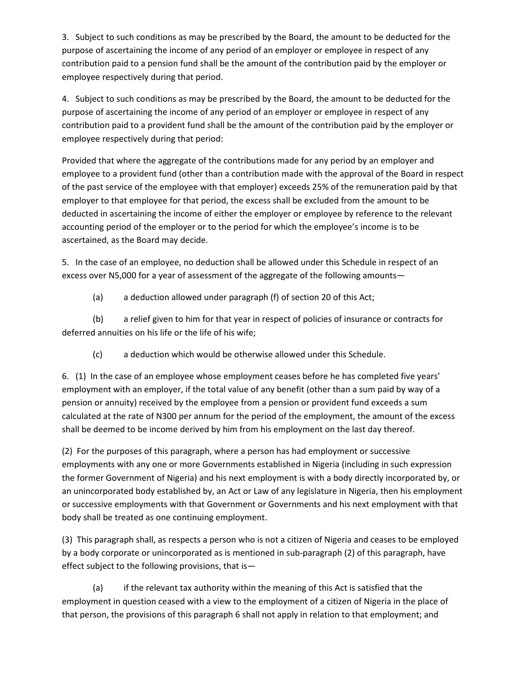3. Subject to such conditions as may be prescribed by the Board, the amount to be deducted for the purpose of ascertaining the income of any period of an employer or employee in respect of any contribution paid to a pension fund shall be the amount of the contribution paid by the employer or employee respectively during that period.

4. Subject to such conditions as may be prescribed by the Board, the amount to be deducted for the purpose of ascertaining the income of any period of an employer or employee in respect of any contribution paid to a provident fund shall be the amount of the contribution paid by the employer or employee respectively during that period:

Provided that where the aggregate of the contributions made for any period by an employer and employee to a provident fund (other than a contribution made with the approval of the Board in respect of the past service of the employee with that employer) exceeds 25% of the remuneration paid by that employer to that employee for that period, the excess shall be excluded from the amount to be deducted in ascertaining the income of either the employer or employee by reference to the relevant accounting period of the employer or to the period for which the employee's income is to be ascertained, as the Board may decide.

5. In the case of an employee, no deduction shall be allowed under this Schedule in respect of an excess over N5,000 for a year of assessment of the aggregate of the following amounts—

(a) a deduction allowed under paragraph (f) of section 20 of this Act;

(b) a relief given to him for that year in respect of policies of insurance or contracts for deferred annuities on his life or the life of his wife;

(c) a deduction which would be otherwise allowed under this Schedule.

6. (1) In the case of an employee whose employment ceases before he has completed five years' employment with an employer, if the total value of any benefit (other than a sum paid by way of a pension or annuity) received by the employee from a pension or provident fund exceeds a sum calculated at the rate of N300 per annum for the period of the employment, the amount of the excess shall be deemed to be income derived by him from his employment on the last day thereof.

(2) For the purposes of this paragraph, where a person has had employment or successive employments with any one or more Governments established in Nigeria (including in such expression the former Government of Nigeria) and his next employment is with a body directly incorporated by, or an unincorporated body established by, an Act or Law of any legislature in Nigeria, then his employment or successive employments with that Government or Governments and his next employment with that body shall be treated as one continuing employment.

(3) This paragraph shall, as respects a person who is not a citizen of Nigeria and ceases to be employed by a body corporate or unincorporated as is mentioned in sub-paragraph (2) of this paragraph, have effect subject to the following provisions, that is—

(a) if the relevant tax authority within the meaning of this Act is satisfied that the employment in question ceased with a view to the employment of a citizen of Nigeria in the place of that person, the provisions of this paragraph 6 shall not apply in relation to that employment; and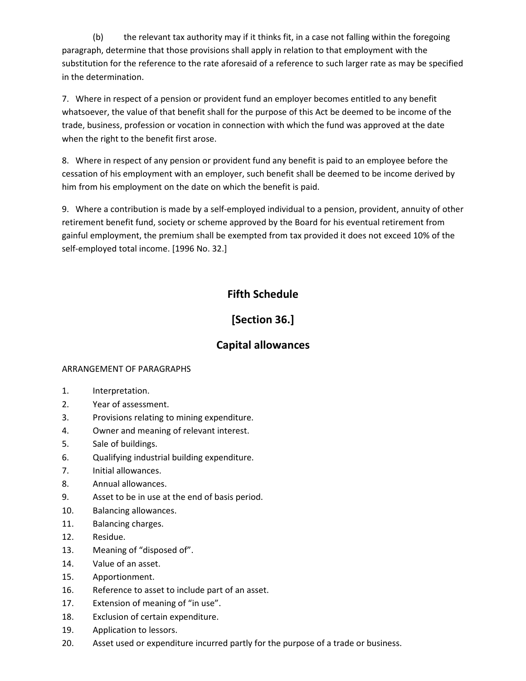(b) the relevant tax authority may if it thinks fit, in a case not falling within the foregoing paragraph, determine that those provisions shall apply in relation to that employment with the substitution for the reference to the rate aforesaid of a reference to such larger rate as may be specified in the determination.

7. Where in respect of a pension or provident fund an employer becomes entitled to any benefit whatsoever, the value of that benefit shall for the purpose of this Act be deemed to be income of the trade, business, profession or vocation in connection with which the fund was approved at the date when the right to the benefit first arose.

8. Where in respect of any pension or provident fund any benefit is paid to an employee before the cessation of his employment with an employer, such benefit shall be deemed to be income derived by him from his employment on the date on which the benefit is paid.

9. Where a contribution is made by a self-employed individual to a pension, provident, annuity of other retirement benefit fund, society or scheme approved by the Board for his eventual retirement from gainful employment, the premium shall be exempted from tax provided it does not exceed 10% of the self-employed total income. [1996 No. 32.]

# **Fifth Schedule**

# **[Section 36.]**

# **Capital allowances**

# ARRANGEMENT OF PARAGRAPHS

- 1. Interpretation.
- 2. Year of assessment.
- 3. Provisions relating to mining expenditure.
- 4. Owner and meaning of relevant interest.
- 5. Sale of buildings.
- 6. Qualifying industrial building expenditure.
- 7. Initial allowances.
- 8. Annual allowances.
- 9. Asset to be in use at the end of basis period.
- 10. Balancing allowances.
- 11. Balancing charges.
- 12. Residue.
- 13. Meaning of "disposed of".
- 14. Value of an asset.
- 15. Apportionment.
- 16. Reference to asset to include part of an asset.
- 17. Extension of meaning of "in use".
- 18. Exclusion of certain expenditure.
- 19. Application to lessors.
- 20. Asset used or expenditure incurred partly for the purpose of a trade or business.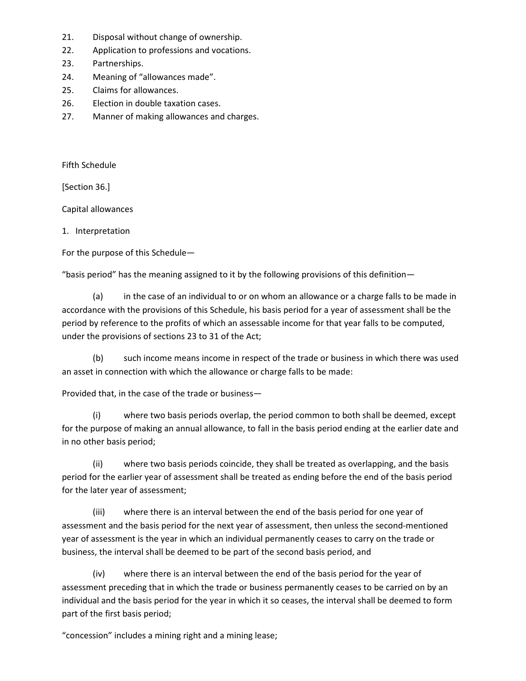- 21. Disposal without change of ownership.
- 22. Application to professions and vocations.
- 23. Partnerships.
- 24. Meaning of "allowances made".
- 25. Claims for allowances.
- 26. Election in double taxation cases.
- 27. Manner of making allowances and charges.

Fifth Schedule

[Section 36.]

Capital allowances

# 1. Interpretation

For the purpose of this Schedule—

"basis period" has the meaning assigned to it by the following provisions of this definition—

(a) in the case of an individual to or on whom an allowance or a charge falls to be made in accordance with the provisions of this Schedule, his basis period for a year of assessment shall be the period by reference to the profits of which an assessable income for that year falls to be computed, under the provisions of sections 23 to 31 of the Act;

(b) such income means income in respect of the trade or business in which there was used an asset in connection with which the allowance or charge falls to be made:

Provided that, in the case of the trade or business—

(i) where two basis periods overlap, the period common to both shall be deemed, except for the purpose of making an annual allowance, to fall in the basis period ending at the earlier date and in no other basis period;

(ii) where two basis periods coincide, they shall be treated as overlapping, and the basis period for the earlier year of assessment shall be treated as ending before the end of the basis period for the later year of assessment;

(iii) where there is an interval between the end of the basis period for one year of assessment and the basis period for the next year of assessment, then unless the second-mentioned year of assessment is the year in which an individual permanently ceases to carry on the trade or business, the interval shall be deemed to be part of the second basis period, and

(iv) where there is an interval between the end of the basis period for the year of assessment preceding that in which the trade or business permanently ceases to be carried on by an individual and the basis period for the year in which it so ceases, the interval shall be deemed to form part of the first basis period;

"concession" includes a mining right and a mining lease;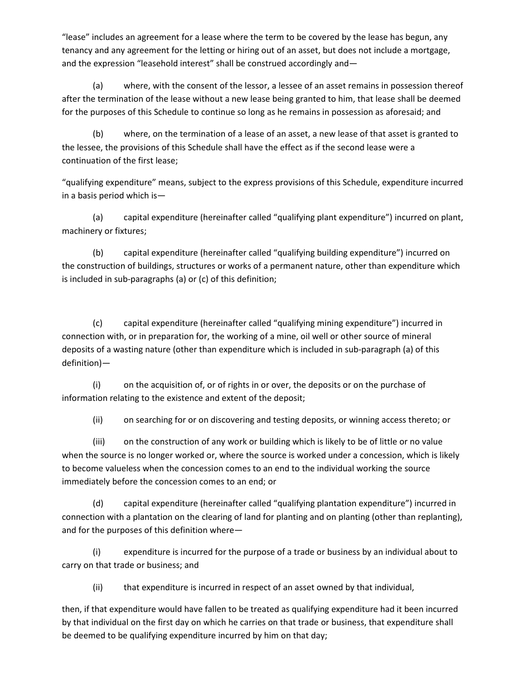"lease" includes an agreement for a lease where the term to be covered by the lease has begun, any tenancy and any agreement for the letting or hiring out of an asset, but does not include a mortgage, and the expression "leasehold interest" shall be construed accordingly and—

(a) where, with the consent of the lessor, a lessee of an asset remains in possession thereof after the termination of the lease without a new lease being granted to him, that lease shall be deemed for the purposes of this Schedule to continue so long as he remains in possession as aforesaid; and

(b) where, on the termination of a lease of an asset, a new lease of that asset is granted to the lessee, the provisions of this Schedule shall have the effect as if the second lease were a continuation of the first lease;

"qualifying expenditure" means, subject to the express provisions of this Schedule, expenditure incurred in a basis period which is—

(a) capital expenditure (hereinafter called "qualifying plant expenditure") incurred on plant, machinery or fixtures;

(b) capital expenditure (hereinafter called "qualifying building expenditure") incurred on the construction of buildings, structures or works of a permanent nature, other than expenditure which is included in sub-paragraphs (a) or (c) of this definition;

(c) capital expenditure (hereinafter called "qualifying mining expenditure") incurred in connection with, or in preparation for, the working of a mine, oil well or other source of mineral deposits of a wasting nature (other than expenditure which is included in sub-paragraph (a) of this definition)—

(i) on the acquisition of, or of rights in or over, the deposits or on the purchase of information relating to the existence and extent of the deposit;

(ii) on searching for or on discovering and testing deposits, or winning access thereto; or

(iii) on the construction of any work or building which is likely to be of little or no value when the source is no longer worked or, where the source is worked under a concession, which is likely to become valueless when the concession comes to an end to the individual working the source immediately before the concession comes to an end; or

(d) capital expenditure (hereinafter called "qualifying plantation expenditure") incurred in connection with a plantation on the clearing of land for planting and on planting (other than replanting), and for the purposes of this definition where—

(i) expenditure is incurred for the purpose of a trade or business by an individual about to carry on that trade or business; and

(ii) that expenditure is incurred in respect of an asset owned by that individual,

then, if that expenditure would have fallen to be treated as qualifying expenditure had it been incurred by that individual on the first day on which he carries on that trade or business, that expenditure shall be deemed to be qualifying expenditure incurred by him on that day;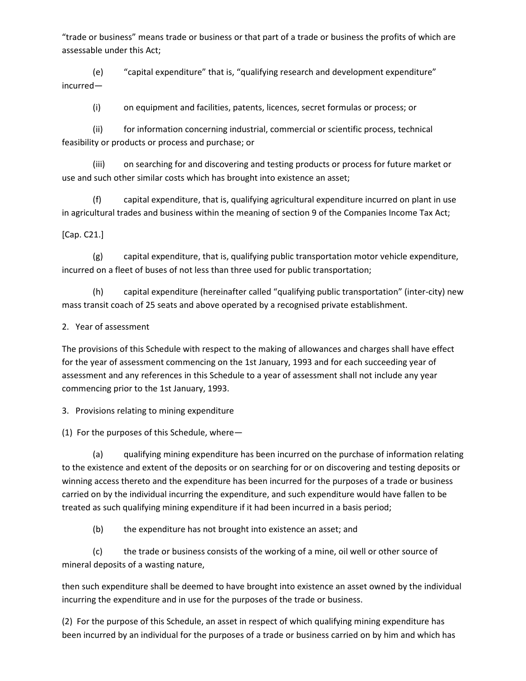"trade or business" means trade or business or that part of a trade or business the profits of which are assessable under this Act;

(e) "capital expenditure" that is, "qualifying research and development expenditure" incurred—

(i) on equipment and facilities, patents, licences, secret formulas or process; or

(ii) for information concerning industrial, commercial or scientific process, technical feasibility or products or process and purchase; or

(iii) on searching for and discovering and testing products or process for future market or use and such other similar costs which has brought into existence an asset;

(f) capital expenditure, that is, qualifying agricultural expenditure incurred on plant in use in agricultural trades and business within the meaning of section 9 of the Companies Income Tax Act;

[Cap. C21.]

(g) capital expenditure, that is, qualifying public transportation motor vehicle expenditure, incurred on a fleet of buses of not less than three used for public transportation;

(h) capital expenditure (hereinafter called "qualifying public transportation" (inter-city) new mass transit coach of 25 seats and above operated by a recognised private establishment.

2. Year of assessment

The provisions of this Schedule with respect to the making of allowances and charges shall have effect for the year of assessment commencing on the 1st January, 1993 and for each succeeding year of assessment and any references in this Schedule to a year of assessment shall not include any year commencing prior to the 1st January, 1993.

3. Provisions relating to mining expenditure

(1) For the purposes of this Schedule, where—

(a) qualifying mining expenditure has been incurred on the purchase of information relating to the existence and extent of the deposits or on searching for or on discovering and testing deposits or winning access thereto and the expenditure has been incurred for the purposes of a trade or business carried on by the individual incurring the expenditure, and such expenditure would have fallen to be treated as such qualifying mining expenditure if it had been incurred in a basis period;

(b) the expenditure has not brought into existence an asset; and

(c) the trade or business consists of the working of a mine, oil well or other source of mineral deposits of a wasting nature,

then such expenditure shall be deemed to have brought into existence an asset owned by the individual incurring the expenditure and in use for the purposes of the trade or business.

(2) For the purpose of this Schedule, an asset in respect of which qualifying mining expenditure has been incurred by an individual for the purposes of a trade or business carried on by him and which has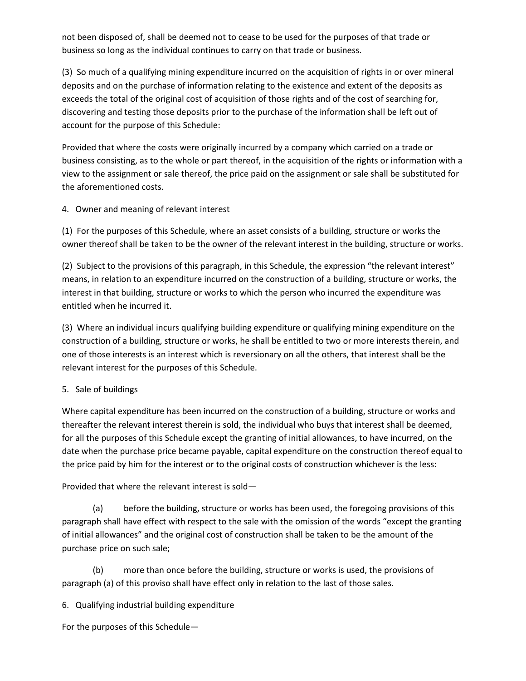not been disposed of, shall be deemed not to cease to be used for the purposes of that trade or business so long as the individual continues to carry on that trade or business.

(3) So much of a qualifying mining expenditure incurred on the acquisition of rights in or over mineral deposits and on the purchase of information relating to the existence and extent of the deposits as exceeds the total of the original cost of acquisition of those rights and of the cost of searching for, discovering and testing those deposits prior to the purchase of the information shall be left out of account for the purpose of this Schedule:

Provided that where the costs were originally incurred by a company which carried on a trade or business consisting, as to the whole or part thereof, in the acquisition of the rights or information with a view to the assignment or sale thereof, the price paid on the assignment or sale shall be substituted for the aforementioned costs.

4. Owner and meaning of relevant interest

(1) For the purposes of this Schedule, where an asset consists of a building, structure or works the owner thereof shall be taken to be the owner of the relevant interest in the building, structure or works.

(2) Subject to the provisions of this paragraph, in this Schedule, the expression "the relevant interest" means, in relation to an expenditure incurred on the construction of a building, structure or works, the interest in that building, structure or works to which the person who incurred the expenditure was entitled when he incurred it.

(3) Where an individual incurs qualifying building expenditure or qualifying mining expenditure on the construction of a building, structure or works, he shall be entitled to two or more interests therein, and one of those interests is an interest which is reversionary on all the others, that interest shall be the relevant interest for the purposes of this Schedule.

## 5. Sale of buildings

Where capital expenditure has been incurred on the construction of a building, structure or works and thereafter the relevant interest therein is sold, the individual who buys that interest shall be deemed, for all the purposes of this Schedule except the granting of initial allowances, to have incurred, on the date when the purchase price became payable, capital expenditure on the construction thereof equal to the price paid by him for the interest or to the original costs of construction whichever is the less:

Provided that where the relevant interest is sold—

(a) before the building, structure or works has been used, the foregoing provisions of this paragraph shall have effect with respect to the sale with the omission of the words "except the granting of initial allowances" and the original cost of construction shall be taken to be the amount of the purchase price on such sale;

(b) more than once before the building, structure or works is used, the provisions of paragraph (a) of this proviso shall have effect only in relation to the last of those sales.

6. Qualifying industrial building expenditure

For the purposes of this Schedule—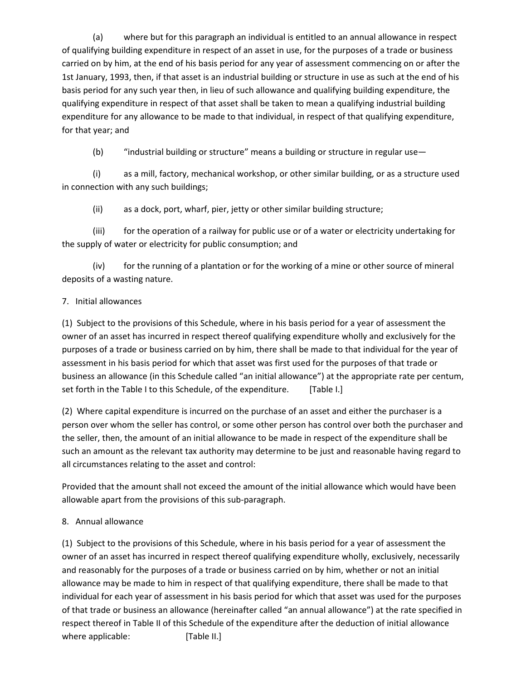(a) where but for this paragraph an individual is entitled to an annual allowance in respect of qualifying building expenditure in respect of an asset in use, for the purposes of a trade or business carried on by him, at the end of his basis period for any year of assessment commencing on or after the 1st January, 1993, then, if that asset is an industrial building or structure in use as such at the end of his basis period for any such year then, in lieu of such allowance and qualifying building expenditure, the qualifying expenditure in respect of that asset shall be taken to mean a qualifying industrial building expenditure for any allowance to be made to that individual, in respect of that qualifying expenditure, for that year; and

(b) "industrial building or structure" means a building or structure in regular use—

(i) as a mill, factory, mechanical workshop, or other similar building, or as a structure used in connection with any such buildings;

(ii) as a dock, port, wharf, pier, jetty or other similar building structure;

(iii) for the operation of a railway for public use or of a water or electricity undertaking for the supply of water or electricity for public consumption; and

(iv) for the running of a plantation or for the working of a mine or other source of mineral deposits of a wasting nature.

## 7. Initial allowances

(1) Subject to the provisions of this Schedule, where in his basis period for a year of assessment the owner of an asset has incurred in respect thereof qualifying expenditure wholly and exclusively for the purposes of a trade or business carried on by him, there shall be made to that individual for the year of assessment in his basis period for which that asset was first used for the purposes of that trade or business an allowance (in this Schedule called "an initial allowance") at the appropriate rate per centum, set forth in the Table I to this Schedule, of the expenditure. [Table I.]

(2) Where capital expenditure is incurred on the purchase of an asset and either the purchaser is a person over whom the seller has control, or some other person has control over both the purchaser and the seller, then, the amount of an initial allowance to be made in respect of the expenditure shall be such an amount as the relevant tax authority may determine to be just and reasonable having regard to all circumstances relating to the asset and control:

Provided that the amount shall not exceed the amount of the initial allowance which would have been allowable apart from the provisions of this sub-paragraph.

## 8. Annual allowance

(1) Subject to the provisions of this Schedule, where in his basis period for a year of assessment the owner of an asset has incurred in respect thereof qualifying expenditure wholly, exclusively, necessarily and reasonably for the purposes of a trade or business carried on by him, whether or not an initial allowance may be made to him in respect of that qualifying expenditure, there shall be made to that individual for each year of assessment in his basis period for which that asset was used for the purposes of that trade or business an allowance (hereinafter called "an annual allowance") at the rate specified in respect thereof in Table II of this Schedule of the expenditure after the deduction of initial allowance where applicable: [Table II.]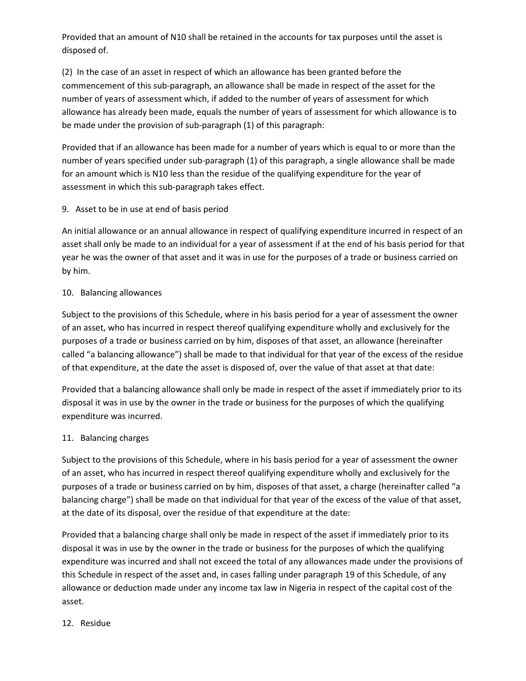Provided that an amount of N10 shall be retained in the accounts for tax purposes until the asset is disposed of.

(2) In the case of an asset in respect of which an allowance has been granted before the commencement of this sub-paragraph, an allowance shall be made in respect of the asset for the number of years of assessment which, if added to the number of years of assessment for which allowance has already been made, equals the number of years of assessment for which allowance is to be made under the provision of sub-paragraph (1) of this paragraph:

Provided that if an allowance has been made for a number of years which is equal to or more than the number of years specified under sub-paragraph (1) of this paragraph, a single allowance shall be made for an amount which is N10 less than the residue of the qualifying expenditure for the year of assessment in which this sub-paragraph takes effect.

9. Asset to be in use at end of basis period

An initial allowance or an annual allowance in respect of qualifying expenditure incurred in respect of an asset shall only be made to an individual for a year of assessment if at the end of his basis period for that year he was the owner of that asset and it was in use for the purposes of a trade or business carried on by him.

#### 10. Balancing allowances

Subject to the provisions of this Schedule, where in his basis period for a year of assessment the owner of an asset, who has incurred in respect thereof qualifying expenditure wholly and exclusively for the purposes of a trade or business carried on by him, disposes of that asset, an allowance (hereinafter called "a balancing allowance") shall be made to that individual for that year of the excess of the residue of that expenditure, at the date the asset is disposed of, over the value of that asset at that date:

Provided that a balancing allowance shall only be made in respect of the asset if immediately prior to its disposal it was in use by the owner in the trade or business for the purposes of which the qualifying expenditure was incurred.

## 11. Balancing charges

Subject to the provisions of this Schedule, where in his basis period for a year of assessment the owner of an asset, who has incurred in respect thereof qualifying expenditure wholly and exclusively for the purposes of a trade or business carried on by him, disposes of that asset, a charge (hereinafter called "a balancing charge") shall be made on that individual for that year of the excess of the value of that asset, at the date of its disposal, over the residue of that expenditure at the date:

Provided that a balancing charge shall only be made in respect of the asset if immediately prior to its disposal it was in use by the owner in the trade or business for the purposes of which the qualifying expenditure was incurred and shall not exceed the total of any allowances made under the provisions of this Schedule in respect of the asset and, in cases falling under paragraph 19 of this Schedule, of any allowance or deduction made under any income tax law in Nigeria in respect of the capital cost of the asset.

#### 12. Residue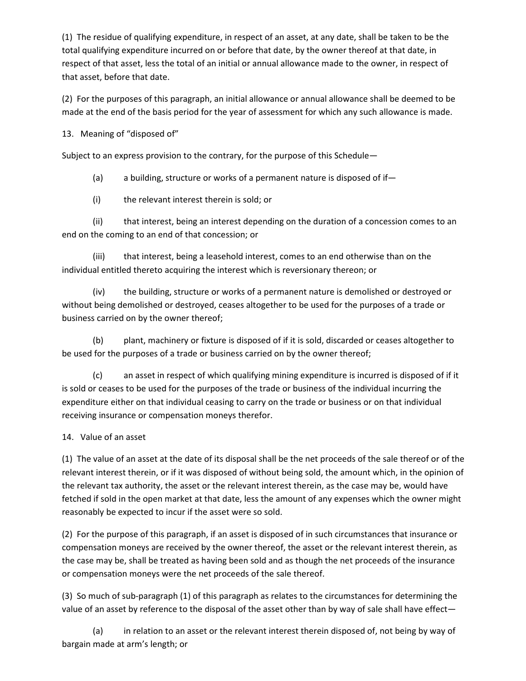(1) The residue of qualifying expenditure, in respect of an asset, at any date, shall be taken to be the total qualifying expenditure incurred on or before that date, by the owner thereof at that date, in respect of that asset, less the total of an initial or annual allowance made to the owner, in respect of that asset, before that date.

(2) For the purposes of this paragraph, an initial allowance or annual allowance shall be deemed to be made at the end of the basis period for the year of assessment for which any such allowance is made.

13. Meaning of "disposed of"

Subject to an express provision to the contrary, for the purpose of this Schedule—

(a) a building, structure or works of a permanent nature is disposed of if—

(i) the relevant interest therein is sold; or

(ii) that interest, being an interest depending on the duration of a concession comes to an end on the coming to an end of that concession; or

(iii) that interest, being a leasehold interest, comes to an end otherwise than on the individual entitled thereto acquiring the interest which is reversionary thereon; or

(iv) the building, structure or works of a permanent nature is demolished or destroyed or without being demolished or destroyed, ceases altogether to be used for the purposes of a trade or business carried on by the owner thereof;

(b) plant, machinery or fixture is disposed of if it is sold, discarded or ceases altogether to be used for the purposes of a trade or business carried on by the owner thereof;

(c) an asset in respect of which qualifying mining expenditure is incurred is disposed of if it is sold or ceases to be used for the purposes of the trade or business of the individual incurring the expenditure either on that individual ceasing to carry on the trade or business or on that individual receiving insurance or compensation moneys therefor.

## 14. Value of an asset

(1) The value of an asset at the date of its disposal shall be the net proceeds of the sale thereof or of the relevant interest therein, or if it was disposed of without being sold, the amount which, in the opinion of the relevant tax authority, the asset or the relevant interest therein, as the case may be, would have fetched if sold in the open market at that date, less the amount of any expenses which the owner might reasonably be expected to incur if the asset were so sold.

(2) For the purpose of this paragraph, if an asset is disposed of in such circumstances that insurance or compensation moneys are received by the owner thereof, the asset or the relevant interest therein, as the case may be, shall be treated as having been sold and as though the net proceeds of the insurance or compensation moneys were the net proceeds of the sale thereof.

(3) So much of sub-paragraph (1) of this paragraph as relates to the circumstances for determining the value of an asset by reference to the disposal of the asset other than by way of sale shall have effect—

(a) in relation to an asset or the relevant interest therein disposed of, not being by way of bargain made at arm's length; or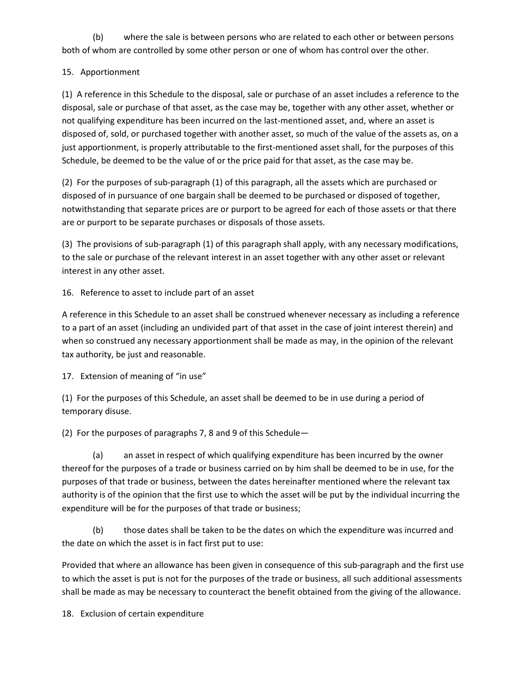(b) where the sale is between persons who are related to each other or between persons both of whom are controlled by some other person or one of whom has control over the other.

# 15. Apportionment

(1) A reference in this Schedule to the disposal, sale or purchase of an asset includes a reference to the disposal, sale or purchase of that asset, as the case may be, together with any other asset, whether or not qualifying expenditure has been incurred on the last-mentioned asset, and, where an asset is disposed of, sold, or purchased together with another asset, so much of the value of the assets as, on a just apportionment, is properly attributable to the first-mentioned asset shall, for the purposes of this Schedule, be deemed to be the value of or the price paid for that asset, as the case may be.

(2) For the purposes of sub-paragraph (1) of this paragraph, all the assets which are purchased or disposed of in pursuance of one bargain shall be deemed to be purchased or disposed of together, notwithstanding that separate prices are or purport to be agreed for each of those assets or that there are or purport to be separate purchases or disposals of those assets.

(3) The provisions of sub-paragraph (1) of this paragraph shall apply, with any necessary modifications, to the sale or purchase of the relevant interest in an asset together with any other asset or relevant interest in any other asset.

16. Reference to asset to include part of an asset

A reference in this Schedule to an asset shall be construed whenever necessary as including a reference to a part of an asset (including an undivided part of that asset in the case of joint interest therein) and when so construed any necessary apportionment shall be made as may, in the opinion of the relevant tax authority, be just and reasonable.

17. Extension of meaning of "in use"

(1) For the purposes of this Schedule, an asset shall be deemed to be in use during a period of temporary disuse.

(2) For the purposes of paragraphs 7, 8 and 9 of this Schedule—

(a) an asset in respect of which qualifying expenditure has been incurred by the owner thereof for the purposes of a trade or business carried on by him shall be deemed to be in use, for the purposes of that trade or business, between the dates hereinafter mentioned where the relevant tax authority is of the opinion that the first use to which the asset will be put by the individual incurring the expenditure will be for the purposes of that trade or business;

(b) those dates shall be taken to be the dates on which the expenditure was incurred and the date on which the asset is in fact first put to use:

Provided that where an allowance has been given in consequence of this sub-paragraph and the first use to which the asset is put is not for the purposes of the trade or business, all such additional assessments shall be made as may be necessary to counteract the benefit obtained from the giving of the allowance.

18. Exclusion of certain expenditure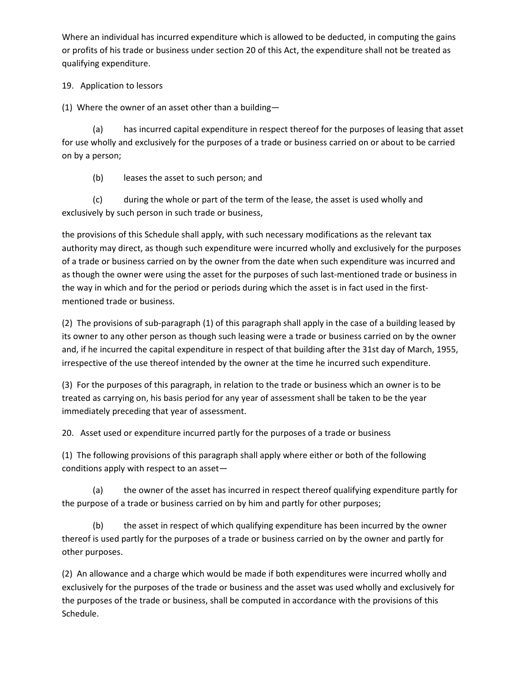Where an individual has incurred expenditure which is allowed to be deducted, in computing the gains or profits of his trade or business under section 20 of this Act, the expenditure shall not be treated as qualifying expenditure.

## 19. Application to lessors

(1) Where the owner of an asset other than a building—

(a) has incurred capital expenditure in respect thereof for the purposes of leasing that asset for use wholly and exclusively for the purposes of a trade or business carried on or about to be carried on by a person;

(b) leases the asset to such person; and

(c) during the whole or part of the term of the lease, the asset is used wholly and exclusively by such person in such trade or business,

the provisions of this Schedule shall apply, with such necessary modifications as the relevant tax authority may direct, as though such expenditure were incurred wholly and exclusively for the purposes of a trade or business carried on by the owner from the date when such expenditure was incurred and as though the owner were using the asset for the purposes of such last-mentioned trade or business in the way in which and for the period or periods during which the asset is in fact used in the firstmentioned trade or business.

(2) The provisions of sub-paragraph (1) of this paragraph shall apply in the case of a building leased by its owner to any other person as though such leasing were a trade or business carried on by the owner and, if he incurred the capital expenditure in respect of that building after the 31st day of March, 1955, irrespective of the use thereof intended by the owner at the time he incurred such expenditure.

(3) For the purposes of this paragraph, in relation to the trade or business which an owner is to be treated as carrying on, his basis period for any year of assessment shall be taken to be the year immediately preceding that year of assessment.

20. Asset used or expenditure incurred partly for the purposes of a trade or business

(1) The following provisions of this paragraph shall apply where either or both of the following conditions apply with respect to an asset—

(a) the owner of the asset has incurred in respect thereof qualifying expenditure partly for the purpose of a trade or business carried on by him and partly for other purposes;

(b) the asset in respect of which qualifying expenditure has been incurred by the owner thereof is used partly for the purposes of a trade or business carried on by the owner and partly for other purposes.

(2) An allowance and a charge which would be made if both expenditures were incurred wholly and exclusively for the purposes of the trade or business and the asset was used wholly and exclusively for the purposes of the trade or business, shall be computed in accordance with the provisions of this Schedule.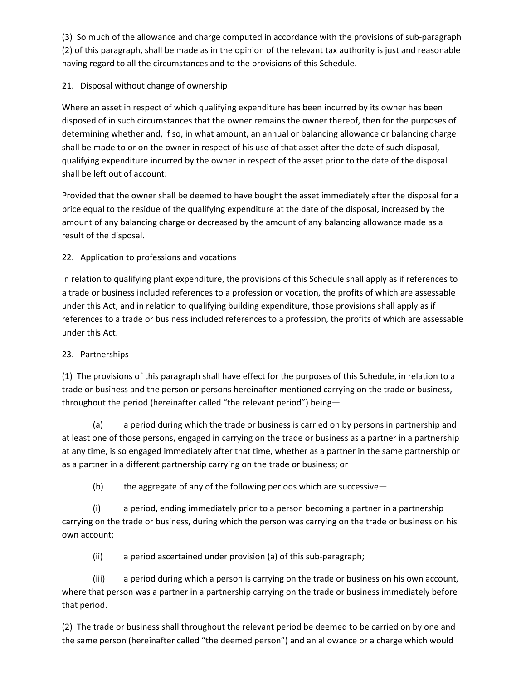(3) So much of the allowance and charge computed in accordance with the provisions of sub-paragraph (2) of this paragraph, shall be made as in the opinion of the relevant tax authority is just and reasonable having regard to all the circumstances and to the provisions of this Schedule.

# 21. Disposal without change of ownership

Where an asset in respect of which qualifying expenditure has been incurred by its owner has been disposed of in such circumstances that the owner remains the owner thereof, then for the purposes of determining whether and, if so, in what amount, an annual or balancing allowance or balancing charge shall be made to or on the owner in respect of his use of that asset after the date of such disposal, qualifying expenditure incurred by the owner in respect of the asset prior to the date of the disposal shall be left out of account:

Provided that the owner shall be deemed to have bought the asset immediately after the disposal for a price equal to the residue of the qualifying expenditure at the date of the disposal, increased by the amount of any balancing charge or decreased by the amount of any balancing allowance made as a result of the disposal.

# 22. Application to professions and vocations

In relation to qualifying plant expenditure, the provisions of this Schedule shall apply as if references to a trade or business included references to a profession or vocation, the profits of which are assessable under this Act, and in relation to qualifying building expenditure, those provisions shall apply as if references to a trade or business included references to a profession, the profits of which are assessable under this Act.

## 23. Partnerships

(1) The provisions of this paragraph shall have effect for the purposes of this Schedule, in relation to a trade or business and the person or persons hereinafter mentioned carrying on the trade or business, throughout the period (hereinafter called "the relevant period") being—

(a) a period during which the trade or business is carried on by persons in partnership and at least one of those persons, engaged in carrying on the trade or business as a partner in a partnership at any time, is so engaged immediately after that time, whether as a partner in the same partnership or as a partner in a different partnership carrying on the trade or business; or

(b) the aggregate of any of the following periods which are successive—

(i) a period, ending immediately prior to a person becoming a partner in a partnership carrying on the trade or business, during which the person was carrying on the trade or business on his own account;

(ii) a period ascertained under provision (a) of this sub-paragraph;

(iii) a period during which a person is carrying on the trade or business on his own account, where that person was a partner in a partnership carrying on the trade or business immediately before that period.

(2) The trade or business shall throughout the relevant period be deemed to be carried on by one and the same person (hereinafter called "the deemed person") and an allowance or a charge which would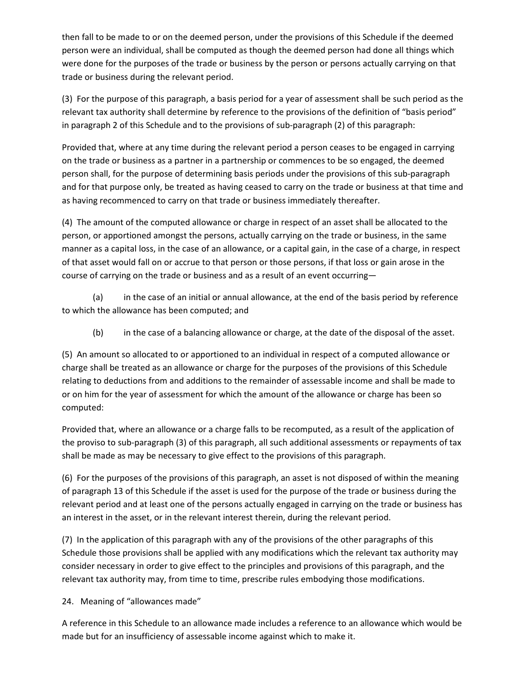then fall to be made to or on the deemed person, under the provisions of this Schedule if the deemed person were an individual, shall be computed as though the deemed person had done all things which were done for the purposes of the trade or business by the person or persons actually carrying on that trade or business during the relevant period.

(3) For the purpose of this paragraph, a basis period for a year of assessment shall be such period as the relevant tax authority shall determine by reference to the provisions of the definition of "basis period" in paragraph 2 of this Schedule and to the provisions of sub-paragraph (2) of this paragraph:

Provided that, where at any time during the relevant period a person ceases to be engaged in carrying on the trade or business as a partner in a partnership or commences to be so engaged, the deemed person shall, for the purpose of determining basis periods under the provisions of this sub-paragraph and for that purpose only, be treated as having ceased to carry on the trade or business at that time and as having recommenced to carry on that trade or business immediately thereafter.

(4) The amount of the computed allowance or charge in respect of an asset shall be allocated to the person, or apportioned amongst the persons, actually carrying on the trade or business, in the same manner as a capital loss, in the case of an allowance, or a capital gain, in the case of a charge, in respect of that asset would fall on or accrue to that person or those persons, if that loss or gain arose in the course of carrying on the trade or business and as a result of an event occurring—

(a) in the case of an initial or annual allowance, at the end of the basis period by reference to which the allowance has been computed; and

(b) in the case of a balancing allowance or charge, at the date of the disposal of the asset.

(5) An amount so allocated to or apportioned to an individual in respect of a computed allowance or charge shall be treated as an allowance or charge for the purposes of the provisions of this Schedule relating to deductions from and additions to the remainder of assessable income and shall be made to or on him for the year of assessment for which the amount of the allowance or charge has been so computed:

Provided that, where an allowance or a charge falls to be recomputed, as a result of the application of the proviso to sub-paragraph (3) of this paragraph, all such additional assessments or repayments of tax shall be made as may be necessary to give effect to the provisions of this paragraph.

(6) For the purposes of the provisions of this paragraph, an asset is not disposed of within the meaning of paragraph 13 of this Schedule if the asset is used for the purpose of the trade or business during the relevant period and at least one of the persons actually engaged in carrying on the trade or business has an interest in the asset, or in the relevant interest therein, during the relevant period.

(7) In the application of this paragraph with any of the provisions of the other paragraphs of this Schedule those provisions shall be applied with any modifications which the relevant tax authority may consider necessary in order to give effect to the principles and provisions of this paragraph, and the relevant tax authority may, from time to time, prescribe rules embodying those modifications.

24. Meaning of "allowances made"

A reference in this Schedule to an allowance made includes a reference to an allowance which would be made but for an insufficiency of assessable income against which to make it.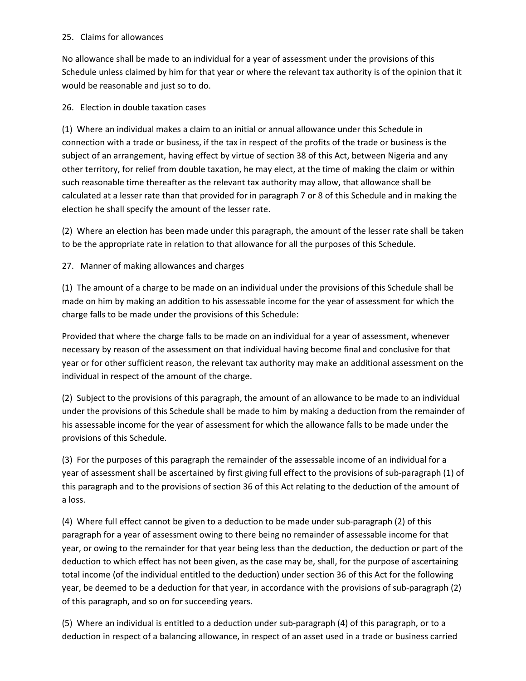### 25. Claims for allowances

No allowance shall be made to an individual for a year of assessment under the provisions of this Schedule unless claimed by him for that year or where the relevant tax authority is of the opinion that it would be reasonable and just so to do.

26. Election in double taxation cases

(1) Where an individual makes a claim to an initial or annual allowance under this Schedule in connection with a trade or business, if the tax in respect of the profits of the trade or business is the subject of an arrangement, having effect by virtue of section 38 of this Act, between Nigeria and any other territory, for relief from double taxation, he may elect, at the time of making the claim or within such reasonable time thereafter as the relevant tax authority may allow, that allowance shall be calculated at a lesser rate than that provided for in paragraph 7 or 8 of this Schedule and in making the election he shall specify the amount of the lesser rate.

(2) Where an election has been made under this paragraph, the amount of the lesser rate shall be taken to be the appropriate rate in relation to that allowance for all the purposes of this Schedule.

27. Manner of making allowances and charges

(1) The amount of a charge to be made on an individual under the provisions of this Schedule shall be made on him by making an addition to his assessable income for the year of assessment for which the charge falls to be made under the provisions of this Schedule:

Provided that where the charge falls to be made on an individual for a year of assessment, whenever necessary by reason of the assessment on that individual having become final and conclusive for that year or for other sufficient reason, the relevant tax authority may make an additional assessment on the individual in respect of the amount of the charge.

(2) Subject to the provisions of this paragraph, the amount of an allowance to be made to an individual under the provisions of this Schedule shall be made to him by making a deduction from the remainder of his assessable income for the year of assessment for which the allowance falls to be made under the provisions of this Schedule.

(3) For the purposes of this paragraph the remainder of the assessable income of an individual for a year of assessment shall be ascertained by first giving full effect to the provisions of sub-paragraph (1) of this paragraph and to the provisions of section 36 of this Act relating to the deduction of the amount of a loss.

(4) Where full effect cannot be given to a deduction to be made under sub-paragraph (2) of this paragraph for a year of assessment owing to there being no remainder of assessable income for that year, or owing to the remainder for that year being less than the deduction, the deduction or part of the deduction to which effect has not been given, as the case may be, shall, for the purpose of ascertaining total income (of the individual entitled to the deduction) under section 36 of this Act for the following year, be deemed to be a deduction for that year, in accordance with the provisions of sub-paragraph (2) of this paragraph, and so on for succeeding years.

(5) Where an individual is entitled to a deduction under sub-paragraph (4) of this paragraph, or to a deduction in respect of a balancing allowance, in respect of an asset used in a trade or business carried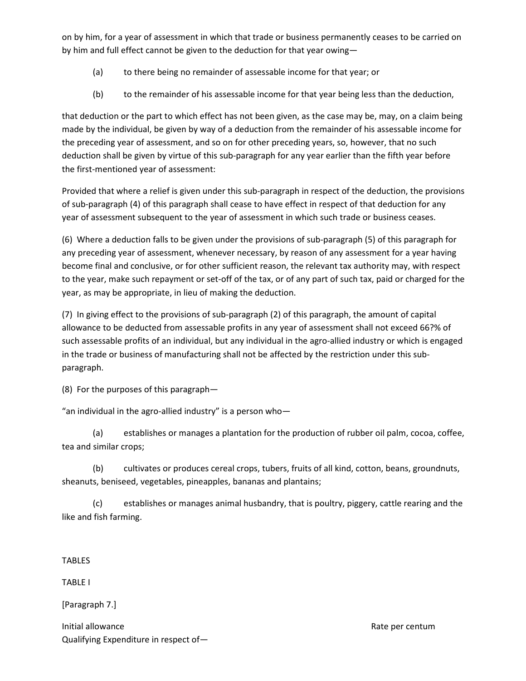on by him, for a year of assessment in which that trade or business permanently ceases to be carried on by him and full effect cannot be given to the deduction for that year owing—

- (a) to there being no remainder of assessable income for that year; or
- (b) to the remainder of his assessable income for that year being less than the deduction,

that deduction or the part to which effect has not been given, as the case may be, may, on a claim being made by the individual, be given by way of a deduction from the remainder of his assessable income for the preceding year of assessment, and so on for other preceding years, so, however, that no such deduction shall be given by virtue of this sub-paragraph for any year earlier than the fifth year before the first-mentioned year of assessment:

Provided that where a relief is given under this sub-paragraph in respect of the deduction, the provisions of sub-paragraph (4) of this paragraph shall cease to have effect in respect of that deduction for any year of assessment subsequent to the year of assessment in which such trade or business ceases.

(6) Where a deduction falls to be given under the provisions of sub-paragraph (5) of this paragraph for any preceding year of assessment, whenever necessary, by reason of any assessment for a year having become final and conclusive, or for other sufficient reason, the relevant tax authority may, with respect to the year, make such repayment or set-off of the tax, or of any part of such tax, paid or charged for the year, as may be appropriate, in lieu of making the deduction.

(7) In giving effect to the provisions of sub-paragraph (2) of this paragraph, the amount of capital allowance to be deducted from assessable profits in any year of assessment shall not exceed 66?% of such assessable profits of an individual, but any individual in the agro-allied industry or which is engaged in the trade or business of manufacturing shall not be affected by the restriction under this subparagraph.

(8) For the purposes of this paragraph—

"an individual in the agro-allied industry" is a person who—

(a) establishes or manages a plantation for the production of rubber oil palm, cocoa, coffee, tea and similar crops;

(b) cultivates or produces cereal crops, tubers, fruits of all kind, cotton, beans, groundnuts, sheanuts, beniseed, vegetables, pineapples, bananas and plantains;

(c) establishes or manages animal husbandry, that is poultry, piggery, cattle rearing and the like and fish farming.

TABLES

TABLE I

[Paragraph 7.]

Initial allowance and the control of the control of the control of the control of the control of the control of the control of the control of the control of the control of the control of the control of the control of the c Qualifying Expenditure in respect of—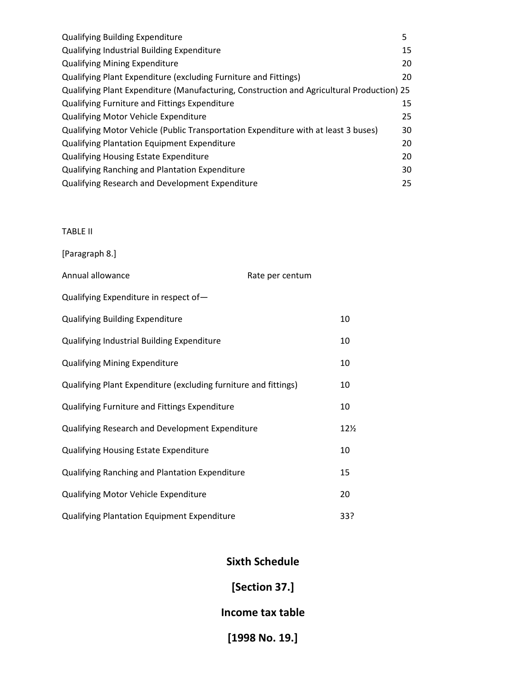| <b>Qualifying Building Expenditure</b>                                                    | 5  |
|-------------------------------------------------------------------------------------------|----|
| <b>Qualifying Industrial Building Expenditure</b>                                         | 15 |
| <b>Qualifying Mining Expenditure</b>                                                      | 20 |
| Qualifying Plant Expenditure (excluding Furniture and Fittings)                           | 20 |
| Qualifying Plant Expenditure (Manufacturing, Construction and Agricultural Production) 25 |    |
| Qualifying Furniture and Fittings Expenditure                                             | 15 |
| <b>Qualifying Motor Vehicle Expenditure</b>                                               | 25 |
| Qualifying Motor Vehicle (Public Transportation Expenditure with at least 3 buses)        | 30 |
| <b>Qualifying Plantation Equipment Expenditure</b>                                        | 20 |
| <b>Qualifying Housing Estate Expenditure</b>                                              | 20 |
| Qualifying Ranching and Plantation Expenditure                                            | 30 |
| Qualifying Research and Development Expenditure                                           | 25 |

# TABLE II

[Paragraph 8.]

| Annual allowance                                                | Rate per centum |                 |
|-----------------------------------------------------------------|-----------------|-----------------|
| Qualifying Expenditure in respect of-                           |                 |                 |
| <b>Qualifying Building Expenditure</b>                          |                 | 10              |
| Qualifying Industrial Building Expenditure                      |                 | 10              |
| <b>Qualifying Mining Expenditure</b>                            |                 | 10              |
| Qualifying Plant Expenditure (excluding furniture and fittings) |                 | 10              |
| Qualifying Furniture and Fittings Expenditure                   |                 | 10              |
| Qualifying Research and Development Expenditure                 |                 | $12\frac{1}{2}$ |
| <b>Qualifying Housing Estate Expenditure</b>                    |                 | 10              |
| <b>Qualifying Ranching and Plantation Expenditure</b>           |                 | 15              |
| Qualifying Motor Vehicle Expenditure                            |                 | 20              |
| <b>Qualifying Plantation Equipment Expenditure</b>              |                 | 33?             |

# **Sixth Schedule**

# **[Section 37.]**

# **Income tax table**

**[1998 No. 19.]**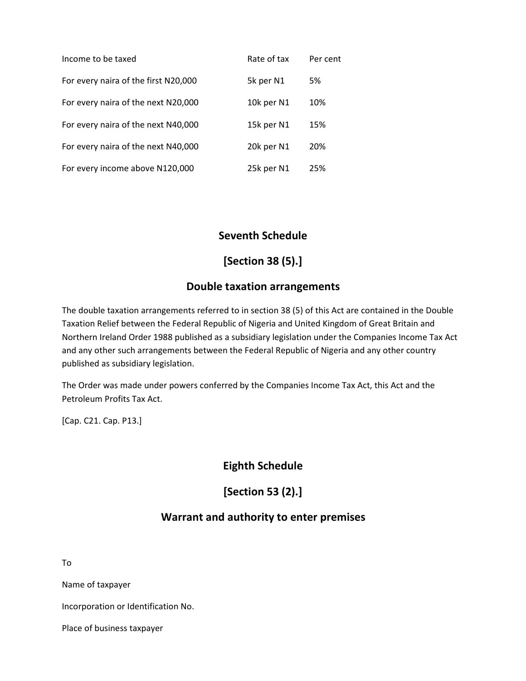| Income to be taxed                   | Rate of tax | Per cent |
|--------------------------------------|-------------|----------|
| For every naira of the first N20,000 | 5k per N1   | 5%       |
| For every naira of the next N20,000  | 10k per N1  | 10%      |
| For every naira of the next N40,000  | 15k per N1  | 15%      |
| For every naira of the next N40,000  | 20k per N1  | 20%      |
| For every income above N120,000      | 25k per N1  | 25%      |

# **Seventh Schedule**

# **[Section 38 (5).]**

# **Double taxation arrangements**

The double taxation arrangements referred to in section 38 (5) of this Act are contained in the Double Taxation Relief between the Federal Republic of Nigeria and United Kingdom of Great Britain and Northern Ireland Order 1988 published as a subsidiary legislation under the Companies Income Tax Act and any other such arrangements between the Federal Republic of Nigeria and any other country published as subsidiary legislation.

The Order was made under powers conferred by the Companies Income Tax Act, this Act and the Petroleum Profits Tax Act.

[Cap. C21. Cap. P13.]

**Eighth Schedule**

**[Section 53 (2).]**

# **Warrant and authority to enter premises**

To

Name of taxpayer

Incorporation or Identification No.

Place of business taxpayer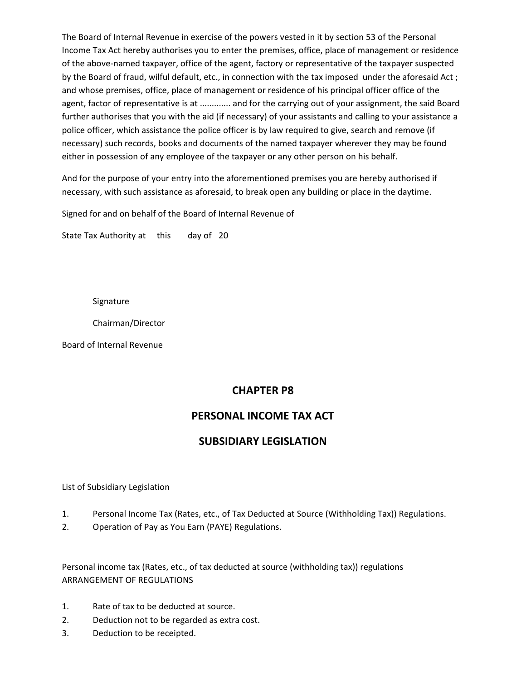The Board of Internal Revenue in exercise of the powers vested in it by section 53 of the Personal Income Tax Act hereby authorises you to enter the premises, office, place of management or residence of the above-named taxpayer, office of the agent, factory or representative of the taxpayer suspected by the Board of fraud, wilful default, etc., in connection with the tax imposed under the aforesaid Act ; and whose premises, office, place of management or residence of his principal officer office of the agent, factor of representative is at ............. and for the carrying out of your assignment, the said Board further authorises that you with the aid (if necessary) of your assistants and calling to your assistance a police officer, which assistance the police officer is by law required to give, search and remove (if necessary) such records, books and documents of the named taxpayer wherever they may be found either in possession of any employee of the taxpayer or any other person on his behalf.

And for the purpose of your entry into the aforementioned premises you are hereby authorised if necessary, with such assistance as aforesaid, to break open any building or place in the daytime.

Signed for and on behalf of the Board of Internal Revenue of

State Tax Authority at this day of 20

Signature

Chairman/Director

Board of Internal Revenue

# **CHAPTER P8**

# **PERSONAL INCOME TAX ACT**

# **SUBSIDIARY LEGISLATION**

List of Subsidiary Legislation

- 1. Personal Income Tax (Rates, etc., of Tax Deducted at Source (Withholding Tax)) Regulations.
- 2. Operation of Pay as You Earn (PAYE) Regulations.

Personal income tax (Rates, etc., of tax deducted at source (withholding tax)) regulations ARRANGEMENT OF REGULATIONS

- 1. Rate of tax to be deducted at source.
- 2. Deduction not to be regarded as extra cost.
- 3. Deduction to be receipted.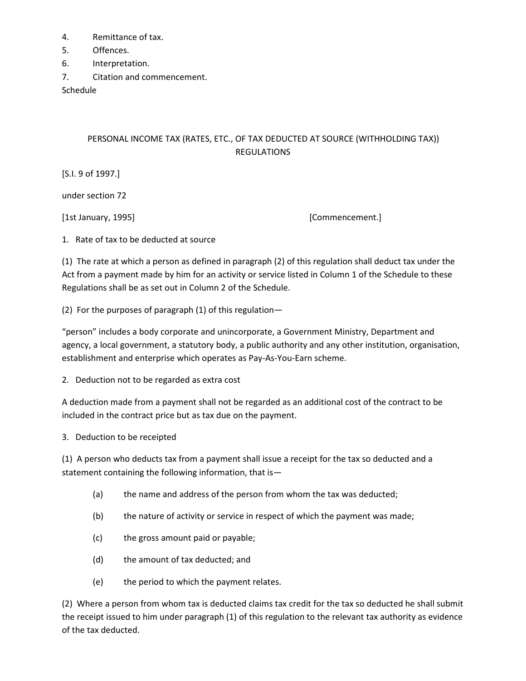- 4. Remittance of tax.
- 5. Offences.
- 6. Interpretation.
- 7. Citation and commencement.

Schedule

# PERSONAL INCOME TAX (RATES, ETC., OF TAX DEDUCTED AT SOURCE (WITHHOLDING TAX)) REGULATIONS

[S.I. 9 of 1997.]

under section 72

[1st January, 1995] **[Commencement.]** 

1. Rate of tax to be deducted at source

(1) The rate at which a person as defined in paragraph (2) of this regulation shall deduct tax under the Act from a payment made by him for an activity or service listed in Column 1 of the Schedule to these Regulations shall be as set out in Column 2 of the Schedule.

(2) For the purposes of paragraph (1) of this regulation—

"person" includes a body corporate and unincorporate, a Government Ministry, Department and agency, a local government, a statutory body, a public authority and any other institution, organisation, establishment and enterprise which operates as Pay-As-You-Earn scheme.

2. Deduction not to be regarded as extra cost

A deduction made from a payment shall not be regarded as an additional cost of the contract to be included in the contract price but as tax due on the payment.

3. Deduction to be receipted

(1) A person who deducts tax from a payment shall issue a receipt for the tax so deducted and a statement containing the following information, that is—

- (a) the name and address of the person from whom the tax was deducted;
- (b) the nature of activity or service in respect of which the payment was made;
- (c) the gross amount paid or payable;
- (d) the amount of tax deducted; and
- (e) the period to which the payment relates.

(2) Where a person from whom tax is deducted claims tax credit for the tax so deducted he shall submit the receipt issued to him under paragraph (1) of this regulation to the relevant tax authority as evidence of the tax deducted.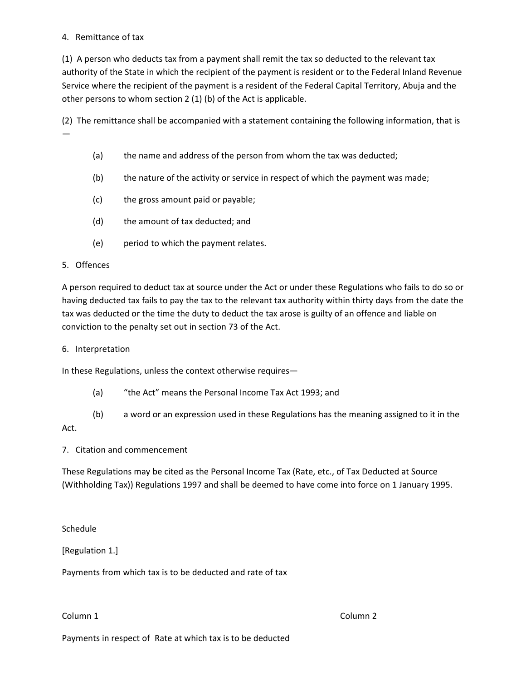#### 4. Remittance of tax

(1) A person who deducts tax from a payment shall remit the tax so deducted to the relevant tax authority of the State in which the recipient of the payment is resident or to the Federal Inland Revenue Service where the recipient of the payment is a resident of the Federal Capital Territory, Abuja and the other persons to whom section 2 (1) (b) of the Act is applicable.

(2) The remittance shall be accompanied with a statement containing the following information, that is —

- (a) the name and address of the person from whom the tax was deducted;
- (b) the nature of the activity or service in respect of which the payment was made;
- (c) the gross amount paid or payable;
- (d) the amount of tax deducted; and
- (e) period to which the payment relates.

### 5. Offences

A person required to deduct tax at source under the Act or under these Regulations who fails to do so or having deducted tax fails to pay the tax to the relevant tax authority within thirty days from the date the tax was deducted or the time the duty to deduct the tax arose is guilty of an offence and liable on conviction to the penalty set out in section 73 of the Act.

6. Interpretation

In these Regulations, unless the context otherwise requires—

- (a) "the Act" means the Personal Income Tax Act 1993; and
- (b) a word or an expression used in these Regulations has the meaning assigned to it in the

## Act.

7. Citation and commencement

These Regulations may be cited as the Personal Income Tax (Rate, etc., of Tax Deducted at Source (Withholding Tax)) Regulations 1997 and shall be deemed to have come into force on 1 January 1995.

Schedule

[Regulation 1.]

Payments from which tax is to be deducted and rate of tax

Column 1 Column 2

Payments in respect of Rate at which tax is to be deducted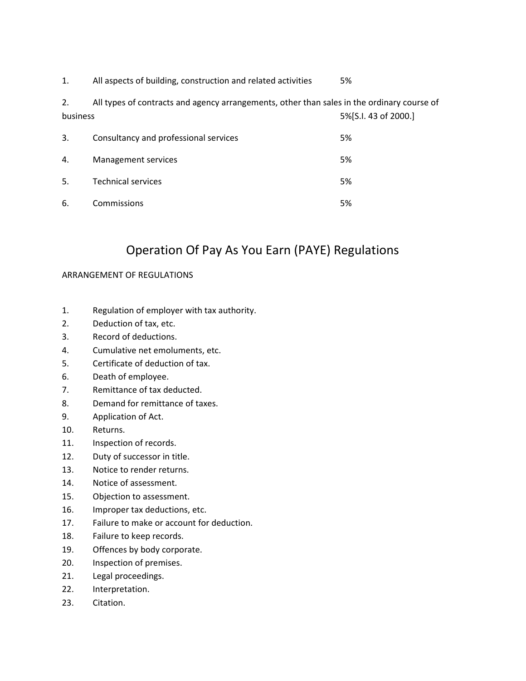1. All aspects of building, construction and related activities 5%

2. All types of contracts and agency arrangements, other than sales in the ordinary course of business 5%[S.I. 43 of 2000.]

| 3. | Consultancy and professional services | 5% |
|----|---------------------------------------|----|
| 4. | Management services                   | 5% |
| 5. | <b>Technical services</b>             | 5% |
| 6. | Commissions                           | 5% |

# Operation Of Pay As You Earn (PAYE) Regulations

## ARRANGEMENT OF REGULATIONS

- 1. Regulation of employer with tax authority.
- 2. Deduction of tax, etc.
- 3. Record of deductions.
- 4. Cumulative net emoluments, etc.
- 5. Certificate of deduction of tax.
- 6. Death of employee.
- 7. Remittance of tax deducted.
- 8. Demand for remittance of taxes.
- 9. Application of Act.
- 10. Returns.
- 11. Inspection of records.
- 12. Duty of successor in title.
- 13. Notice to render returns.
- 14. Notice of assessment.
- 15. Objection to assessment.
- 16. Improper tax deductions, etc.
- 17. Failure to make or account for deduction.
- 18. Failure to keep records.
- 19. Offences by body corporate.
- 20. Inspection of premises.
- 21. Legal proceedings.
- 22. Interpretation.
- 23. Citation.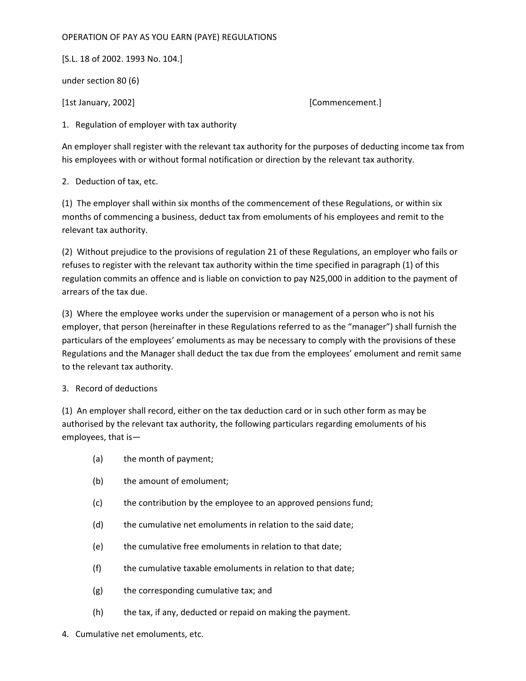#### OPERATION OF PAY AS YOU EARN (PAYE) REGULATIONS

[S.L. 18 of 2002. 1993 No. 104.]

under section 80 (6)

[1st January, 2002] [Commencement.]

1. Regulation of employer with tax authority

An employer shall register with the relevant tax authority for the purposes of deducting income tax from his employees with or without formal notification or direction by the relevant tax authority.

2. Deduction of tax, etc.

(1) The employer shall within six months of the commencement of these Regulations, or within six months of commencing a business, deduct tax from emoluments of his employees and remit to the relevant tax authority.

(2) Without prejudice to the provisions of regulation 21 of these Regulations, an employer who fails or refuses to register with the relevant tax authority within the time specified in paragraph (1) of this regulation commits an offence and is liable on conviction to pay N25,000 in addition to the payment of arrears of the tax due.

(3) Where the employee works under the supervision or management of a person who is not his employer, that person (hereinafter in these Regulations referred to as the "manager") shall furnish the particulars of the employees' emoluments as may be necessary to comply with the provisions of these Regulations and the Manager shall deduct the tax due from the employees' emolument and remit same to the relevant tax authority.

#### 3. Record of deductions

(1) An employer shall record, either on the tax deduction card or in such other form as may be authorised by the relevant tax authority, the following particulars regarding emoluments of his employees, that is—

- (a) the month of payment;
- (b) the amount of emolument;
- (c) the contribution by the employee to an approved pensions fund;
- (d) the cumulative net emoluments in relation to the said date;
- (e) the cumulative free emoluments in relation to that date;
- (f) the cumulative taxable emoluments in relation to that date;
- (g) the corresponding cumulative tax; and
- (h) the tax, if any, deducted or repaid on making the payment.
- 4. Cumulative net emoluments, etc.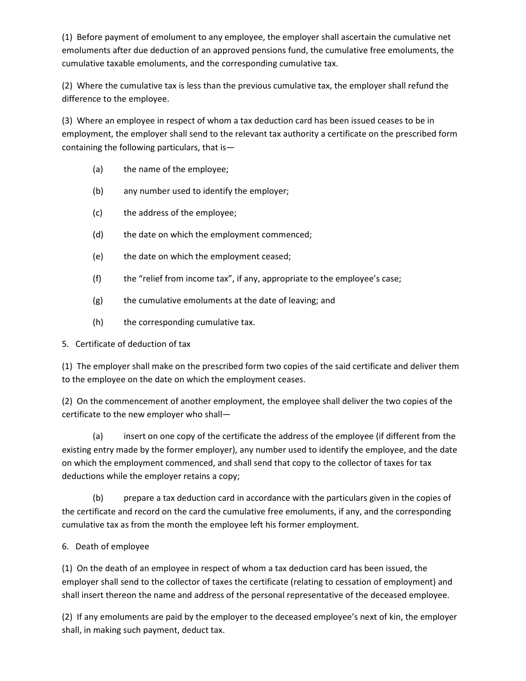(1) Before payment of emolument to any employee, the employer shall ascertain the cumulative net emoluments after due deduction of an approved pensions fund, the cumulative free emoluments, the cumulative taxable emoluments, and the corresponding cumulative tax.

(2) Where the cumulative tax is less than the previous cumulative tax, the employer shall refund the difference to the employee.

(3) Where an employee in respect of whom a tax deduction card has been issued ceases to be in employment, the employer shall send to the relevant tax authority a certificate on the prescribed form containing the following particulars, that is—

- (a) the name of the employee;
- (b) any number used to identify the employer;
- (c) the address of the employee;
- (d) the date on which the employment commenced;
- (e) the date on which the employment ceased;
- (f) the "relief from income tax", if any, appropriate to the employee's case;
- (g) the cumulative emoluments at the date of leaving; and
- (h) the corresponding cumulative tax.

## 5. Certificate of deduction of tax

(1) The employer shall make on the prescribed form two copies of the said certificate and deliver them to the employee on the date on which the employment ceases.

(2) On the commencement of another employment, the employee shall deliver the two copies of the certificate to the new employer who shall—

(a) insert on one copy of the certificate the address of the employee (if different from the existing entry made by the former employer), any number used to identify the employee, and the date on which the employment commenced, and shall send that copy to the collector of taxes for tax deductions while the employer retains a copy;

(b) prepare a tax deduction card in accordance with the particulars given in the copies of the certificate and record on the card the cumulative free emoluments, if any, and the corresponding cumulative tax as from the month the employee left his former employment.

## 6. Death of employee

(1) On the death of an employee in respect of whom a tax deduction card has been issued, the employer shall send to the collector of taxes the certificate (relating to cessation of employment) and shall insert thereon the name and address of the personal representative of the deceased employee.

(2) If any emoluments are paid by the employer to the deceased employee's next of kin, the employer shall, in making such payment, deduct tax.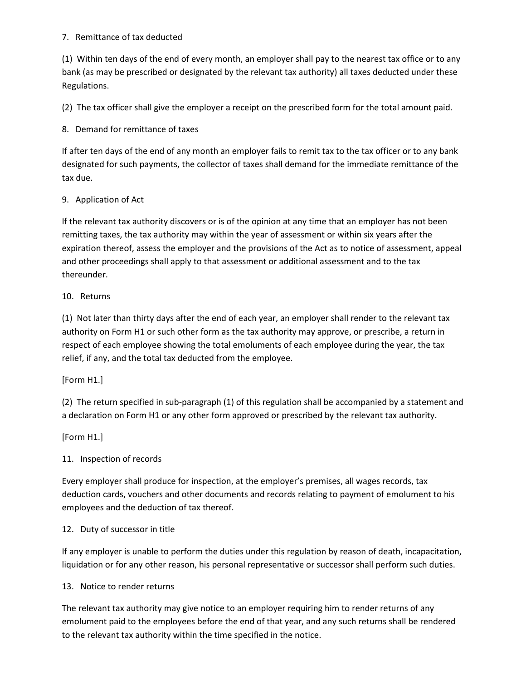### 7. Remittance of tax deducted

(1) Within ten days of the end of every month, an employer shall pay to the nearest tax office or to any bank (as may be prescribed or designated by the relevant tax authority) all taxes deducted under these Regulations.

(2) The tax officer shall give the employer a receipt on the prescribed form for the total amount paid.

8. Demand for remittance of taxes

If after ten days of the end of any month an employer fails to remit tax to the tax officer or to any bank designated for such payments, the collector of taxes shall demand for the immediate remittance of the tax due.

## 9. Application of Act

If the relevant tax authority discovers or is of the opinion at any time that an employer has not been remitting taxes, the tax authority may within the year of assessment or within six years after the expiration thereof, assess the employer and the provisions of the Act as to notice of assessment, appeal and other proceedings shall apply to that assessment or additional assessment and to the tax thereunder.

### 10. Returns

(1) Not later than thirty days after the end of each year, an employer shall render to the relevant tax authority on Form H1 or such other form as the tax authority may approve, or prescribe, a return in respect of each employee showing the total emoluments of each employee during the year, the tax relief, if any, and the total tax deducted from the employee.

## [Form H1.]

(2) The return specified in sub-paragraph (1) of this regulation shall be accompanied by a statement and a declaration on Form H1 or any other form approved or prescribed by the relevant tax authority.

## [Form H1.]

## 11. Inspection of records

Every employer shall produce for inspection, at the employer's premises, all wages records, tax deduction cards, vouchers and other documents and records relating to payment of emolument to his employees and the deduction of tax thereof.

## 12. Duty of successor in title

If any employer is unable to perform the duties under this regulation by reason of death, incapacitation, liquidation or for any other reason, his personal representative or successor shall perform such duties.

#### 13. Notice to render returns

The relevant tax authority may give notice to an employer requiring him to render returns of any emolument paid to the employees before the end of that year, and any such returns shall be rendered to the relevant tax authority within the time specified in the notice.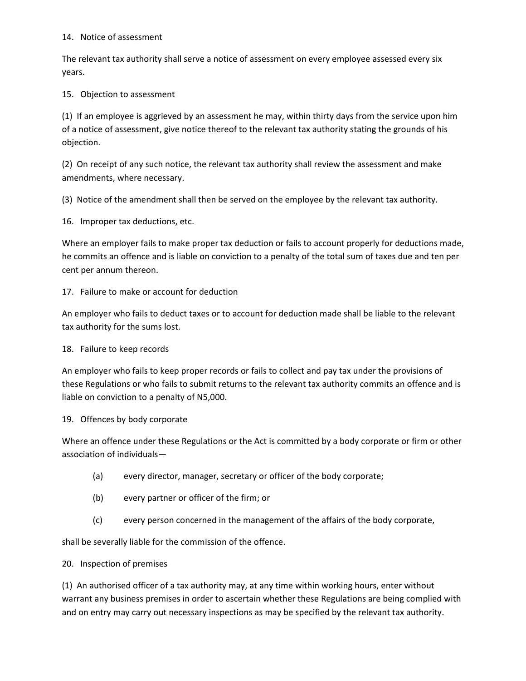#### 14. Notice of assessment

The relevant tax authority shall serve a notice of assessment on every employee assessed every six years.

15. Objection to assessment

(1) If an employee is aggrieved by an assessment he may, within thirty days from the service upon him of a notice of assessment, give notice thereof to the relevant tax authority stating the grounds of his objection.

(2) On receipt of any such notice, the relevant tax authority shall review the assessment and make amendments, where necessary.

(3) Notice of the amendment shall then be served on the employee by the relevant tax authority.

16. Improper tax deductions, etc.

Where an employer fails to make proper tax deduction or fails to account properly for deductions made, he commits an offence and is liable on conviction to a penalty of the total sum of taxes due and ten per cent per annum thereon.

## 17. Failure to make or account for deduction

An employer who fails to deduct taxes or to account for deduction made shall be liable to the relevant tax authority for the sums lost.

## 18. Failure to keep records

An employer who fails to keep proper records or fails to collect and pay tax under the provisions of these Regulations or who fails to submit returns to the relevant tax authority commits an offence and is liable on conviction to a penalty of N5,000.

## 19. Offences by body corporate

Where an offence under these Regulations or the Act is committed by a body corporate or firm or other association of individuals—

- (a) every director, manager, secretary or officer of the body corporate;
- (b) every partner or officer of the firm; or
- (c) every person concerned in the management of the affairs of the body corporate,

shall be severally liable for the commission of the offence.

## 20. Inspection of premises

(1) An authorised officer of a tax authority may, at any time within working hours, enter without warrant any business premises in order to ascertain whether these Regulations are being complied with and on entry may carry out necessary inspections as may be specified by the relevant tax authority.